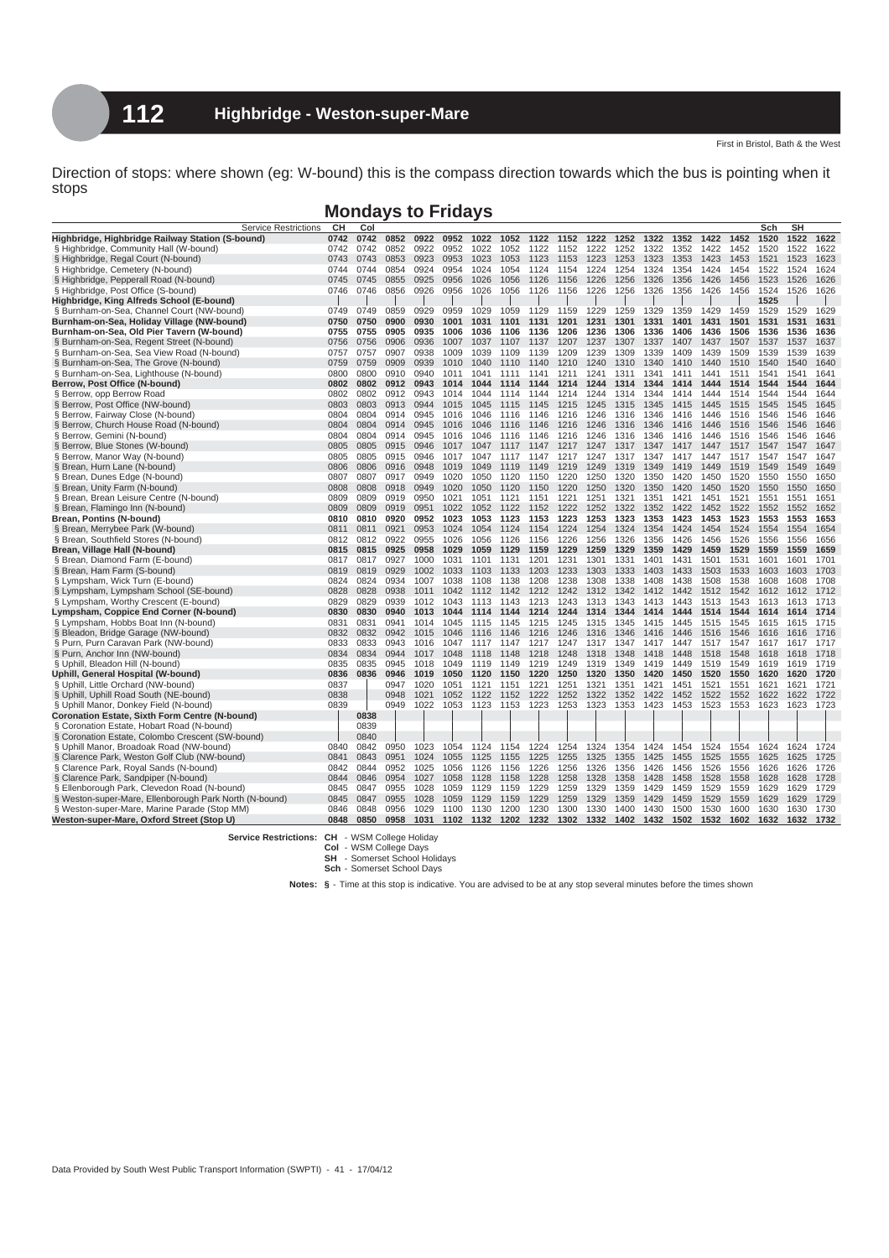## **Mondays to Fridays**

| <b>Service Restrictions</b>                            | CН   | Col  |      |      |      |      |      |      |      |      |      |      |      |      |      | Sch  | SH   |      |
|--------------------------------------------------------|------|------|------|------|------|------|------|------|------|------|------|------|------|------|------|------|------|------|
| Highbridge, Highbridge Railway Station (S-bound)       | 0742 | 0742 | 0852 | 0922 | 0952 | 1022 | 1052 | 1122 | 1152 | 1222 | 1252 | 1322 | 1352 | 1422 | 1452 | 1520 | 1522 | 1622 |
| § Highbridge, Community Hall (W-bound)                 | 0742 | 0742 | 0852 | 0922 | 0952 | 1022 | 1052 | 1122 | 1152 | 1222 | 1252 | 1322 | 1352 | 1422 | 1452 | 1520 | 1522 | 1622 |
| § Highbridge, Regal Court (N-bound)                    | 0743 | 0743 | 0853 | 0923 | 0953 | 1023 | 1053 | 1123 | 1153 | 1223 | 1253 | 1323 | 1353 | 1423 | 1453 | 1521 | 1523 | 1623 |
| § Highbridge, Cemetery (N-bound)                       | 0744 | 0744 | 0854 | 0924 | 0954 | 1024 | 1054 | 1124 | 1154 | 1224 | 1254 | 1324 | 1354 | 1424 | 1454 | 1522 | 1524 | 1624 |
| § Highbridge, Pepperall Road (N-bound)                 | 0745 | 0745 | 0855 | 0925 | 0956 | 1026 | 1056 | 1126 | 1156 | 1226 | 1256 | 1326 | 1356 | 1426 | 1456 | 1523 | 1526 | 1626 |
| § Highbridge, Post Office (S-bound)                    | 0746 | 0746 | 0856 | 0926 | 0956 | 1026 | 1056 | 1126 | 1156 | 1226 | 1256 | 1326 | 1356 | 1426 | 1456 | 1524 | 1526 | 1626 |
| Highbridge, King Alfreds School (E-bound)              |      |      |      |      |      |      |      |      |      |      |      |      |      |      |      | 1525 |      |      |
| § Burnham-on-Sea, Channel Court (NW-bound)             | 0749 | 0749 | 0859 | 0929 | 0959 | 1029 | 1059 | 1129 | 1159 | 1229 | 1259 | 1329 | 1359 | 1429 | 1459 | 1529 | 1529 | 1629 |
| Burnham-on-Sea, Holiday Village (NW-bound)             | 0750 | 0750 | 0900 | 0930 | 1001 | 1031 | 1101 | 1131 | 1201 | 1231 | 1301 | 1331 | 1401 | 1431 | 1501 | 1531 | 1531 | 1631 |
| Burnham-on-Sea, Old Pier Tavern (W-bound)              | 0755 | 0755 | 0905 | 0935 | 1006 | 1036 | 1106 | 1136 | 1206 | 1236 | 1306 | 1336 | 1406 | 1436 | 1506 | 1536 | 1536 | 1636 |
| § Burnham-on-Sea, Regent Street (N-bound)              | 0756 | 0756 | 0906 | 0936 | 1007 | 1037 | 1107 | 1137 | 1207 | 1237 | 1307 | 1337 | 1407 | 1437 | 1507 | 1537 | 1537 | 1637 |
| § Burnham-on-Sea, Sea View Road (N-bound)              | 0757 | 0757 | 0907 | 0938 | 1009 | 1039 | 1109 | 1139 | 1209 | 1239 | 1309 | 1339 | 1409 | 1439 | 1509 | 1539 | 1539 | 1639 |
| § Burnham-on-Sea, The Grove (N-bound)                  | 0759 | 0759 | 0909 | 0939 | 1010 | 1040 | 1110 | 1140 | 1210 | 1240 | 1310 | 1340 | 1410 | 1440 | 1510 | 1540 | 1540 | 1640 |
| § Burnham-on-Sea, Lighthouse (N-bound)                 | 0800 | 0800 | 0910 | 0940 | 1011 | 1041 | 1111 | 1141 | 1211 | 1241 | 1311 | 1341 | 1411 | 1441 | 1511 | 1541 | 1541 | 1641 |
| Berrow, Post Office (N-bound)                          | 0802 | 0802 | 0912 | 0943 | 1014 | 1044 | 1114 | 1144 | 1214 | 1244 | 1314 | 1344 | 1414 | 1444 | 1514 | 1544 | 1544 | 1644 |
| § Berrow, opp Berrow Road                              | 0802 | 0802 | 0912 | 0943 | 1014 | 1044 | 1114 | 1144 | 1214 | 1244 | 1314 | 1344 | 1414 | 1444 | 1514 | 1544 | 1544 | 1644 |
| § Berrow, Post Office (NW-bound)                       | 0803 | 0803 | 0913 | 0944 | 1015 | 1045 | 1115 | 1145 | 1215 | 1245 | 1315 | 1345 | 1415 | 1445 | 1515 | 1545 | 1545 | 1645 |
| § Berrow, Fairway Close (N-bound)                      | 0804 | 0804 | 0914 | 0945 | 1016 | 1046 | 1116 | 1146 | 1216 | 1246 | 1316 | 1346 | 1416 | 1446 | 1516 | 1546 | 1546 | 1646 |
| § Berrow, Church House Road (N-bound)                  | 0804 | 0804 | 0914 | 0945 | 1016 | 1046 | 1116 | 1146 | 1216 | 1246 | 1316 | 1346 | 1416 | 1446 | 1516 | 1546 | 1546 | 1646 |
| § Berrow, Gemini (N-bound)                             | 0804 | 0804 | 0914 | 0945 | 1016 | 1046 | 1116 | 1146 | 1216 | 1246 | 1316 | 1346 | 1416 | 1446 | 1516 | 1546 | 1546 | 1646 |
| § Berrow, Blue Stones (W-bound)                        | 0805 | 0805 | 0915 | 0946 | 1017 | 1047 | 1117 | 1147 | 1217 | 1247 | 1317 | 1347 | 1417 | 1447 | 1517 | 1547 | 1547 | 1647 |
| § Berrow, Manor Way (N-bound)                          | 0805 | 0805 | 0915 | 0946 | 1017 | 1047 | 1117 | 1147 | 1217 | 1247 | 1317 | 1347 | 1417 | 1447 | 1517 | 1547 | 1547 | 1647 |
|                                                        | 0806 | 0806 | 0916 | 0948 | 1019 | 1049 | 1119 | 1149 | 1219 | 1249 | 1319 | 1349 | 1419 | 1449 | 1519 | 1549 | 1549 | 1649 |
| § Brean, Hurn Lane (N-bound)                           | 0807 | 0807 | 0917 | 0949 | 1020 | 1050 | 1120 | 1150 | 1220 | 1250 | 1320 | 1350 | 1420 | 1450 | 1520 | 1550 | 1550 | 1650 |
| § Brean, Dunes Edge (N-bound)                          |      |      |      |      |      |      |      |      |      | 1250 |      |      |      |      |      |      |      |      |
| § Brean, Unity Farm (N-bound)                          | 0808 | 0808 | 0918 | 0949 | 1020 | 1050 | 1120 | 1150 | 1220 |      | 1320 | 1350 | 1420 | 1450 | 1520 | 1550 | 1550 | 1650 |
| § Brean, Brean Leisure Centre (N-bound)                | 0809 | 0809 | 0919 | 0950 | 1021 | 1051 | 1121 | 1151 | 1221 | 1251 | 1321 | 1351 | 1421 | 1451 | 1521 | 1551 | 1551 | 1651 |
| § Brean, Flamingo Inn (N-bound)                        | 0809 | 0809 | 0919 | 0951 | 1022 | 1052 | 1122 | 1152 | 1222 | 1252 | 1322 | 1352 | 1422 | 1452 | 1522 | 1552 | 1552 | 1652 |
| Brean, Pontins (N-bound)                               | 0810 | 0810 | 0920 | 0952 | 1023 | 1053 | 1123 | 1153 | 1223 | 1253 | 1323 | 1353 | 1423 | 1453 | 1523 | 1553 | 1553 | 1653 |
| § Brean, Merrybee Park (W-bound)                       | 0811 | 0811 | 0921 | 0953 | 1024 | 1054 | 1124 | 1154 | 1224 | 1254 | 1324 | 1354 | 1424 | 1454 | 1524 | 1554 | 1554 | 1654 |
| § Brean, Southfield Stores (N-bound)                   | 0812 | 0812 | 0922 | 0955 | 1026 | 1056 | 1126 | 1156 | 1226 | 1256 | 1326 | 1356 | 1426 | 1456 | 1526 | 1556 | 1556 | 1656 |
| Brean, Village Hall (N-bound)                          | 0815 | 0815 | 0925 | 0958 | 1029 | 1059 | 1129 | 1159 | 1229 | 1259 | 1329 | 1359 | 1429 | 1459 | 1529 | 1559 | 1559 | 1659 |
| § Brean, Diamond Farm (E-bound)                        | 0817 | 0817 | 0927 | 1000 | 1031 | 1101 | 1131 | 1201 | 1231 | 1301 | 1331 | 1401 | 1431 | 1501 | 1531 | 1601 | 1601 | 1701 |
| § Brean, Ham Farm (S-bound)                            | 0819 | 0819 | 0929 | 1002 | 1033 | 1103 | 1133 | 1203 | 1233 | 1303 | 1333 | 1403 | 1433 | 1503 | 1533 | 1603 | 1603 | 1703 |
| § Lympsham, Wick Turn (E-bound)                        | 0824 | 0824 | 0934 | 1007 | 1038 | 1108 | 1138 | 1208 | 1238 | 1308 | 1338 | 1408 | 1438 | 1508 | 1538 | 1608 | 1608 | 1708 |
| § Lympsham, Lympsham School (SE-bound)                 | 0828 | 0828 | 0938 | 1011 | 1042 | 1112 | 1142 | 1212 | 1242 | 1312 | 1342 | 1412 | 1442 | 1512 | 1542 | 1612 | 1612 | 1712 |
| § Lympsham, Worthy Crescent (E-bound)                  | 0829 | 0829 | 0939 | 1012 | 1043 | 1113 | 1143 | 1213 | 1243 | 1313 | 1343 | 1413 | 1443 | 1513 | 1543 | 1613 | 1613 | 1713 |
| Lympsham, Coppice End Corner (N-bound)                 | 0830 | 0830 | 0940 | 1013 | 1044 | 1114 | 1144 | 1214 | 1244 | 1314 | 1344 | 1414 | 1444 | 1514 | 1544 | 1614 | 1614 | 1714 |
| § Lympsham, Hobbs Boat Inn (N-bound)                   | 0831 | 0831 | 0941 | 1014 | 1045 | 1115 | 1145 | 1215 | 1245 | 1315 | 1345 | 1415 | 1445 | 1515 | 1545 | 1615 | 1615 | 1715 |
| § Bleadon, Bridge Garage (NW-bound)                    | 0832 | 0832 | 0942 | 1015 | 1046 | 1116 | 1146 | 1216 | 1246 | 1316 | 1346 | 1416 | 1446 | 1516 | 1546 | 1616 | 1616 | 1716 |
| § Purn, Purn Caravan Park (NW-bound)                   | 0833 | 0833 | 0943 | 1016 | 1047 | 1117 | 1147 | 1217 | 1247 | 1317 | 1347 | 1417 | 1447 | 1517 | 1547 | 1617 | 1617 | 1717 |
| § Purn, Anchor Inn (NW-bound)                          | 0834 | 0834 | 0944 | 1017 | 1048 | 1118 | 1148 | 1218 | 1248 | 1318 | 1348 | 1418 | 1448 | 1518 | 1548 | 1618 | 1618 | 1718 |
| § Uphill, Bleadon Hill (N-bound)                       | 0835 | 0835 | 0945 | 1018 | 1049 | 1119 | 1149 | 1219 | 1249 | 1319 | 1349 | 1419 | 1449 | 1519 | 1549 | 1619 | 1619 | 1719 |
| Uphill, General Hospital (W-bound)                     | 0836 | 0836 | 0946 | 1019 | 1050 | 1120 | 1150 | 1220 | 1250 | 1320 | 1350 | 1420 | 1450 | 1520 | 1550 | 1620 | 1620 | 1720 |
| § Uphill, Little Orchard (NW-bound)                    | 0837 |      | 0947 | 1020 | 1051 | 1121 | 1151 | 1221 | 1251 | 1321 | 1351 | 1421 | 1451 | 1521 | 1551 | 1621 | 1621 | 1721 |
| § Uphill, Uphill Road South (NE-bound)                 | 0838 |      | 0948 | 1021 | 1052 | 1122 | 1152 | 1222 | 1252 | 1322 | 1352 | 1422 | 1452 | 1522 | 1552 | 1622 | 1622 | 1722 |
| § Uphill Manor, Donkey Field (N-bound)                 | 0839 |      | 0949 | 1022 | 1053 | 1123 | 1153 | 1223 | 1253 | 1323 | 1353 | 1423 | 1453 | 1523 | 1553 | 1623 | 1623 | 1723 |
| <b>Coronation Estate, Sixth Form Centre (N-bound)</b>  |      | 0838 |      |      |      |      |      |      |      |      |      |      |      |      |      |      |      |      |
| § Coronation Estate, Hobart Road (N-bound)             |      | 0839 |      |      |      |      |      |      |      |      |      |      |      |      |      |      |      |      |
| § Coronation Estate, Colombo Crescent (SW-bound)       |      | 0840 |      |      |      |      |      |      |      |      |      |      |      |      |      |      |      |      |
| § Uphill Manor, Broadoak Road (NW-bound)               | 0840 | 0842 | 0950 | 1023 | 1054 | 1124 | 1154 | 1224 | 1254 | 1324 | 1354 | 1424 | 1454 | 1524 | 1554 | 1624 | 1624 | 1724 |
| § Clarence Park, Weston Golf Club (NW-bound)           | 0841 | 0843 | 0951 | 1024 | 1055 | 1125 | 1155 | 1225 | 1255 | 1325 | 1355 | 1425 | 1455 | 1525 | 1555 | 1625 | 1625 | 1725 |
| § Clarence Park, Royal Sands (N-bound)                 | 0842 | 0844 | 0952 | 1025 | 1056 | 1126 | 1156 | 1226 | 1256 | 1326 | 1356 | 1426 | 1456 | 1526 | 1556 | 1626 | 1626 | 1726 |
| § Clarence Park, Sandpiper (N-bound)                   | 0844 | 0846 | 0954 | 1027 | 1058 | 1128 | 1158 | 1228 | 1258 | 1328 | 1358 | 1428 | 1458 | 1528 | 1558 | 1628 | 1628 | 1728 |
| § Ellenborough Park, Clevedon Road (N-bound)           | 0845 | 0847 | 0955 | 1028 | 1059 | 1129 | 1159 | 1229 | 1259 | 1329 | 1359 | 1429 | 1459 | 1529 | 1559 | 1629 | 1629 | 1729 |
| § Weston-super-Mare, Ellenborough Park North (N-bound) | 0845 | 0847 | 0955 | 1028 | 1059 | 1129 | 1159 | 1229 | 1259 | 1329 | 1359 | 1429 | 1459 | 1529 | 1559 | 1629 | 1629 | 1729 |
| § Weston-super-Mare, Marine Parade (Stop MM)           | 0846 | 0848 | 0956 | 1029 | 1100 | 1130 | 1200 | 1230 | 1300 | 1330 | 1400 | 1430 | 1500 | 1530 | 1600 | 1630 | 1630 | 1730 |
|                                                        | 0848 | 0850 | 0958 | 1031 | 1102 | 1132 | 1202 | 1232 | 1302 | 1332 | 1402 | 1432 | 1502 | 1532 | 1602 | 1632 | 1632 | 1732 |
| Weston-super-Mare, Oxford Street (Stop U)              |      |      |      |      |      |      |      |      |      |      |      |      |      |      |      |      |      |      |

**Service Restrictions: CH** - WSM College Holiday **Col** - WSM College Days

**SH** - Somerset School Holidays **Sch** - Somerset School Days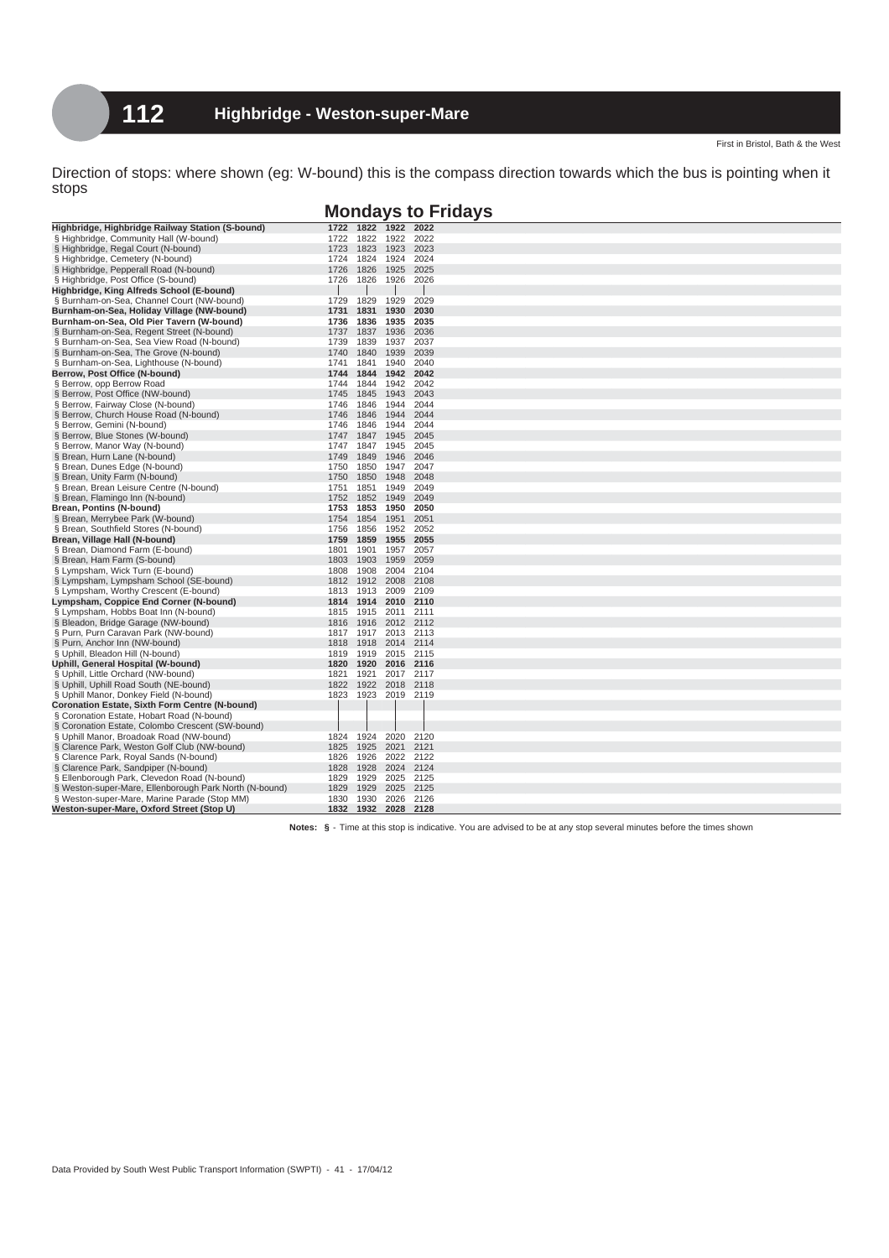|                                                                                        |      |                   |              | <b>Mondays to Fridays</b> |
|----------------------------------------------------------------------------------------|------|-------------------|--------------|---------------------------|
| Highbridge, Highbridge Railway Station (S-bound)                                       | 1722 | 1822              | 1922         | 2022                      |
| § Highbridge, Community Hall (W-bound)                                                 | 1722 | 1822              | 1922         | 2022                      |
| § Highbridge, Regal Court (N-bound)                                                    | 1723 | 1823              | 1923         | 2023                      |
| § Highbridge, Cemetery (N-bound)                                                       | 1724 | 1824              | 1924         | 2024                      |
| § Highbridge, Pepperall Road (N-bound)                                                 | 1726 | 1826              | 1925         | 2025                      |
| § Highbridge, Post Office (S-bound)                                                    | 1726 | 1826              | 1926         | 2026                      |
| Highbridge, King Alfreds School (E-bound)                                              |      |                   |              |                           |
| § Burnham-on-Sea, Channel Court (NW-bound)                                             | 1729 | 1829              | 1929         | 2029                      |
| Burnham-on-Sea, Holiday Village (NW-bound)                                             | 1731 | 1831              | 1930         | 2030                      |
| Burnham-on-Sea, Old Pier Tavern (W-bound)                                              | 1736 | 1836              | 1935         | 2035                      |
| § Burnham-on-Sea, Regent Street (N-bound)                                              | 1737 | 1837              | 1936         | 2036                      |
| § Burnham-on-Sea, Sea View Road (N-bound)                                              | 1739 | 1839              | 1937         | 2037                      |
| § Burnham-on-Sea, The Grove (N-bound)                                                  | 1740 | 1840              | 1939         | 2039                      |
| § Burnham-on-Sea, Lighthouse (N-bound)                                                 | 1741 | 1841              | 1940         | 2040                      |
| Berrow, Post Office (N-bound)                                                          | 1744 | 1844              | 1942         | 2042                      |
| § Berrow, opp Berrow Road                                                              | 1744 | 1844              | 1942         | 2042                      |
| § Berrow, Post Office (NW-bound)                                                       | 1745 | 1845              | 1943         | 2043                      |
| § Berrow, Fairway Close (N-bound)                                                      | 1746 | 1846              | 1944         | 2044                      |
| § Berrow, Church House Road (N-bound)                                                  | 1746 | 1846              | 1944         | 2044                      |
| § Berrow, Gemini (N-bound)                                                             | 1746 | 1846              | 1944         | 2044                      |
| § Berrow, Blue Stones (W-bound)                                                        | 1747 | 1847              | 1945         | 2045                      |
| § Berrow, Manor Way (N-bound)                                                          | 1747 | 1847              | 1945         | 2045                      |
| § Brean, Hurn Lane (N-bound)                                                           | 1749 | 1849              | 1946         | 2046                      |
| § Brean, Dunes Edge (N-bound)                                                          | 1750 | 1850              | 1947         | 2047                      |
| § Brean, Unity Farm (N-bound)                                                          | 1750 | 1850              | 1948         | 2048                      |
| § Brean, Brean Leisure Centre (N-bound)                                                | 1751 | 1851              | 1949         | 2049                      |
| § Brean, Flamingo Inn (N-bound)                                                        | 1752 | 1852              | 1949         | 2049                      |
| Brean, Pontins (N-bound)                                                               | 1753 | 1853              | 1950         | 2050                      |
| § Brean, Merrybee Park (W-bound)                                                       | 1754 | 1854              | 1951         | 2051                      |
| § Brean, Southfield Stores (N-bound)                                                   | 1756 | 1856              | 1952         | 2052                      |
| Brean, Village Hall (N-bound)                                                          | 1759 | 1859              | 1955         | 2055                      |
| § Brean, Diamond Farm (E-bound)                                                        | 1801 | 1901              | 1957         | 2057                      |
| § Brean, Ham Farm (S-bound)                                                            | 1803 | 1903              | 1959         | 2059                      |
| § Lympsham, Wick Turn (E-bound)                                                        | 1808 | 1908              | 2004         | 2104                      |
| § Lympsham, Lympsham School (SE-bound)                                                 | 1812 | 1912              | 2008         | 2108                      |
| § Lympsham, Worthy Crescent (E-bound)                                                  | 1813 | 1913              | 2009         | 2109                      |
| Lympsham, Coppice End Corner (N-bound)                                                 |      | 1814 1914         |              | 2010 2110                 |
| § Lympsham, Hobbs Boat Inn (N-bound)                                                   | 1815 | 1915              | 2011         | 2111                      |
| § Bleadon, Bridge Garage (NW-bound)                                                    | 1816 | 1916              | 2012         | 2112                      |
| § Purn, Purn Caravan Park (NW-bound)                                                   | 1817 | 1917              | 2013         | 2113                      |
| § Purn, Anchor Inn (NW-bound)                                                          | 1818 | 1918              | 2014         | 2114                      |
| § Uphill, Bleadon Hill (N-bound)                                                       | 1819 | 1919              | 2015         | 2115                      |
| Uphill, General Hospital (W-bound)                                                     | 1820 | 1920              | 2016         | 2116                      |
| § Uphill, Little Orchard (NW-bound)                                                    | 1821 | 1921              |              | 2017 2117                 |
| § Uphill, Uphill Road South (NE-bound)                                                 | 1822 | 1922              |              | 2018 2118                 |
| § Uphill Manor, Donkey Field (N-bound)                                                 | 1823 | 1923              |              | 2019 2119                 |
| <b>Coronation Estate, Sixth Form Centre (N-bound)</b>                                  |      |                   |              |                           |
| § Coronation Estate, Hobart Road (N-bound)                                             |      |                   |              |                           |
| § Coronation Estate, Colombo Crescent (SW-bound)                                       |      |                   |              | 2120                      |
| § Uphill Manor, Broadoak Road (NW-bound)                                               | 1825 | 1824 1924<br>1925 | 2020<br>2021 | 2121                      |
| § Clarence Park, Weston Golf Club (NW-bound)<br>§ Clarence Park, Royal Sands (N-bound) | 1826 | 1926              | 2022         | 2122                      |
| § Clarence Park, Sandpiper (N-bound)                                                   | 1828 | 1928              |              | 2024 2124                 |
| § Ellenborough Park, Clevedon Road (N-bound)                                           | 1829 | 1929              | 2025         | 2125                      |
| § Weston-super-Mare, Ellenborough Park North (N-bound)                                 | 1829 | 1929              | 2025         | 2125                      |
| § Weston-super-Mare, Marine Parade (Stop MM)                                           | 1830 | 1930              | 2026         | 2126                      |
| Weston-super-Mare, Oxford Street (Stop U)                                              |      |                   |              | 1832 1932 2028 2128       |
|                                                                                        |      |                   |              |                           |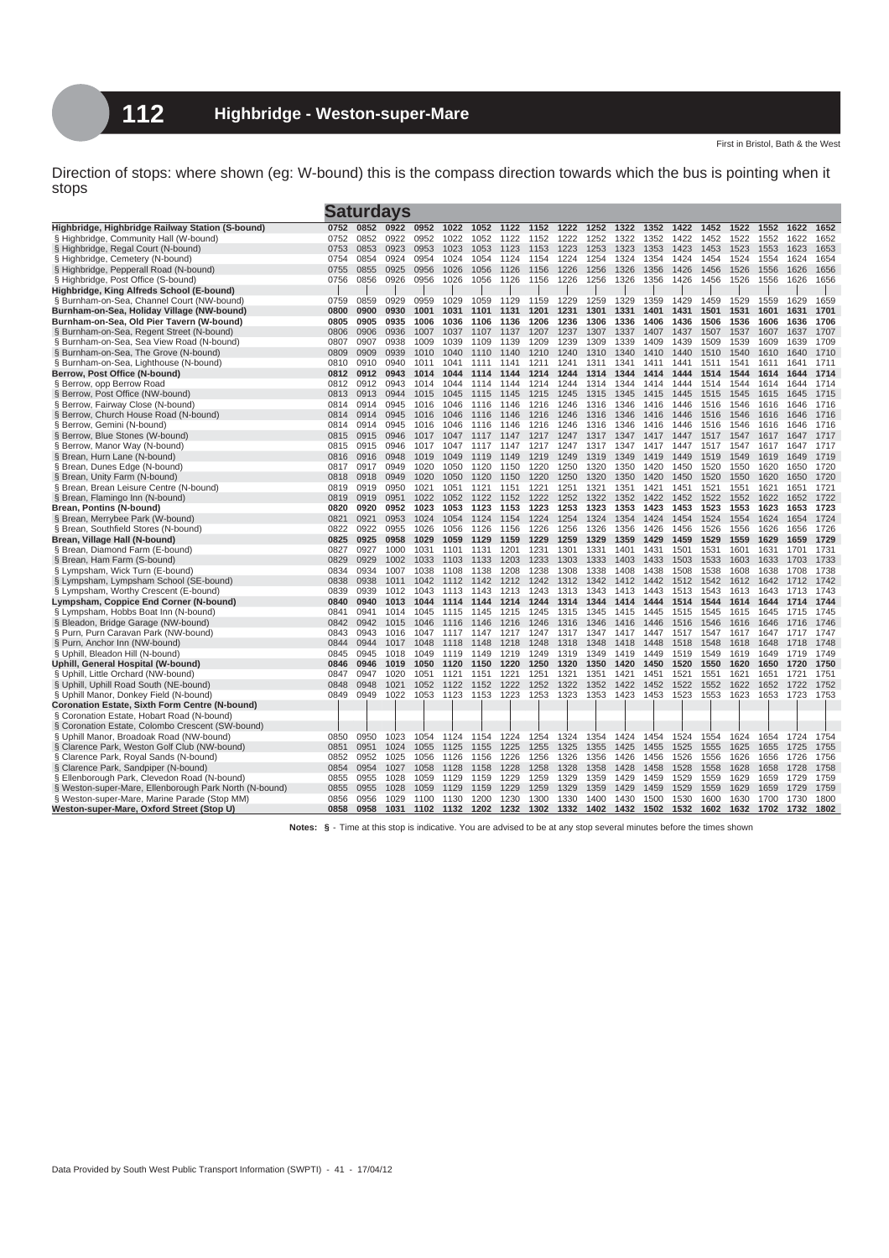| 1522<br>1622<br>Highbridge, Highbridge Railway Station (S-bound)<br>0752<br>0852<br>0922<br>0952<br>1022<br>1052<br>1122<br>1152<br>1222<br>1252<br>1322<br>1352<br>1422<br>1452<br>1552<br>1652<br>0952<br>§ Highbridge, Community Hall (W-bound)<br>0752<br>0852<br>0922<br>1022<br>1052<br>1122<br>1152<br>1222<br>1252<br>1322<br>1352<br>1422<br>1452<br>1522<br>1552<br>1622<br>1652<br>§ Highbridge, Regal Court (N-bound)<br>0753<br>0853<br>0923<br>0953<br>1023<br>1123<br>1153<br>1223<br>1253<br>1323<br>1353<br>1423<br>1453<br>1523<br>1553<br>1623<br>1653<br>1053<br>0754<br>0854<br>0924<br>0954<br>1024<br>1254<br>1324<br>1354<br>1424<br>1454<br>1524<br>1554<br>1624<br>1654<br>§ Highbridge, Cemetery (N-bound)<br>1054<br>1124<br>1154<br>1224<br>0755<br>0855<br>0925<br>0956<br>1026<br>1126<br>1256<br>1326<br>1356<br>1426<br>1456<br>1526<br>1556<br>1626<br>1656<br>§ Highbridge, Pepperall Road (N-bound)<br>1056<br>1156<br>1226<br>0856<br>0926<br>0956<br>1026<br>1226<br>1256<br>1326<br>1356<br>1426<br>1456<br>1526<br>1556<br>1626<br>1656<br>§ Highbridge, Post Office (S-bound)<br>0756<br>1056<br>1126<br>1156<br>Highbridge, King Alfreds School (E-bound)<br>§ Burnham-on-Sea, Channel Court (NW-bound)<br>0759<br>0859<br>0929<br>0959<br>1029<br>1059<br>1129<br>1159<br>1229<br>1259<br>1329<br>1359<br>1429<br>1459<br>1529<br>1559<br>1629<br>1659<br>Burnham-on-Sea, Holiday Village (NW-bound)<br>0800<br>0900<br>0930<br>1001<br>1031<br>1201<br>1231<br>1301<br>1331<br>1401<br>1431<br>1501<br>1531<br>1601<br>1631<br>1701<br>1101<br>1131<br>Burnham-on-Sea, Old Pier Tavern (W-bound)<br>0805<br>0905<br>0935<br>1006<br>1036<br>1106<br>1136<br>1206<br>1236<br>1306<br>1336<br>1406<br>1436<br>1506<br>1536<br>1606<br>1636<br>1706<br>0806<br>0906<br>0936<br>1007<br>1237<br>1307<br>1437<br>1507<br>1537<br>1607<br>1637<br>1707<br>§ Burnham-on-Sea, Regent Street (N-bound)<br>1037<br>1107<br>1137<br>1207<br>1337<br>1407<br>Burnham-on-Sea, Sea View Road (N-bound)<br>0807<br>0907<br>0938<br>1009<br>1039<br>1209<br>1239<br>1309<br>1339<br>1409<br>1439<br>1509<br>1539<br>1609<br>1639<br>1709<br>1109<br>1139<br>ş<br>0939<br>1710<br>§ Burnham-on-Sea, The Grove (N-bound)<br>0809<br>0909<br>1010<br>1040<br>1140<br>1210<br>1240<br>1310<br>1340<br>1410<br>1440<br>1510<br>1540<br>1610<br>1640<br>1110<br>1711<br>§ Burnham-on-Sea, Lighthouse (N-bound)<br>0810<br>0910<br>0940<br>1011<br>1041<br>1111<br>1141<br>1211<br>1241<br>1311<br>1341<br>1411<br>1441<br>1511<br>1541<br>1611<br>1641<br>Berrow, Post Office (N-bound)<br>0812<br>0943<br>1514<br>1544<br>1714<br>0912<br>1014<br>1044<br>1144<br>1214<br>1244<br>1314<br>1344<br>1414<br>1444<br>1614<br>1644<br>1114<br>§ Berrow, opp Berrow Road<br>0812<br>0912<br>0943<br>1044<br>1214<br>1514<br>1544<br>1614<br>1644<br>1714<br>1014<br>1114<br>1144<br>1244<br>1314<br>1344<br>1414<br>1444<br>0813<br>§ Berrow, Post Office (NW-bound)<br>0913<br>0944<br>1015<br>1045<br>1245<br>1315<br>1415<br>1445<br>1515<br>1545<br>1615<br>1645<br>1715<br>1115<br>1145<br>1215<br>1345<br>0814<br>1146<br>1416<br>1516<br>1546<br>1646<br>1716<br>Berrow, Fairway Close (N-bound)<br>0914<br>0945<br>1016<br>1046<br>1116<br>1216<br>1246<br>1316<br>1346<br>1446<br>1616<br>0814<br>1546<br>§ Berrow, Church House Road (N-bound)<br>0914<br>0945<br>1016<br>1046<br>1116<br>1146<br>1216<br>1246<br>1316<br>1346<br>1416<br>1446<br>1516<br>1616<br>1646<br>1716<br>Berrow, Gemini (N-bound)<br>0814<br>0914<br>0945<br>1016<br>1046<br>1116<br>1146<br>1216<br>1246<br>1316<br>1346<br>1416<br>1446<br>1516<br>1546<br>1616<br>1646<br>1716<br>0815<br>§ Berrow, Blue Stones (W-bound)<br>0915<br>0946<br>1017<br>1047<br>1217<br>1247<br>1317<br>1347<br>1417<br>1447<br>1517<br>1547<br>1617<br>1647<br>1717<br>1117<br>1147<br>§ Berrow, Manor Way (N-bound)<br>0815<br>0915<br>0946<br>1047<br>1147<br>1247<br>1417<br>1447<br>1517<br>1547<br>1617<br>1647<br>1717<br>1017<br>1117<br>1217<br>1317<br>1347<br>0816<br>0916<br>0948<br>1049<br>1219<br>1249<br>1419<br>1449<br>1519<br>1549<br>1619<br>1649<br>1719<br>1019<br>1119<br>1149<br>1319<br>1349 |
|------------------------------------------------------------------------------------------------------------------------------------------------------------------------------------------------------------------------------------------------------------------------------------------------------------------------------------------------------------------------------------------------------------------------------------------------------------------------------------------------------------------------------------------------------------------------------------------------------------------------------------------------------------------------------------------------------------------------------------------------------------------------------------------------------------------------------------------------------------------------------------------------------------------------------------------------------------------------------------------------------------------------------------------------------------------------------------------------------------------------------------------------------------------------------------------------------------------------------------------------------------------------------------------------------------------------------------------------------------------------------------------------------------------------------------------------------------------------------------------------------------------------------------------------------------------------------------------------------------------------------------------------------------------------------------------------------------------------------------------------------------------------------------------------------------------------------------------------------------------------------------------------------------------------------------------------------------------------------------------------------------------------------------------------------------------------------------------------------------------------------------------------------------------------------------------------------------------------------------------------------------------------------------------------------------------------------------------------------------------------------------------------------------------------------------------------------------------------------------------------------------------------------------------------------------------------------------------------------------------------------------------------------------------------------------------------------------------------------------------------------------------------------------------------------------------------------------------------------------------------------------------------------------------------------------------------------------------------------------------------------------------------------------------------------------------------------------------------------------------------------------------------------------------------------------------------------------------------------------------------------------------------------------------------------------------------------------------------------------------------------------------------------------------------------------------------------------------------------------------------------------------------------------------------------------------------------------------------------------------------------------------------------------------------------------------------------------------------------------------------------------------------------------------------------------------------------------------------------------------------------------------------------------------------------------------------------------------------------------------------------------------------------------------------------------------------------------------------------------------------------------------------------------------------------------------------------------|
|                                                                                                                                                                                                                                                                                                                                                                                                                                                                                                                                                                                                                                                                                                                                                                                                                                                                                                                                                                                                                                                                                                                                                                                                                                                                                                                                                                                                                                                                                                                                                                                                                                                                                                                                                                                                                                                                                                                                                                                                                                                                                                                                                                                                                                                                                                                                                                                                                                                                                                                                                                                                                                                                                                                                                                                                                                                                                                                                                                                                                                                                                                                                                                                                                                                                                                                                                                                                                                                                                                                                                                                                                                                                                                                                                                                                                                                                                                                                                                                                                                                                                                                                                                                                            |
|                                                                                                                                                                                                                                                                                                                                                                                                                                                                                                                                                                                                                                                                                                                                                                                                                                                                                                                                                                                                                                                                                                                                                                                                                                                                                                                                                                                                                                                                                                                                                                                                                                                                                                                                                                                                                                                                                                                                                                                                                                                                                                                                                                                                                                                                                                                                                                                                                                                                                                                                                                                                                                                                                                                                                                                                                                                                                                                                                                                                                                                                                                                                                                                                                                                                                                                                                                                                                                                                                                                                                                                                                                                                                                                                                                                                                                                                                                                                                                                                                                                                                                                                                                                                            |
|                                                                                                                                                                                                                                                                                                                                                                                                                                                                                                                                                                                                                                                                                                                                                                                                                                                                                                                                                                                                                                                                                                                                                                                                                                                                                                                                                                                                                                                                                                                                                                                                                                                                                                                                                                                                                                                                                                                                                                                                                                                                                                                                                                                                                                                                                                                                                                                                                                                                                                                                                                                                                                                                                                                                                                                                                                                                                                                                                                                                                                                                                                                                                                                                                                                                                                                                                                                                                                                                                                                                                                                                                                                                                                                                                                                                                                                                                                                                                                                                                                                                                                                                                                                                            |
|                                                                                                                                                                                                                                                                                                                                                                                                                                                                                                                                                                                                                                                                                                                                                                                                                                                                                                                                                                                                                                                                                                                                                                                                                                                                                                                                                                                                                                                                                                                                                                                                                                                                                                                                                                                                                                                                                                                                                                                                                                                                                                                                                                                                                                                                                                                                                                                                                                                                                                                                                                                                                                                                                                                                                                                                                                                                                                                                                                                                                                                                                                                                                                                                                                                                                                                                                                                                                                                                                                                                                                                                                                                                                                                                                                                                                                                                                                                                                                                                                                                                                                                                                                                                            |
|                                                                                                                                                                                                                                                                                                                                                                                                                                                                                                                                                                                                                                                                                                                                                                                                                                                                                                                                                                                                                                                                                                                                                                                                                                                                                                                                                                                                                                                                                                                                                                                                                                                                                                                                                                                                                                                                                                                                                                                                                                                                                                                                                                                                                                                                                                                                                                                                                                                                                                                                                                                                                                                                                                                                                                                                                                                                                                                                                                                                                                                                                                                                                                                                                                                                                                                                                                                                                                                                                                                                                                                                                                                                                                                                                                                                                                                                                                                                                                                                                                                                                                                                                                                                            |
|                                                                                                                                                                                                                                                                                                                                                                                                                                                                                                                                                                                                                                                                                                                                                                                                                                                                                                                                                                                                                                                                                                                                                                                                                                                                                                                                                                                                                                                                                                                                                                                                                                                                                                                                                                                                                                                                                                                                                                                                                                                                                                                                                                                                                                                                                                                                                                                                                                                                                                                                                                                                                                                                                                                                                                                                                                                                                                                                                                                                                                                                                                                                                                                                                                                                                                                                                                                                                                                                                                                                                                                                                                                                                                                                                                                                                                                                                                                                                                                                                                                                                                                                                                                                            |
|                                                                                                                                                                                                                                                                                                                                                                                                                                                                                                                                                                                                                                                                                                                                                                                                                                                                                                                                                                                                                                                                                                                                                                                                                                                                                                                                                                                                                                                                                                                                                                                                                                                                                                                                                                                                                                                                                                                                                                                                                                                                                                                                                                                                                                                                                                                                                                                                                                                                                                                                                                                                                                                                                                                                                                                                                                                                                                                                                                                                                                                                                                                                                                                                                                                                                                                                                                                                                                                                                                                                                                                                                                                                                                                                                                                                                                                                                                                                                                                                                                                                                                                                                                                                            |
|                                                                                                                                                                                                                                                                                                                                                                                                                                                                                                                                                                                                                                                                                                                                                                                                                                                                                                                                                                                                                                                                                                                                                                                                                                                                                                                                                                                                                                                                                                                                                                                                                                                                                                                                                                                                                                                                                                                                                                                                                                                                                                                                                                                                                                                                                                                                                                                                                                                                                                                                                                                                                                                                                                                                                                                                                                                                                                                                                                                                                                                                                                                                                                                                                                                                                                                                                                                                                                                                                                                                                                                                                                                                                                                                                                                                                                                                                                                                                                                                                                                                                                                                                                                                            |
|                                                                                                                                                                                                                                                                                                                                                                                                                                                                                                                                                                                                                                                                                                                                                                                                                                                                                                                                                                                                                                                                                                                                                                                                                                                                                                                                                                                                                                                                                                                                                                                                                                                                                                                                                                                                                                                                                                                                                                                                                                                                                                                                                                                                                                                                                                                                                                                                                                                                                                                                                                                                                                                                                                                                                                                                                                                                                                                                                                                                                                                                                                                                                                                                                                                                                                                                                                                                                                                                                                                                                                                                                                                                                                                                                                                                                                                                                                                                                                                                                                                                                                                                                                                                            |
|                                                                                                                                                                                                                                                                                                                                                                                                                                                                                                                                                                                                                                                                                                                                                                                                                                                                                                                                                                                                                                                                                                                                                                                                                                                                                                                                                                                                                                                                                                                                                                                                                                                                                                                                                                                                                                                                                                                                                                                                                                                                                                                                                                                                                                                                                                                                                                                                                                                                                                                                                                                                                                                                                                                                                                                                                                                                                                                                                                                                                                                                                                                                                                                                                                                                                                                                                                                                                                                                                                                                                                                                                                                                                                                                                                                                                                                                                                                                                                                                                                                                                                                                                                                                            |
|                                                                                                                                                                                                                                                                                                                                                                                                                                                                                                                                                                                                                                                                                                                                                                                                                                                                                                                                                                                                                                                                                                                                                                                                                                                                                                                                                                                                                                                                                                                                                                                                                                                                                                                                                                                                                                                                                                                                                                                                                                                                                                                                                                                                                                                                                                                                                                                                                                                                                                                                                                                                                                                                                                                                                                                                                                                                                                                                                                                                                                                                                                                                                                                                                                                                                                                                                                                                                                                                                                                                                                                                                                                                                                                                                                                                                                                                                                                                                                                                                                                                                                                                                                                                            |
|                                                                                                                                                                                                                                                                                                                                                                                                                                                                                                                                                                                                                                                                                                                                                                                                                                                                                                                                                                                                                                                                                                                                                                                                                                                                                                                                                                                                                                                                                                                                                                                                                                                                                                                                                                                                                                                                                                                                                                                                                                                                                                                                                                                                                                                                                                                                                                                                                                                                                                                                                                                                                                                                                                                                                                                                                                                                                                                                                                                                                                                                                                                                                                                                                                                                                                                                                                                                                                                                                                                                                                                                                                                                                                                                                                                                                                                                                                                                                                                                                                                                                                                                                                                                            |
|                                                                                                                                                                                                                                                                                                                                                                                                                                                                                                                                                                                                                                                                                                                                                                                                                                                                                                                                                                                                                                                                                                                                                                                                                                                                                                                                                                                                                                                                                                                                                                                                                                                                                                                                                                                                                                                                                                                                                                                                                                                                                                                                                                                                                                                                                                                                                                                                                                                                                                                                                                                                                                                                                                                                                                                                                                                                                                                                                                                                                                                                                                                                                                                                                                                                                                                                                                                                                                                                                                                                                                                                                                                                                                                                                                                                                                                                                                                                                                                                                                                                                                                                                                                                            |
|                                                                                                                                                                                                                                                                                                                                                                                                                                                                                                                                                                                                                                                                                                                                                                                                                                                                                                                                                                                                                                                                                                                                                                                                                                                                                                                                                                                                                                                                                                                                                                                                                                                                                                                                                                                                                                                                                                                                                                                                                                                                                                                                                                                                                                                                                                                                                                                                                                                                                                                                                                                                                                                                                                                                                                                                                                                                                                                                                                                                                                                                                                                                                                                                                                                                                                                                                                                                                                                                                                                                                                                                                                                                                                                                                                                                                                                                                                                                                                                                                                                                                                                                                                                                            |
|                                                                                                                                                                                                                                                                                                                                                                                                                                                                                                                                                                                                                                                                                                                                                                                                                                                                                                                                                                                                                                                                                                                                                                                                                                                                                                                                                                                                                                                                                                                                                                                                                                                                                                                                                                                                                                                                                                                                                                                                                                                                                                                                                                                                                                                                                                                                                                                                                                                                                                                                                                                                                                                                                                                                                                                                                                                                                                                                                                                                                                                                                                                                                                                                                                                                                                                                                                                                                                                                                                                                                                                                                                                                                                                                                                                                                                                                                                                                                                                                                                                                                                                                                                                                            |
|                                                                                                                                                                                                                                                                                                                                                                                                                                                                                                                                                                                                                                                                                                                                                                                                                                                                                                                                                                                                                                                                                                                                                                                                                                                                                                                                                                                                                                                                                                                                                                                                                                                                                                                                                                                                                                                                                                                                                                                                                                                                                                                                                                                                                                                                                                                                                                                                                                                                                                                                                                                                                                                                                                                                                                                                                                                                                                                                                                                                                                                                                                                                                                                                                                                                                                                                                                                                                                                                                                                                                                                                                                                                                                                                                                                                                                                                                                                                                                                                                                                                                                                                                                                                            |
|                                                                                                                                                                                                                                                                                                                                                                                                                                                                                                                                                                                                                                                                                                                                                                                                                                                                                                                                                                                                                                                                                                                                                                                                                                                                                                                                                                                                                                                                                                                                                                                                                                                                                                                                                                                                                                                                                                                                                                                                                                                                                                                                                                                                                                                                                                                                                                                                                                                                                                                                                                                                                                                                                                                                                                                                                                                                                                                                                                                                                                                                                                                                                                                                                                                                                                                                                                                                                                                                                                                                                                                                                                                                                                                                                                                                                                                                                                                                                                                                                                                                                                                                                                                                            |
|                                                                                                                                                                                                                                                                                                                                                                                                                                                                                                                                                                                                                                                                                                                                                                                                                                                                                                                                                                                                                                                                                                                                                                                                                                                                                                                                                                                                                                                                                                                                                                                                                                                                                                                                                                                                                                                                                                                                                                                                                                                                                                                                                                                                                                                                                                                                                                                                                                                                                                                                                                                                                                                                                                                                                                                                                                                                                                                                                                                                                                                                                                                                                                                                                                                                                                                                                                                                                                                                                                                                                                                                                                                                                                                                                                                                                                                                                                                                                                                                                                                                                                                                                                                                            |
|                                                                                                                                                                                                                                                                                                                                                                                                                                                                                                                                                                                                                                                                                                                                                                                                                                                                                                                                                                                                                                                                                                                                                                                                                                                                                                                                                                                                                                                                                                                                                                                                                                                                                                                                                                                                                                                                                                                                                                                                                                                                                                                                                                                                                                                                                                                                                                                                                                                                                                                                                                                                                                                                                                                                                                                                                                                                                                                                                                                                                                                                                                                                                                                                                                                                                                                                                                                                                                                                                                                                                                                                                                                                                                                                                                                                                                                                                                                                                                                                                                                                                                                                                                                                            |
|                                                                                                                                                                                                                                                                                                                                                                                                                                                                                                                                                                                                                                                                                                                                                                                                                                                                                                                                                                                                                                                                                                                                                                                                                                                                                                                                                                                                                                                                                                                                                                                                                                                                                                                                                                                                                                                                                                                                                                                                                                                                                                                                                                                                                                                                                                                                                                                                                                                                                                                                                                                                                                                                                                                                                                                                                                                                                                                                                                                                                                                                                                                                                                                                                                                                                                                                                                                                                                                                                                                                                                                                                                                                                                                                                                                                                                                                                                                                                                                                                                                                                                                                                                                                            |
|                                                                                                                                                                                                                                                                                                                                                                                                                                                                                                                                                                                                                                                                                                                                                                                                                                                                                                                                                                                                                                                                                                                                                                                                                                                                                                                                                                                                                                                                                                                                                                                                                                                                                                                                                                                                                                                                                                                                                                                                                                                                                                                                                                                                                                                                                                                                                                                                                                                                                                                                                                                                                                                                                                                                                                                                                                                                                                                                                                                                                                                                                                                                                                                                                                                                                                                                                                                                                                                                                                                                                                                                                                                                                                                                                                                                                                                                                                                                                                                                                                                                                                                                                                                                            |
|                                                                                                                                                                                                                                                                                                                                                                                                                                                                                                                                                                                                                                                                                                                                                                                                                                                                                                                                                                                                                                                                                                                                                                                                                                                                                                                                                                                                                                                                                                                                                                                                                                                                                                                                                                                                                                                                                                                                                                                                                                                                                                                                                                                                                                                                                                                                                                                                                                                                                                                                                                                                                                                                                                                                                                                                                                                                                                                                                                                                                                                                                                                                                                                                                                                                                                                                                                                                                                                                                                                                                                                                                                                                                                                                                                                                                                                                                                                                                                                                                                                                                                                                                                                                            |
| § Brean, Hurn Lane (N-bound)                                                                                                                                                                                                                                                                                                                                                                                                                                                                                                                                                                                                                                                                                                                                                                                                                                                                                                                                                                                                                                                                                                                                                                                                                                                                                                                                                                                                                                                                                                                                                                                                                                                                                                                                                                                                                                                                                                                                                                                                                                                                                                                                                                                                                                                                                                                                                                                                                                                                                                                                                                                                                                                                                                                                                                                                                                                                                                                                                                                                                                                                                                                                                                                                                                                                                                                                                                                                                                                                                                                                                                                                                                                                                                                                                                                                                                                                                                                                                                                                                                                                                                                                                                               |
| Brean, Dunes Edge (N-bound)<br>0949<br>1020<br>1320<br>1350<br>1450<br>1520<br>1550<br>1620<br>1650<br>1720<br>0817<br>0917<br>1050<br>1120<br>1150<br>1220<br>1250<br>1420                                                                                                                                                                                                                                                                                                                                                                                                                                                                                                                                                                                                                                                                                                                                                                                                                                                                                                                                                                                                                                                                                                                                                                                                                                                                                                                                                                                                                                                                                                                                                                                                                                                                                                                                                                                                                                                                                                                                                                                                                                                                                                                                                                                                                                                                                                                                                                                                                                                                                                                                                                                                                                                                                                                                                                                                                                                                                                                                                                                                                                                                                                                                                                                                                                                                                                                                                                                                                                                                                                                                                                                                                                                                                                                                                                                                                                                                                                                                                                                                                                |
| 0818<br>0918<br>0949<br>1020<br>1220<br>1320<br>1450<br>1520<br>1550<br>1620<br>1650<br>1720<br>§ Brean, Unity Farm (N-bound)<br>1050<br>1120<br>1150<br>1250<br>1350<br>1420                                                                                                                                                                                                                                                                                                                                                                                                                                                                                                                                                                                                                                                                                                                                                                                                                                                                                                                                                                                                                                                                                                                                                                                                                                                                                                                                                                                                                                                                                                                                                                                                                                                                                                                                                                                                                                                                                                                                                                                                                                                                                                                                                                                                                                                                                                                                                                                                                                                                                                                                                                                                                                                                                                                                                                                                                                                                                                                                                                                                                                                                                                                                                                                                                                                                                                                                                                                                                                                                                                                                                                                                                                                                                                                                                                                                                                                                                                                                                                                                                              |
| § Brean, Brean Leisure Centre (N-bound)<br>0819<br>0919<br>0950<br>1021<br>1051<br>1121<br>1151<br>1221<br>1251<br>1321<br>1351<br>1421<br>1451<br>1521<br>1551<br>1621<br>1651<br>1721                                                                                                                                                                                                                                                                                                                                                                                                                                                                                                                                                                                                                                                                                                                                                                                                                                                                                                                                                                                                                                                                                                                                                                                                                                                                                                                                                                                                                                                                                                                                                                                                                                                                                                                                                                                                                                                                                                                                                                                                                                                                                                                                                                                                                                                                                                                                                                                                                                                                                                                                                                                                                                                                                                                                                                                                                                                                                                                                                                                                                                                                                                                                                                                                                                                                                                                                                                                                                                                                                                                                                                                                                                                                                                                                                                                                                                                                                                                                                                                                                    |
| § Brean, Flamingo Inn (N-bound)<br>0819<br>0919<br>0951<br>1022<br>1052<br>1122<br>1152<br>1222<br>1252<br>1322<br>1352<br>1422<br>1452<br>1522<br>1552<br>1622<br>1652<br>1722                                                                                                                                                                                                                                                                                                                                                                                                                                                                                                                                                                                                                                                                                                                                                                                                                                                                                                                                                                                                                                                                                                                                                                                                                                                                                                                                                                                                                                                                                                                                                                                                                                                                                                                                                                                                                                                                                                                                                                                                                                                                                                                                                                                                                                                                                                                                                                                                                                                                                                                                                                                                                                                                                                                                                                                                                                                                                                                                                                                                                                                                                                                                                                                                                                                                                                                                                                                                                                                                                                                                                                                                                                                                                                                                                                                                                                                                                                                                                                                                                            |
| Brean, Pontins (N-bound)<br>0820<br>0920<br>0952<br>1023<br>1053<br>1123<br>1153<br>1223<br>1253<br>1323<br>1353<br>1423<br>1453<br>1523<br>1553<br>1623<br>1653<br>1723                                                                                                                                                                                                                                                                                                                                                                                                                                                                                                                                                                                                                                                                                                                                                                                                                                                                                                                                                                                                                                                                                                                                                                                                                                                                                                                                                                                                                                                                                                                                                                                                                                                                                                                                                                                                                                                                                                                                                                                                                                                                                                                                                                                                                                                                                                                                                                                                                                                                                                                                                                                                                                                                                                                                                                                                                                                                                                                                                                                                                                                                                                                                                                                                                                                                                                                                                                                                                                                                                                                                                                                                                                                                                                                                                                                                                                                                                                                                                                                                                                   |
| § Brean, Merrybee Park (W-bound)<br>0821<br>0921<br>0953<br>1024<br>1054<br>1124<br>1154<br>1224<br>1254<br>1324<br>1354<br>1424<br>1454<br>1524<br>1554<br>1624<br>1654<br>1724                                                                                                                                                                                                                                                                                                                                                                                                                                                                                                                                                                                                                                                                                                                                                                                                                                                                                                                                                                                                                                                                                                                                                                                                                                                                                                                                                                                                                                                                                                                                                                                                                                                                                                                                                                                                                                                                                                                                                                                                                                                                                                                                                                                                                                                                                                                                                                                                                                                                                                                                                                                                                                                                                                                                                                                                                                                                                                                                                                                                                                                                                                                                                                                                                                                                                                                                                                                                                                                                                                                                                                                                                                                                                                                                                                                                                                                                                                                                                                                                                           |
| 0822<br>0922<br>0955<br>1026<br>1156<br>1226<br>1256<br>1326<br>1356<br>1426<br>1456<br>1526<br>1556<br>1626<br>1656<br>1726<br>§ Brean, Southfield Stores (N-bound)<br>1056<br>1126                                                                                                                                                                                                                                                                                                                                                                                                                                                                                                                                                                                                                                                                                                                                                                                                                                                                                                                                                                                                                                                                                                                                                                                                                                                                                                                                                                                                                                                                                                                                                                                                                                                                                                                                                                                                                                                                                                                                                                                                                                                                                                                                                                                                                                                                                                                                                                                                                                                                                                                                                                                                                                                                                                                                                                                                                                                                                                                                                                                                                                                                                                                                                                                                                                                                                                                                                                                                                                                                                                                                                                                                                                                                                                                                                                                                                                                                                                                                                                                                                       |
| Brean, Village Hall (N-bound)<br>0825<br>0925<br>0958<br>1029<br>1229<br>1259<br>1329<br>1359<br>1529<br>1559<br>1629<br>1659<br>1729<br>1059<br>1129<br>1159<br>1429<br>1459<br>1331                                                                                                                                                                                                                                                                                                                                                                                                                                                                                                                                                                                                                                                                                                                                                                                                                                                                                                                                                                                                                                                                                                                                                                                                                                                                                                                                                                                                                                                                                                                                                                                                                                                                                                                                                                                                                                                                                                                                                                                                                                                                                                                                                                                                                                                                                                                                                                                                                                                                                                                                                                                                                                                                                                                                                                                                                                                                                                                                                                                                                                                                                                                                                                                                                                                                                                                                                                                                                                                                                                                                                                                                                                                                                                                                                                                                                                                                                                                                                                                                                      |
| § Brean, Diamond Farm (E-bound)<br>0827<br>0927<br>1000<br>1031<br>1201<br>1231<br>1301<br>1401<br>1431<br>1501<br>1531<br>1601<br>1631<br>1701<br>1731<br>1101<br>1131<br>0829<br>0929<br>1033<br>1203<br>1233<br>1333<br>1403<br>1433<br>1603<br>1733<br>§ Brean, Ham Farm (S-bound)<br>1002<br>1103<br>1133<br>1303<br>1503<br>1533<br>1633<br>1703                                                                                                                                                                                                                                                                                                                                                                                                                                                                                                                                                                                                                                                                                                                                                                                                                                                                                                                                                                                                                                                                                                                                                                                                                                                                                                                                                                                                                                                                                                                                                                                                                                                                                                                                                                                                                                                                                                                                                                                                                                                                                                                                                                                                                                                                                                                                                                                                                                                                                                                                                                                                                                                                                                                                                                                                                                                                                                                                                                                                                                                                                                                                                                                                                                                                                                                                                                                                                                                                                                                                                                                                                                                                                                                                                                                                                                                     |
| 0834<br>0934<br>1007<br>1038<br>1138<br>1208<br>1238<br>1308<br>1408<br>1438<br>1508<br>1538<br>1608<br>1638<br>1708<br>1738<br>§ Lympsham, Wick Turn (E-bound)<br>1108<br>1338                                                                                                                                                                                                                                                                                                                                                                                                                                                                                                                                                                                                                                                                                                                                                                                                                                                                                                                                                                                                                                                                                                                                                                                                                                                                                                                                                                                                                                                                                                                                                                                                                                                                                                                                                                                                                                                                                                                                                                                                                                                                                                                                                                                                                                                                                                                                                                                                                                                                                                                                                                                                                                                                                                                                                                                                                                                                                                                                                                                                                                                                                                                                                                                                                                                                                                                                                                                                                                                                                                                                                                                                                                                                                                                                                                                                                                                                                                                                                                                                                            |
| 0838<br>0938<br>1042<br>1212<br>1342<br>1442<br>1742<br>§ Lympsham, Lympsham School (SE-bound)<br>1011<br>1112<br>1142<br>1242<br>1312<br>1412<br>1512<br>1542<br>1612<br>1642<br>1712                                                                                                                                                                                                                                                                                                                                                                                                                                                                                                                                                                                                                                                                                                                                                                                                                                                                                                                                                                                                                                                                                                                                                                                                                                                                                                                                                                                                                                                                                                                                                                                                                                                                                                                                                                                                                                                                                                                                                                                                                                                                                                                                                                                                                                                                                                                                                                                                                                                                                                                                                                                                                                                                                                                                                                                                                                                                                                                                                                                                                                                                                                                                                                                                                                                                                                                                                                                                                                                                                                                                                                                                                                                                                                                                                                                                                                                                                                                                                                                                                     |
| 0839<br>0939<br>1743<br>§ Lympsham, Worthy Crescent (E-bound)<br>1012<br>1043<br>1143<br>1213<br>1243<br>1313<br>1343<br>1413<br>1443<br>1513<br>1543<br>1613<br>1643<br>1713<br>1113                                                                                                                                                                                                                                                                                                                                                                                                                                                                                                                                                                                                                                                                                                                                                                                                                                                                                                                                                                                                                                                                                                                                                                                                                                                                                                                                                                                                                                                                                                                                                                                                                                                                                                                                                                                                                                                                                                                                                                                                                                                                                                                                                                                                                                                                                                                                                                                                                                                                                                                                                                                                                                                                                                                                                                                                                                                                                                                                                                                                                                                                                                                                                                                                                                                                                                                                                                                                                                                                                                                                                                                                                                                                                                                                                                                                                                                                                                                                                                                                                      |
| 1344<br>1444<br>Lympsham, Coppice End Corner (N-bound)<br>0840<br>0940<br>1013<br>1044<br>1144<br>1214<br>1244<br>1314<br>1414<br>1514<br>1544<br>1614<br>1644<br>1714<br>1744<br>1114                                                                                                                                                                                                                                                                                                                                                                                                                                                                                                                                                                                                                                                                                                                                                                                                                                                                                                                                                                                                                                                                                                                                                                                                                                                                                                                                                                                                                                                                                                                                                                                                                                                                                                                                                                                                                                                                                                                                                                                                                                                                                                                                                                                                                                                                                                                                                                                                                                                                                                                                                                                                                                                                                                                                                                                                                                                                                                                                                                                                                                                                                                                                                                                                                                                                                                                                                                                                                                                                                                                                                                                                                                                                                                                                                                                                                                                                                                                                                                                                                     |
| 0841<br>0941<br>1014<br>1745<br>§ Lympsham, Hobbs Boat Inn (N-bound)<br>1045<br>1115<br>1145<br>1215<br>1245<br>1315<br>1345<br>1415<br>1445<br>1515<br>1545<br>1615<br>1645<br>1715                                                                                                                                                                                                                                                                                                                                                                                                                                                                                                                                                                                                                                                                                                                                                                                                                                                                                                                                                                                                                                                                                                                                                                                                                                                                                                                                                                                                                                                                                                                                                                                                                                                                                                                                                                                                                                                                                                                                                                                                                                                                                                                                                                                                                                                                                                                                                                                                                                                                                                                                                                                                                                                                                                                                                                                                                                                                                                                                                                                                                                                                                                                                                                                                                                                                                                                                                                                                                                                                                                                                                                                                                                                                                                                                                                                                                                                                                                                                                                                                                       |
| § Bleadon, Bridge Garage (NW-bound)<br>0842<br>0942<br>1015<br>1046<br>1216<br>1246<br>1316<br>1346<br>1416<br>1446<br>1516<br>1546<br>1616<br>1646<br>1716<br>1746<br>1116<br>1146                                                                                                                                                                                                                                                                                                                                                                                                                                                                                                                                                                                                                                                                                                                                                                                                                                                                                                                                                                                                                                                                                                                                                                                                                                                                                                                                                                                                                                                                                                                                                                                                                                                                                                                                                                                                                                                                                                                                                                                                                                                                                                                                                                                                                                                                                                                                                                                                                                                                                                                                                                                                                                                                                                                                                                                                                                                                                                                                                                                                                                                                                                                                                                                                                                                                                                                                                                                                                                                                                                                                                                                                                                                                                                                                                                                                                                                                                                                                                                                                                        |
| 0843<br>§ Purn, Purn Caravan Park (NW-bound)<br>0943<br>1016<br>1047<br>1217<br>1247<br>1317<br>1347<br>1417<br>1447<br>1517<br>1547<br>1617<br>1647<br>1717<br>1747<br>1117<br>1147                                                                                                                                                                                                                                                                                                                                                                                                                                                                                                                                                                                                                                                                                                                                                                                                                                                                                                                                                                                                                                                                                                                                                                                                                                                                                                                                                                                                                                                                                                                                                                                                                                                                                                                                                                                                                                                                                                                                                                                                                                                                                                                                                                                                                                                                                                                                                                                                                                                                                                                                                                                                                                                                                                                                                                                                                                                                                                                                                                                                                                                                                                                                                                                                                                                                                                                                                                                                                                                                                                                                                                                                                                                                                                                                                                                                                                                                                                                                                                                                                       |
| § Purn, Anchor Inn (NW-bound)<br>0844<br>0944<br>1048<br>1218<br>1318<br>1348<br>1448<br>1548<br>1618<br>1648<br>1718<br>1748<br>1017<br>1118<br>1148<br>1248<br>1418<br>1518                                                                                                                                                                                                                                                                                                                                                                                                                                                                                                                                                                                                                                                                                                                                                                                                                                                                                                                                                                                                                                                                                                                                                                                                                                                                                                                                                                                                                                                                                                                                                                                                                                                                                                                                                                                                                                                                                                                                                                                                                                                                                                                                                                                                                                                                                                                                                                                                                                                                                                                                                                                                                                                                                                                                                                                                                                                                                                                                                                                                                                                                                                                                                                                                                                                                                                                                                                                                                                                                                                                                                                                                                                                                                                                                                                                                                                                                                                                                                                                                                              |
| § Uphill, Bleadon Hill (N-bound)<br>0845<br>0945<br>1018<br>1049<br>1219<br>1419<br>1449<br>1519<br>1549<br>1619<br>1649<br>1719<br>1749<br>1119<br>1149<br>1249<br>1319<br>1349                                                                                                                                                                                                                                                                                                                                                                                                                                                                                                                                                                                                                                                                                                                                                                                                                                                                                                                                                                                                                                                                                                                                                                                                                                                                                                                                                                                                                                                                                                                                                                                                                                                                                                                                                                                                                                                                                                                                                                                                                                                                                                                                                                                                                                                                                                                                                                                                                                                                                                                                                                                                                                                                                                                                                                                                                                                                                                                                                                                                                                                                                                                                                                                                                                                                                                                                                                                                                                                                                                                                                                                                                                                                                                                                                                                                                                                                                                                                                                                                                           |
| 0846<br>0946<br>1019<br>1050<br>1220<br>1250<br>1320<br>1350<br>1420<br>1450<br>1520<br>1550<br>1620<br>1650<br>1720<br>1750<br>Uphill, General Hospital (W-bound)<br>1120<br>1150                                                                                                                                                                                                                                                                                                                                                                                                                                                                                                                                                                                                                                                                                                                                                                                                                                                                                                                                                                                                                                                                                                                                                                                                                                                                                                                                                                                                                                                                                                                                                                                                                                                                                                                                                                                                                                                                                                                                                                                                                                                                                                                                                                                                                                                                                                                                                                                                                                                                                                                                                                                                                                                                                                                                                                                                                                                                                                                                                                                                                                                                                                                                                                                                                                                                                                                                                                                                                                                                                                                                                                                                                                                                                                                                                                                                                                                                                                                                                                                                                         |
| 0847<br>0947<br>1020<br>1251<br>1321<br>1351<br>1421<br>1521<br>1551<br>1621<br>1751<br>§ Uphill, Little Orchard (NW-bound)<br>1051<br>1121<br>1151<br>1221<br>1451<br>1651<br>1721                                                                                                                                                                                                                                                                                                                                                                                                                                                                                                                                                                                                                                                                                                                                                                                                                                                                                                                                                                                                                                                                                                                                                                                                                                                                                                                                                                                                                                                                                                                                                                                                                                                                                                                                                                                                                                                                                                                                                                                                                                                                                                                                                                                                                                                                                                                                                                                                                                                                                                                                                                                                                                                                                                                                                                                                                                                                                                                                                                                                                                                                                                                                                                                                                                                                                                                                                                                                                                                                                                                                                                                                                                                                                                                                                                                                                                                                                                                                                                                                                        |
| § Uphill, Uphill Road South (NE-bound)<br>0848<br>0948<br>1021<br>1052<br>1122<br>1152<br>1222<br>1252<br>1322<br>1352<br>1422<br>1452<br>1522<br>1552<br>1622<br>1652<br>1722<br>1752                                                                                                                                                                                                                                                                                                                                                                                                                                                                                                                                                                                                                                                                                                                                                                                                                                                                                                                                                                                                                                                                                                                                                                                                                                                                                                                                                                                                                                                                                                                                                                                                                                                                                                                                                                                                                                                                                                                                                                                                                                                                                                                                                                                                                                                                                                                                                                                                                                                                                                                                                                                                                                                                                                                                                                                                                                                                                                                                                                                                                                                                                                                                                                                                                                                                                                                                                                                                                                                                                                                                                                                                                                                                                                                                                                                                                                                                                                                                                                                                                     |
| § Uphill Manor, Donkey Field (N-bound)<br>0849<br>0949<br>1022<br>1053<br>1123<br>1153<br>1223<br>1253<br>1323<br>1353<br>1423<br>1453<br>1523<br>1553<br>1623<br>1653<br>1723<br>1753                                                                                                                                                                                                                                                                                                                                                                                                                                                                                                                                                                                                                                                                                                                                                                                                                                                                                                                                                                                                                                                                                                                                                                                                                                                                                                                                                                                                                                                                                                                                                                                                                                                                                                                                                                                                                                                                                                                                                                                                                                                                                                                                                                                                                                                                                                                                                                                                                                                                                                                                                                                                                                                                                                                                                                                                                                                                                                                                                                                                                                                                                                                                                                                                                                                                                                                                                                                                                                                                                                                                                                                                                                                                                                                                                                                                                                                                                                                                                                                                                     |
| Coronation Estate, Sixth Form Centre (N-bound)                                                                                                                                                                                                                                                                                                                                                                                                                                                                                                                                                                                                                                                                                                                                                                                                                                                                                                                                                                                                                                                                                                                                                                                                                                                                                                                                                                                                                                                                                                                                                                                                                                                                                                                                                                                                                                                                                                                                                                                                                                                                                                                                                                                                                                                                                                                                                                                                                                                                                                                                                                                                                                                                                                                                                                                                                                                                                                                                                                                                                                                                                                                                                                                                                                                                                                                                                                                                                                                                                                                                                                                                                                                                                                                                                                                                                                                                                                                                                                                                                                                                                                                                                             |
| § Coronation Estate, Hobart Road (N-bound)                                                                                                                                                                                                                                                                                                                                                                                                                                                                                                                                                                                                                                                                                                                                                                                                                                                                                                                                                                                                                                                                                                                                                                                                                                                                                                                                                                                                                                                                                                                                                                                                                                                                                                                                                                                                                                                                                                                                                                                                                                                                                                                                                                                                                                                                                                                                                                                                                                                                                                                                                                                                                                                                                                                                                                                                                                                                                                                                                                                                                                                                                                                                                                                                                                                                                                                                                                                                                                                                                                                                                                                                                                                                                                                                                                                                                                                                                                                                                                                                                                                                                                                                                                 |
| § Coronation Estate, Colombo Crescent (SW-bound)                                                                                                                                                                                                                                                                                                                                                                                                                                                                                                                                                                                                                                                                                                                                                                                                                                                                                                                                                                                                                                                                                                                                                                                                                                                                                                                                                                                                                                                                                                                                                                                                                                                                                                                                                                                                                                                                                                                                                                                                                                                                                                                                                                                                                                                                                                                                                                                                                                                                                                                                                                                                                                                                                                                                                                                                                                                                                                                                                                                                                                                                                                                                                                                                                                                                                                                                                                                                                                                                                                                                                                                                                                                                                                                                                                                                                                                                                                                                                                                                                                                                                                                                                           |
| 0850<br>0950<br>1224<br>1254<br>1324<br>1354<br>1424<br>1524<br>1624<br>1754<br>§ Uphill Manor, Broadoak Road (NW-bound)<br>1023<br>1054<br>1124<br>1154<br>1454<br>1554<br>1654<br>1724                                                                                                                                                                                                                                                                                                                                                                                                                                                                                                                                                                                                                                                                                                                                                                                                                                                                                                                                                                                                                                                                                                                                                                                                                                                                                                                                                                                                                                                                                                                                                                                                                                                                                                                                                                                                                                                                                                                                                                                                                                                                                                                                                                                                                                                                                                                                                                                                                                                                                                                                                                                                                                                                                                                                                                                                                                                                                                                                                                                                                                                                                                                                                                                                                                                                                                                                                                                                                                                                                                                                                                                                                                                                                                                                                                                                                                                                                                                                                                                                                   |
| 0951<br>1425<br>1625<br>1755<br>§ Clarence Park, Weston Golf Club (NW-bound)<br>0851<br>1024<br>1055<br>1125<br>1155<br>1225<br>1255<br>1325<br>1355<br>1455<br>1525<br>1555<br>1655<br>1725                                                                                                                                                                                                                                                                                                                                                                                                                                                                                                                                                                                                                                                                                                                                                                                                                                                                                                                                                                                                                                                                                                                                                                                                                                                                                                                                                                                                                                                                                                                                                                                                                                                                                                                                                                                                                                                                                                                                                                                                                                                                                                                                                                                                                                                                                                                                                                                                                                                                                                                                                                                                                                                                                                                                                                                                                                                                                                                                                                                                                                                                                                                                                                                                                                                                                                                                                                                                                                                                                                                                                                                                                                                                                                                                                                                                                                                                                                                                                                                                               |
| 0952<br>1025<br>1056<br>1226<br>1256<br>1326<br>1356<br>1426<br>1556<br>1626<br>1726<br>1756<br>§ Clarence Park, Royal Sands (N-bound)<br>0852<br>1126<br>1156<br>1456<br>1526<br>1656                                                                                                                                                                                                                                                                                                                                                                                                                                                                                                                                                                                                                                                                                                                                                                                                                                                                                                                                                                                                                                                                                                                                                                                                                                                                                                                                                                                                                                                                                                                                                                                                                                                                                                                                                                                                                                                                                                                                                                                                                                                                                                                                                                                                                                                                                                                                                                                                                                                                                                                                                                                                                                                                                                                                                                                                                                                                                                                                                                                                                                                                                                                                                                                                                                                                                                                                                                                                                                                                                                                                                                                                                                                                                                                                                                                                                                                                                                                                                                                                                     |
| 0854<br>0954<br>1058<br>1228<br>1258<br>1328<br>1358<br>1428<br>1558<br>1628<br>1728<br>1758<br>§ Clarence Park, Sandpiper (N-bound)<br>1027<br>1128<br>1158<br>1458<br>1528<br>1658                                                                                                                                                                                                                                                                                                                                                                                                                                                                                                                                                                                                                                                                                                                                                                                                                                                                                                                                                                                                                                                                                                                                                                                                                                                                                                                                                                                                                                                                                                                                                                                                                                                                                                                                                                                                                                                                                                                                                                                                                                                                                                                                                                                                                                                                                                                                                                                                                                                                                                                                                                                                                                                                                                                                                                                                                                                                                                                                                                                                                                                                                                                                                                                                                                                                                                                                                                                                                                                                                                                                                                                                                                                                                                                                                                                                                                                                                                                                                                                                                       |
| 1429<br>1759<br>§ Ellenborough Park, Clevedon Road (N-bound)<br>0855<br>0955<br>1028<br>1059<br>1129<br>1229<br>1259<br>1329<br>1359<br>1459<br>1529<br>1559<br>1629<br>1729<br>1159<br>1659                                                                                                                                                                                                                                                                                                                                                                                                                                                                                                                                                                                                                                                                                                                                                                                                                                                                                                                                                                                                                                                                                                                                                                                                                                                                                                                                                                                                                                                                                                                                                                                                                                                                                                                                                                                                                                                                                                                                                                                                                                                                                                                                                                                                                                                                                                                                                                                                                                                                                                                                                                                                                                                                                                                                                                                                                                                                                                                                                                                                                                                                                                                                                                                                                                                                                                                                                                                                                                                                                                                                                                                                                                                                                                                                                                                                                                                                                                                                                                                                               |
| 0855<br>1229<br>1359<br>1429<br>1759<br>§ Weston-super-Mare, Ellenborough Park North (N-bound)<br>0955<br>1028<br>1059<br>1129<br>1259<br>1329<br>1459<br>1529<br>1559<br>1629<br>1659<br>1729<br>1159                                                                                                                                                                                                                                                                                                                                                                                                                                                                                                                                                                                                                                                                                                                                                                                                                                                                                                                                                                                                                                                                                                                                                                                                                                                                                                                                                                                                                                                                                                                                                                                                                                                                                                                                                                                                                                                                                                                                                                                                                                                                                                                                                                                                                                                                                                                                                                                                                                                                                                                                                                                                                                                                                                                                                                                                                                                                                                                                                                                                                                                                                                                                                                                                                                                                                                                                                                                                                                                                                                                                                                                                                                                                                                                                                                                                                                                                                                                                                                                                     |
| 1029<br>1230<br>1330<br>1400<br>1430<br>1530<br>1600<br>1630<br>1800<br>§ Weston-super-Mare, Marine Parade (Stop MM)<br>0856<br>0956<br>1100<br>1130<br>1200<br>1300<br>1500<br>1700<br>1730                                                                                                                                                                                                                                                                                                                                                                                                                                                                                                                                                                                                                                                                                                                                                                                                                                                                                                                                                                                                                                                                                                                                                                                                                                                                                                                                                                                                                                                                                                                                                                                                                                                                                                                                                                                                                                                                                                                                                                                                                                                                                                                                                                                                                                                                                                                                                                                                                                                                                                                                                                                                                                                                                                                                                                                                                                                                                                                                                                                                                                                                                                                                                                                                                                                                                                                                                                                                                                                                                                                                                                                                                                                                                                                                                                                                                                                                                                                                                                                                               |
| 0858<br>1532<br>1802<br>Weston-super-Mare, Oxford Street (Stop U)<br>0958<br>1031<br>1102<br>1132<br>1202<br>1232<br>1302<br>1332<br>1402<br>1432<br>1502<br>1602<br>1632<br>1702<br>1732                                                                                                                                                                                                                                                                                                                                                                                                                                                                                                                                                                                                                                                                                                                                                                                                                                                                                                                                                                                                                                                                                                                                                                                                                                                                                                                                                                                                                                                                                                                                                                                                                                                                                                                                                                                                                                                                                                                                                                                                                                                                                                                                                                                                                                                                                                                                                                                                                                                                                                                                                                                                                                                                                                                                                                                                                                                                                                                                                                                                                                                                                                                                                                                                                                                                                                                                                                                                                                                                                                                                                                                                                                                                                                                                                                                                                                                                                                                                                                                                                  |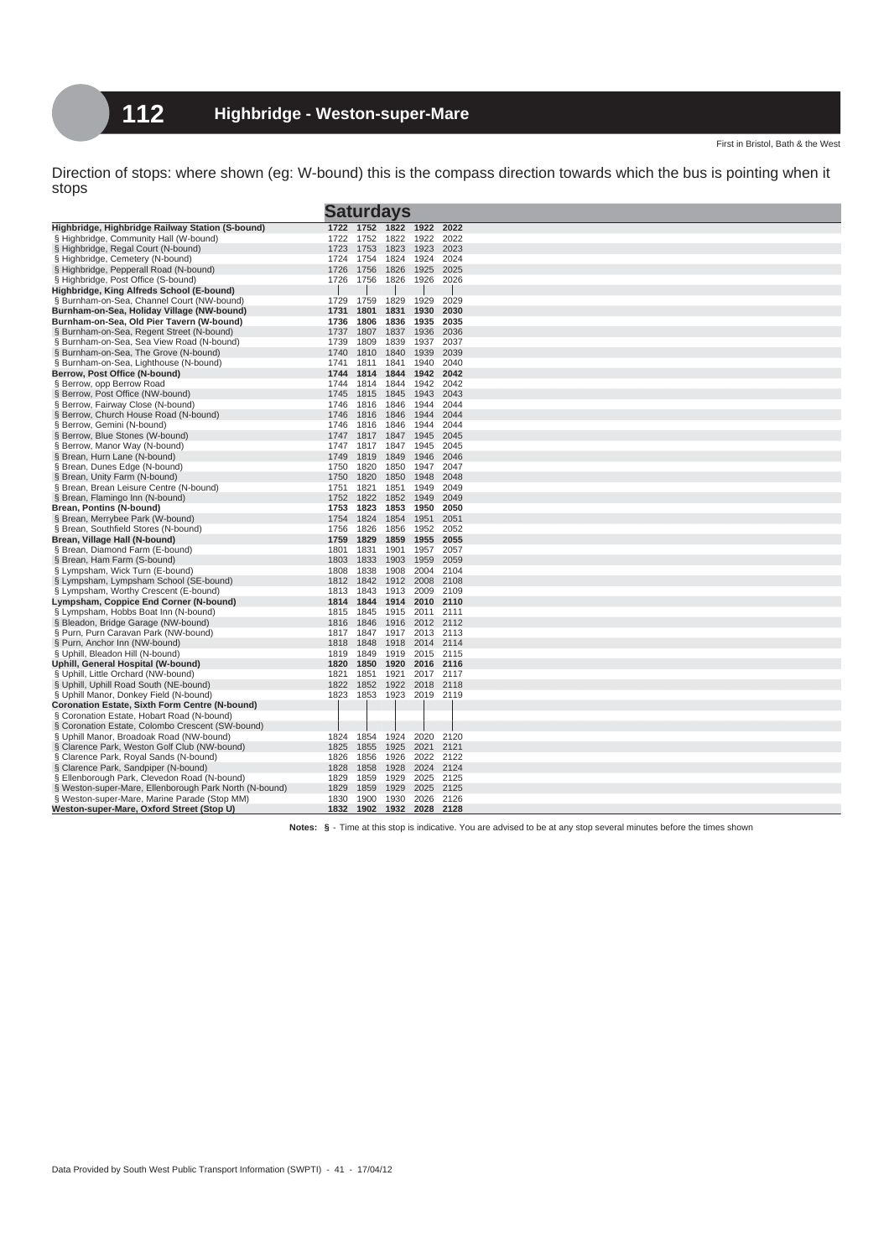|                                                                           | <b>Saturdays</b> |              |                |                |                   |
|---------------------------------------------------------------------------|------------------|--------------|----------------|----------------|-------------------|
| Highbridge, Highbridge Railway Station (S-bound)                          |                  | 1722 1752    | 1822           | 1922           | 2022              |
| § Highbridge, Community Hall (W-bound)                                    | 1722             | 1752         | 1822           | 1922           | 2022              |
| § Highbridge, Regal Court (N-bound)                                       | 1723             | 1753         | 1823           | 1923           | 2023              |
| § Highbridge, Cemetery (N-bound)                                          | 1724             | 1754         | 1824           | 1924           | 2024              |
| § Highbridge, Pepperall Road (N-bound)                                    | 1726             | 1756         | 1826           | 1925           | 2025              |
| § Highbridge, Post Office (S-bound)                                       | 1726             | 1756         | 1826           | 1926           | 2026              |
| Highbridge, King Alfreds School (E-bound)                                 |                  |              |                |                |                   |
| § Burnham-on-Sea, Channel Court (NW-bound)                                | 1729             | 1759         | 1829           | 1929           | 2029              |
| Burnham-on-Sea, Holiday Village (NW-bound)                                | 1731             | 1801         | 1831           | 1930           | 2030              |
| Burnham-on-Sea, Old Pier Tavern (W-bound)                                 | 1736             | 1806         | 1836           | 1935           | 2035              |
| § Burnham-on-Sea, Regent Street (N-bound)                                 | 1737             | 1807         | 1837           | 1936           | 2036              |
| § Burnham-on-Sea, Sea View Road (N-bound)                                 | 1739             | 1809         | 1839           | 1937           | 2037              |
| § Burnham-on-Sea, The Grove (N-bound)                                     | 1740             | 1810         | 1840           | 1939           | 2039              |
| § Burnham-on-Sea, Lighthouse (N-bound)                                    | 1741             | 1811         | 1841           | 1940           | 2040              |
| Berrow, Post Office (N-bound)                                             | 1744             | 1814         | 1844           | 1942           | 2042              |
| § Berrow, opp Berrow Road                                                 | 1744             | 1814         | 1844           | 1942           | 2042              |
| § Berrow, Post Office (NW-bound)                                          | 1745             | 1815         | 1845           | 1943           | 2043              |
| Berrow, Fairway Close (N-bound)                                           | 1746             | 1816         | 1846           | 1944           | 2044              |
| § Berrow, Church House Road (N-bound)                                     | 1746             | 1816         | 1846           | 1944           | 2044              |
| Berrow, Gemini (N-bound)                                                  | 1746             | 1816         | 1846           | 1944           | 2044              |
| § Berrow, Blue Stones (W-bound)                                           | 1747             | 1817         | 1847           | 1945           | 2045              |
| § Berrow, Manor Way (N-bound)                                             | 1747             | 1817         | 1847           | 1945           | 2045              |
| § Brean, Hurn Lane (N-bound)                                              | 1749             | 1819         | 1849           | 1946           | 2046              |
| § Brean, Dunes Edge (N-bound)                                             | 1750             | 1820         | 1850           | 1947           | 2047              |
| § Brean, Unity Farm (N-bound)                                             | 1750             | 1820         | 1850           | 1948           | 2048              |
| § Brean, Brean Leisure Centre (N-bound)                                   | 1751             | 1821         | 1851           | 1949           | 2049              |
| § Brean, Flamingo Inn (N-bound)                                           | 1752             | 1822         | 1852           | 1949           | 2049              |
| Brean, Pontins (N-bound)                                                  | 1753             | 1823         | 1853           | 1950           | 2050              |
| § Brean, Merrybee Park (W-bound)                                          | 1754             | 1824         | 1854           | 1951           | 2051              |
| § Brean, Southfield Stores (N-bound)                                      | 1756             | 1826         | 1856           | 1952           | 2052              |
| Brean, Village Hall (N-bound)                                             | 1759             | 1829         | 1859           | 1955           | 2055              |
| § Brean, Diamond Farm (E-bound)                                           | 1801             | 1831         | 1901           | 1957           | 2057              |
| § Brean, Ham Farm (S-bound)                                               | 1803             | 1833         | 1903           | 1959           | 2059              |
| § Lympsham, Wick Turn (E-bound)                                           | 1808             | 1838         | 1908           | 2004           | 2104              |
| § Lympsham, Lympsham School (SE-bound)                                    | 1812             | 1842         | 1912           | 2008           | 2108              |
| § Lympsham, Worthy Crescent (E-bound)                                     | 1813             | 1843         | 1913           | 2009           | 2109              |
| Lympsham, Coppice End Corner (N-bound)                                    | 1814             | 1844         | 1914           | 2010 2110      |                   |
| § Lympsham, Hobbs Boat Inn (N-bound)                                      | 1815             | 1845         | 1915           | 2011 2111      |                   |
| § Bleadon, Bridge Garage (NW-bound)                                       | 1816             | 1846         | 1916           |                | 2012 2112         |
| § Purn, Purn Caravan Park (NW-bound)                                      | 1817<br>1818     | 1847<br>1848 | 1917<br>1918   | 2014           | 2013 2113<br>2114 |
| § Purn, Anchor Inn (NW-bound)<br>§ Uphill, Bleadon Hill (N-bound)         | 1819             | 1849         | 1919           |                | 2015 2115         |
|                                                                           | 1820             | 1850         | 1920           | 2016           | 2116              |
| Uphill, General Hospital (W-bound)<br>§ Uphill, Little Orchard (NW-bound) | 1821             | 1851         | 1921           |                | 2017 2117         |
| § Uphill, Uphill Road South (NE-bound)                                    | 1822             | 1852         | 1922           | 2018 2118      |                   |
| § Uphill Manor, Donkey Field (N-bound)                                    | 1823             | 1853         |                | 1923 2019 2119 |                   |
| <b>Coronation Estate, Sixth Form Centre (N-bound)</b>                     |                  |              |                |                |                   |
| § Coronation Estate, Hobart Road (N-bound)                                |                  |              |                |                |                   |
| § Coronation Estate, Colombo Crescent (SW-bound)                          |                  |              |                |                |                   |
| § Uphill Manor, Broadoak Road (NW-bound)                                  | 1824             | 1854         | 1924           | 2020           | 2120              |
| § Clarence Park, Weston Golf Club (NW-bound)                              | 1825             | 1855         | 1925           | 2021           | 2121              |
| § Clarence Park, Royal Sands (N-bound)                                    | 1826             | 1856         | 1926           | 2022           | 2122              |
| § Clarence Park, Sandpiper (N-bound)                                      | 1828             | 1858         | 1928           | 2024           | 2124              |
| § Ellenborough Park, Clevedon Road (N-bound)                              | 1829             | 1859         | 1929           | 2025           | 2125              |
| § Weston-super-Mare, Ellenborough Park North (N-bound)                    | 1829             | 1859         | 1929           | 2025           | 2125              |
| § Weston-super-Mare, Marine Parade (Stop MM)                              | 1830             | 1900         | 1930           | 2026           | 2126              |
| Weston-super-Mare, Oxford Street (Stop U)                                 |                  | 1832 1902    | 1932 2028 2128 |                |                   |
|                                                                           |                  |              |                |                |                   |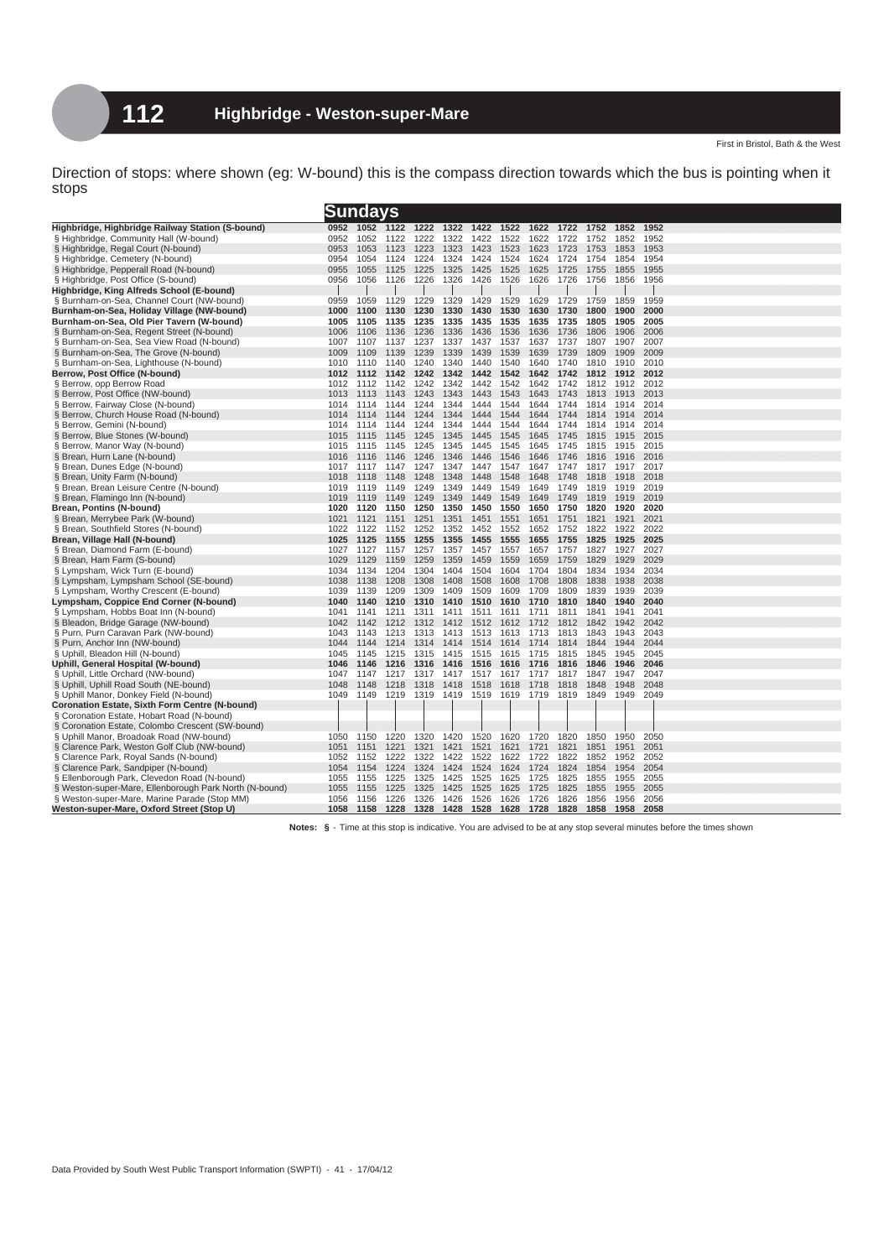|                                                        | <u>Sundays</u> |      |      |      |      |      |      |      |      |      |      |      |  |
|--------------------------------------------------------|----------------|------|------|------|------|------|------|------|------|------|------|------|--|
| Highbridge, Highbridge Railway Station (S-bound)       | 0952           | 1052 | 1122 | 1222 | 1322 | 1422 | 1522 | 1622 | 1722 | 1752 | 1852 | 1952 |  |
| § Highbridge, Community Hall (W-bound)                 | 0952           | 1052 | 1122 | 1222 | 1322 | 1422 | 1522 | 1622 | 1722 | 1752 | 1852 | 1952 |  |
| § Highbridge, Regal Court (N-bound)                    | 0953           | 1053 | 1123 | 1223 | 1323 | 1423 | 1523 | 1623 | 1723 | 1753 | 1853 | 1953 |  |
| § Highbridge, Cemetery (N-bound)                       | 0954           | 1054 | 1124 | 1224 | 1324 | 1424 | 1524 | 1624 | 1724 | 1754 | 1854 | 1954 |  |
| § Highbridge, Pepperall Road (N-bound)                 | 0955           | 1055 | 1125 | 1225 | 1325 | 1425 | 1525 | 1625 | 1725 | 1755 | 1855 | 1955 |  |
| § Highbridge, Post Office (S-bound)                    | 0956           | 1056 | 1126 | 1226 | 1326 | 1426 | 1526 | 1626 | 1726 | 1756 | 1856 | 1956 |  |
| Highbridge, King Alfreds School (E-bound)              |                |      |      |      |      |      |      |      |      |      |      |      |  |
| § Burnham-on-Sea, Channel Court (NW-bound)             | 0959           | 1059 | 1129 | 1229 | 1329 | 1429 | 1529 | 1629 | 1729 | 1759 | 1859 | 1959 |  |
| Burnham-on-Sea, Holiday Village (NW-bound)             | 1000           | 1100 | 1130 | 1230 | 1330 | 1430 | 1530 | 1630 | 1730 | 1800 | 1900 | 2000 |  |
| Burnham-on-Sea, Old Pier Tavern (W-bound)              | 1005           | 1105 | 1135 | 1235 | 1335 | 1435 | 1535 | 1635 | 1735 | 1805 | 1905 | 2005 |  |
| § Burnham-on-Sea, Regent Street (N-bound)              | 1006           | 1106 | 1136 | 1236 | 1336 | 1436 | 1536 | 1636 | 1736 | 1806 | 1906 | 2006 |  |
| § Burnham-on-Sea, Sea View Road (N-bound)              | 1007           | 1107 | 1137 | 1237 | 1337 | 1437 | 1537 | 1637 | 1737 | 1807 | 1907 | 2007 |  |
| § Burnham-on-Sea, The Grove (N-bound)                  | 1009           | 1109 | 1139 | 1239 | 1339 | 1439 | 1539 | 1639 | 1739 | 1809 | 1909 | 2009 |  |
| § Burnham-on-Sea, Lighthouse (N-bound)                 | 1010           | 1110 | 1140 | 1240 | 1340 | 1440 | 1540 | 1640 | 1740 | 1810 | 1910 | 2010 |  |
| Berrow, Post Office (N-bound)                          | 1012           | 1112 | 1142 | 1242 | 1342 | 1442 | 1542 | 1642 | 1742 | 1812 | 1912 | 2012 |  |
| § Berrow, opp Berrow Road                              | 1012           | 1112 | 1142 | 1242 | 1342 | 1442 | 1542 | 1642 | 1742 | 1812 | 1912 | 2012 |  |
| § Berrow, Post Office (NW-bound)                       | 1013           | 1113 | 1143 | 1243 | 1343 | 1443 | 1543 | 1643 | 1743 | 1813 | 1913 | 2013 |  |
| § Berrow, Fairway Close (N-bound)                      | 1014           | 1114 | 1144 | 1244 | 1344 | 1444 | 1544 | 1644 | 1744 | 1814 | 1914 | 2014 |  |
| § Berrow, Church House Road (N-bound)                  | 1014           | 1114 | 1144 | 1244 | 1344 | 1444 | 1544 | 1644 | 1744 | 1814 | 1914 | 2014 |  |
| § Berrow, Gemini (N-bound)                             | 1014           | 1114 | 1144 | 1244 | 1344 | 1444 | 1544 | 1644 | 1744 | 1814 | 1914 | 2014 |  |
| § Berrow, Blue Stones (W-bound)                        | 1015           | 1115 | 1145 | 1245 | 1345 | 1445 | 1545 | 1645 | 1745 | 1815 | 1915 | 2015 |  |
| § Berrow, Manor Way (N-bound)                          | 1015           | 1115 | 1145 | 1245 | 1345 | 1445 | 1545 | 1645 | 1745 | 1815 | 1915 | 2015 |  |
| § Brean, Hurn Lane (N-bound)                           | 1016           | 1116 | 1146 | 1246 | 1346 | 1446 | 1546 | 1646 | 1746 | 1816 | 1916 | 2016 |  |
| § Brean, Dunes Edge (N-bound)                          | 1017           | 1117 | 1147 | 1247 | 1347 | 1447 | 1547 | 1647 | 1747 | 1817 | 1917 | 2017 |  |
| § Brean, Unity Farm (N-bound)                          | 1018           | 1118 | 1148 | 1248 | 1348 | 1448 | 1548 | 1648 | 1748 | 1818 | 1918 | 2018 |  |
| § Brean, Brean Leisure Centre (N-bound)                | 1019           | 1119 | 1149 | 1249 | 1349 | 1449 | 1549 | 1649 | 1749 | 1819 | 1919 | 2019 |  |
| § Brean, Flamingo Inn (N-bound)                        | 1019           | 1119 | 1149 | 1249 | 1349 | 1449 | 1549 | 1649 | 1749 | 1819 | 1919 | 2019 |  |
| Brean, Pontins (N-bound)                               | 1020           | 1120 | 1150 | 1250 | 1350 | 1450 | 1550 | 1650 | 1750 | 1820 | 1920 | 2020 |  |
| § Brean, Merrybee Park (W-bound)                       | 1021           | 1121 | 1151 | 1251 | 1351 | 1451 | 1551 | 1651 | 1751 | 1821 | 1921 | 2021 |  |
| § Brean, Southfield Stores (N-bound)                   | 1022           | 1122 | 1152 | 1252 | 1352 | 1452 | 1552 | 1652 | 1752 | 1822 | 1922 | 2022 |  |
| Brean, Village Hall (N-bound)                          | 1025           | 1125 | 1155 | 1255 | 1355 | 1455 | 1555 | 1655 | 1755 | 1825 | 1925 | 2025 |  |
| § Brean, Diamond Farm (E-bound)                        | 1027           | 1127 | 1157 | 1257 | 1357 | 1457 | 1557 | 1657 | 1757 | 1827 | 1927 | 2027 |  |
| § Brean, Ham Farm (S-bound)                            | 1029           | 1129 | 1159 | 1259 | 1359 | 1459 | 1559 | 1659 | 1759 | 1829 | 1929 | 2029 |  |
| § Lympsham, Wick Turn (E-bound)                        | 1034           | 1134 | 1204 | 1304 | 1404 | 1504 | 1604 | 1704 | 1804 | 1834 | 1934 | 2034 |  |
| § Lympsham, Lympsham School (SE-bound)                 | 1038           | 1138 | 1208 | 1308 | 1408 | 1508 | 1608 | 1708 | 1808 | 1838 | 1938 | 2038 |  |
| § Lympsham, Worthy Crescent (E-bound)                  | 1039           | 1139 | 1209 | 1309 | 1409 | 1509 | 1609 | 1709 | 1809 | 1839 | 1939 | 2039 |  |
| Lympsham, Coppice End Corner (N-bound)                 | 1040           | 1140 | 1210 | 1310 | 1410 | 1510 | 1610 | 1710 | 1810 | 1840 | 1940 | 2040 |  |
| § Lympsham, Hobbs Boat Inn (N-bound)                   | 1041           | 1141 | 1211 | 1311 | 1411 | 1511 | 1611 | 1711 | 1811 | 1841 | 1941 | 2041 |  |
| § Bleadon, Bridge Garage (NW-bound)                    | 1042           | 1142 | 1212 | 1312 | 1412 | 1512 | 1612 | 1712 | 1812 | 1842 | 1942 | 2042 |  |
| § Purn, Purn Caravan Park (NW-bound)                   | 1043           | 1143 | 1213 | 1313 | 1413 | 1513 | 1613 | 1713 | 1813 | 1843 | 1943 | 2043 |  |
| § Purn, Anchor Inn (NW-bound)                          | 1044           | 1144 | 1214 | 1314 | 1414 | 1514 | 1614 | 1714 | 1814 | 1844 | 1944 | 2044 |  |
| § Uphill, Bleadon Hill (N-bound)                       | 1045           | 1145 | 1215 | 1315 | 1415 | 1515 | 1615 | 1715 | 1815 | 1845 | 1945 | 2045 |  |
| Uphill, General Hospital (W-bound)                     | 1046           | 1146 | 1216 | 1316 | 1416 | 1516 | 1616 | 1716 | 1816 | 1846 | 1946 | 2046 |  |
| § Uphill, Little Orchard (NW-bound)                    | 1047           | 1147 | 1217 | 1317 | 1417 | 1517 | 1617 | 1717 | 1817 | 1847 | 1947 | 2047 |  |
| § Uphill, Uphill Road South (NE-bound)                 | 1048           | 1148 | 1218 | 1318 | 1418 | 1518 | 1618 | 1718 | 1818 | 1848 | 1948 | 2048 |  |
| § Uphill Manor, Donkey Field (N-bound)                 | 1049           | 1149 | 1219 | 1319 | 1419 | 1519 | 1619 | 1719 | 1819 | 1849 | 1949 | 2049 |  |
| <b>Coronation Estate, Sixth Form Centre (N-bound)</b>  |                |      |      |      |      |      |      |      |      |      |      |      |  |
| § Coronation Estate, Hobart Road (N-bound)             |                |      |      |      |      |      |      |      |      |      |      |      |  |
| § Coronation Estate, Colombo Crescent (SW-bound)       |                |      |      |      |      |      |      |      |      |      |      |      |  |
| § Uphill Manor, Broadoak Road (NW-bound)               | 1050           | 1150 | 1220 | 1320 | 1420 | 1520 | 1620 | 1720 | 1820 | 1850 | 1950 | 2050 |  |
| § Clarence Park, Weston Golf Club (NW-bound)           | 1051           | 1151 | 1221 | 1321 | 1421 | 1521 | 1621 | 1721 | 1821 | 1851 | 1951 | 2051 |  |
| § Clarence Park, Royal Sands (N-bound)                 | 1052           | 1152 | 1222 | 1322 | 1422 | 1522 | 1622 | 1722 | 1822 | 1852 | 1952 | 2052 |  |
| § Clarence Park, Sandpiper (N-bound)                   | 1054           | 1154 | 1224 | 1324 | 1424 | 1524 | 1624 | 1724 | 1824 | 1854 | 1954 | 2054 |  |
| § Ellenborough Park, Clevedon Road (N-bound)           | 1055           | 1155 | 1225 | 1325 | 1425 | 1525 | 1625 | 1725 | 1825 | 1855 | 1955 | 2055 |  |
| § Weston-super-Mare, Ellenborough Park North (N-bound) | 1055           | 1155 | 1225 | 1325 | 1425 | 1525 | 1625 | 1725 | 1825 | 1855 | 1955 | 2055 |  |
| § Weston-super-Mare, Marine Parade (Stop MM)           | 1056           | 1156 | 1226 | 1326 | 1426 | 1526 | 1626 | 1726 | 1826 | 1856 | 1956 | 2056 |  |
| Weston-super-Mare, Oxford Street (Stop U)              | 1058           | 1158 | 1228 | 1328 | 1428 | 1528 | 1628 | 1728 | 1828 | 1858 | 1958 | 2058 |  |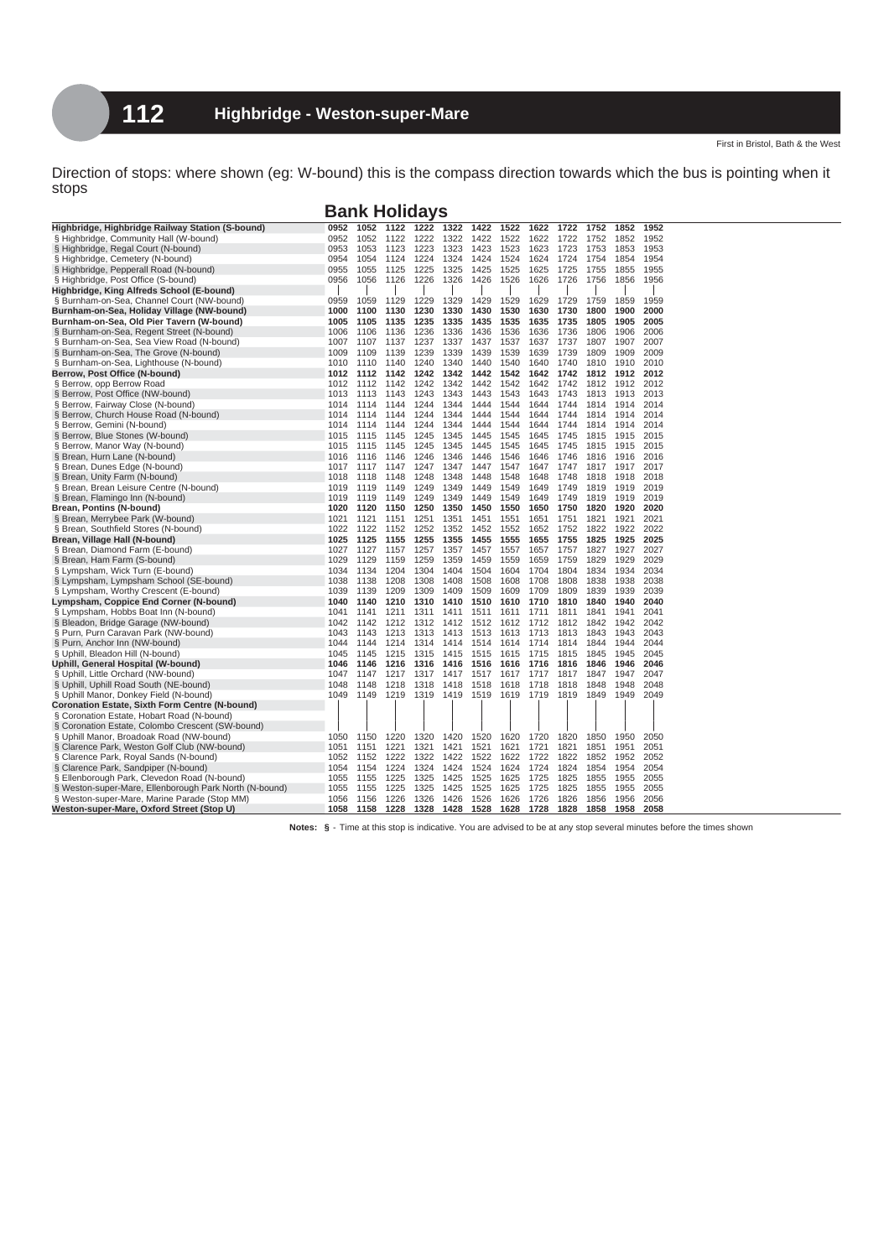**Bank Holidays**

| Highbridge, Highbridge Railway Station (S-bound)       | 0952 | 1052 | 1122 | 1222 | 1322 | 1422      | 1522 | 1622 | 1722 | 1752 | 1852 | 1952 |
|--------------------------------------------------------|------|------|------|------|------|-----------|------|------|------|------|------|------|
| § Highbridge, Community Hall (W-bound)                 | 0952 | 1052 | 1122 | 1222 | 1322 | 1422      | 1522 | 1622 | 1722 | 1752 | 1852 | 1952 |
| § Highbridge, Regal Court (N-bound)                    | 0953 | 1053 | 1123 | 1223 | 1323 | 1423      | 1523 | 1623 | 1723 | 1753 | 1853 | 1953 |
| § Highbridge, Cemetery (N-bound)                       | 0954 | 1054 | 1124 | 1224 | 1324 | 1424      | 1524 | 1624 | 1724 | 1754 | 1854 | 1954 |
| § Highbridge, Pepperall Road (N-bound)                 | 0955 | 1055 | 1125 | 1225 | 1325 | 1425      | 1525 | 1625 | 1725 | 1755 | 1855 | 1955 |
| § Highbridge, Post Office (S-bound)                    | 0956 | 1056 | 1126 | 1226 | 1326 | 1426      | 1526 | 1626 | 1726 | 1756 | 1856 | 1956 |
| Highbridge, King Alfreds School (E-bound)              |      |      |      |      |      |           |      |      |      |      |      |      |
| § Burnham-on-Sea, Channel Court (NW-bound)             | 0959 | 1059 | 1129 | 1229 | 1329 | 1429      | 1529 | 1629 | 1729 | 1759 | 1859 | 1959 |
| Burnham-on-Sea, Holiday Village (NW-bound)             | 1000 | 1100 | 1130 | 1230 | 1330 | 1430      | 1530 | 1630 | 1730 | 1800 | 1900 | 2000 |
| Burnham-on-Sea, Old Pier Tavern (W-bound)              | 1005 | 1105 | 1135 | 1235 | 1335 | 1435      | 1535 | 1635 | 1735 | 1805 | 1905 | 2005 |
| § Burnham-on-Sea, Regent Street (N-bound)              | 1006 | 1106 | 1136 | 1236 | 1336 | 1436      | 1536 | 1636 | 1736 | 1806 | 1906 | 2006 |
| § Burnham-on-Sea, Sea View Road (N-bound)              | 1007 | 1107 | 1137 | 1237 | 1337 | 1437      | 1537 | 1637 | 1737 | 1807 | 1907 | 2007 |
| § Burnham-on-Sea, The Grove (N-bound)                  | 1009 | 1109 | 1139 | 1239 | 1339 | 1439      | 1539 | 1639 | 1739 | 1809 | 1909 | 2009 |
| § Burnham-on-Sea, Lighthouse (N-bound)                 | 1010 | 1110 | 1140 | 1240 | 1340 | 1440      | 1540 | 1640 | 1740 | 1810 | 1910 | 2010 |
| Berrow, Post Office (N-bound)                          | 1012 | 1112 | 1142 | 1242 | 1342 | 1442      | 1542 | 1642 | 1742 | 1812 | 1912 | 2012 |
| § Berrow, opp Berrow Road                              | 1012 | 1112 | 1142 | 1242 | 1342 | 1442      | 1542 | 1642 | 1742 | 1812 | 1912 | 2012 |
| § Berrow, Post Office (NW-bound)                       | 1013 | 1113 | 1143 | 1243 | 1343 | 1443      | 1543 | 1643 | 1743 | 1813 | 1913 | 2013 |
| § Berrow, Fairway Close (N-bound)                      | 1014 | 1114 | 1144 | 1244 | 1344 | 1444      | 1544 | 1644 | 1744 | 1814 | 1914 | 2014 |
| § Berrow, Church House Road (N-bound)                  | 1014 | 1114 | 1144 | 1244 | 1344 | 1444      | 1544 | 1644 | 1744 | 1814 | 1914 | 2014 |
| § Berrow, Gemini (N-bound)                             | 1014 | 1114 | 1144 | 1244 | 1344 | 1444      | 1544 | 1644 | 1744 | 1814 | 1914 | 2014 |
| § Berrow, Blue Stones (W-bound)                        | 1015 | 1115 | 1145 | 1245 | 1345 | 1445      | 1545 | 1645 | 1745 | 1815 | 1915 | 2015 |
| § Berrow, Manor Way (N-bound)                          | 1015 | 1115 | 1145 | 1245 | 1345 | 1445      | 1545 | 1645 | 1745 | 1815 | 1915 | 2015 |
| § Brean, Hurn Lane (N-bound)                           | 1016 | 1116 | 1146 | 1246 | 1346 | 1446      | 1546 | 1646 | 1746 | 1816 | 1916 | 2016 |
| § Brean, Dunes Edge (N-bound)                          | 1017 | 1117 | 1147 | 1247 | 1347 | 1447      | 1547 | 1647 | 1747 | 1817 | 1917 | 2017 |
| § Brean, Unity Farm (N-bound)                          | 1018 | 1118 | 1148 | 1248 | 1348 | 1448      | 1548 | 1648 | 1748 | 1818 | 1918 | 2018 |
| § Brean, Brean Leisure Centre (N-bound)                | 1019 | 1119 | 1149 | 1249 | 1349 | 1449      | 1549 | 1649 | 1749 | 1819 | 1919 | 2019 |
| § Brean, Flamingo Inn (N-bound)                        | 1019 | 1119 | 1149 | 1249 | 1349 | 1449      | 1549 | 1649 | 1749 | 1819 | 1919 | 2019 |
| Brean, Pontins (N-bound)                               | 1020 | 1120 | 1150 | 1250 | 1350 | 1450      | 1550 | 1650 | 1750 | 1820 | 1920 | 2020 |
| § Brean, Merrybee Park (W-bound)                       | 1021 | 1121 | 1151 | 1251 | 1351 | 1451      | 1551 | 1651 | 1751 | 1821 | 1921 | 2021 |
| § Brean, Southfield Stores (N-bound)                   | 1022 | 1122 | 1152 | 1252 | 1352 | 1452      | 1552 | 1652 | 1752 | 1822 | 1922 | 2022 |
| Brean, Village Hall (N-bound)                          | 1025 | 1125 | 1155 | 1255 | 1355 | 1455      | 1555 | 1655 | 1755 | 1825 | 1925 | 2025 |
| § Brean, Diamond Farm (E-bound)                        | 1027 | 1127 | 1157 | 1257 | 1357 | 1457      | 1557 | 1657 | 1757 | 1827 | 1927 | 2027 |
| § Brean, Ham Farm (S-bound)                            | 1029 | 1129 | 1159 | 1259 | 1359 | 1459      | 1559 | 1659 | 1759 | 1829 | 1929 | 2029 |
| § Lympsham, Wick Turn (E-bound)                        | 1034 | 1134 | 1204 | 1304 | 1404 | 1504      | 1604 | 1704 | 1804 | 1834 | 1934 | 2034 |
| § Lympsham, Lympsham School (SE-bound)                 | 1038 | 1138 | 1208 | 1308 | 1408 | 1508      | 1608 | 1708 | 1808 | 1838 | 1938 | 2038 |
| § Lympsham, Worthy Crescent (E-bound)                  | 1039 | 1139 | 1209 | 1309 | 1409 | 1509      | 1609 | 1709 | 1809 | 1839 | 1939 | 2039 |
| Lympsham, Coppice End Corner (N-bound)                 | 1040 | 1140 | 1210 | 1310 | 1410 | 1510      | 1610 | 1710 | 1810 | 1840 | 1940 | 2040 |
| § Lympsham, Hobbs Boat Inn (N-bound)                   | 1041 | 1141 | 1211 | 1311 | 1411 | 1511      | 1611 | 1711 | 1811 | 1841 | 1941 | 2041 |
| § Bleadon, Bridge Garage (NW-bound)                    | 1042 | 1142 | 1212 | 1312 | 1412 | 1512      | 1612 | 1712 | 1812 | 1842 | 1942 | 2042 |
| § Purn, Purn Caravan Park (NW-bound)                   | 1043 | 1143 | 1213 | 1313 | 1413 | 1513      | 1613 | 1713 | 1813 | 1843 | 1943 | 2043 |
| § Purn, Anchor Inn (NW-bound)                          | 1044 | 1144 | 1214 | 1314 | 1414 | 1514      | 1614 | 1714 | 1814 | 1844 | 1944 | 2044 |
| § Uphill, Bleadon Hill (N-bound)                       | 1045 | 1145 | 1215 | 1315 | 1415 | 1515      | 1615 | 1715 | 1815 | 1845 | 1945 | 2045 |
| Uphill, General Hospital (W-bound)                     | 1046 | 1146 | 1216 | 1316 | 1416 | 1516      | 1616 | 1716 | 1816 | 1846 | 1946 | 2046 |
| § Uphill, Little Orchard (NW-bound)                    | 1047 | 1147 | 1217 | 1317 | 1417 | 1517      | 1617 | 1717 | 1817 | 1847 | 1947 | 2047 |
| § Uphill, Uphill Road South (NE-bound)                 | 1048 | 1148 | 1218 | 1318 | 1418 | 1518      | 1618 | 1718 | 1818 | 1848 | 1948 | 2048 |
| § Uphill Manor, Donkey Field (N-bound)                 | 1049 | 1149 | 1219 | 1319 | 1419 | 1519 1619 |      | 1719 | 1819 | 1849 | 1949 | 2049 |
| <b>Coronation Estate, Sixth Form Centre (N-bound)</b>  |      |      |      |      |      |           |      |      |      |      |      |      |
| § Coronation Estate, Hobart Road (N-bound)             |      |      |      |      |      |           |      |      |      |      |      |      |
| § Coronation Estate, Colombo Crescent (SW-bound)       |      |      |      |      |      |           |      |      |      |      |      |      |
| § Uphill Manor, Broadoak Road (NW-bound)               | 1050 | 1150 | 1220 | 1320 | 1420 | 1520      | 1620 | 1720 | 1820 | 1850 | 1950 | 2050 |
| § Clarence Park, Weston Golf Club (NW-bound)           | 1051 | 1151 | 1221 | 1321 | 1421 | 1521      | 1621 | 1721 | 1821 | 1851 | 1951 | 2051 |
| § Clarence Park, Royal Sands (N-bound)                 | 1052 | 1152 | 1222 | 1322 | 1422 | 1522      | 1622 | 1722 | 1822 | 1852 | 1952 | 2052 |
| § Clarence Park, Sandpiper (N-bound)                   | 1054 | 1154 | 1224 | 1324 | 1424 | 1524      | 1624 | 1724 | 1824 | 1854 | 1954 | 2054 |
| § Ellenborough Park, Clevedon Road (N-bound)           | 1055 | 1155 | 1225 | 1325 | 1425 | 1525      | 1625 | 1725 | 1825 | 1855 | 1955 | 2055 |
| § Weston-super-Mare, Ellenborough Park North (N-bound) | 1055 | 1155 | 1225 | 1325 | 1425 | 1525      | 1625 | 1725 | 1825 | 1855 | 1955 | 2055 |
| § Weston-super-Mare, Marine Parade (Stop MM)           | 1056 | 1156 | 1226 | 1326 | 1426 | 1526      | 1626 | 1726 | 1826 | 1856 | 1956 | 2056 |
| Weston-super-Mare, Oxford Street (Stop U)              | 1058 | 1158 | 1228 | 1328 | 1428 | 1528      | 1628 | 1728 | 1828 | 1858 | 1958 | 2058 |
|                                                        |      |      |      |      |      |           |      |      |      |      |      |      |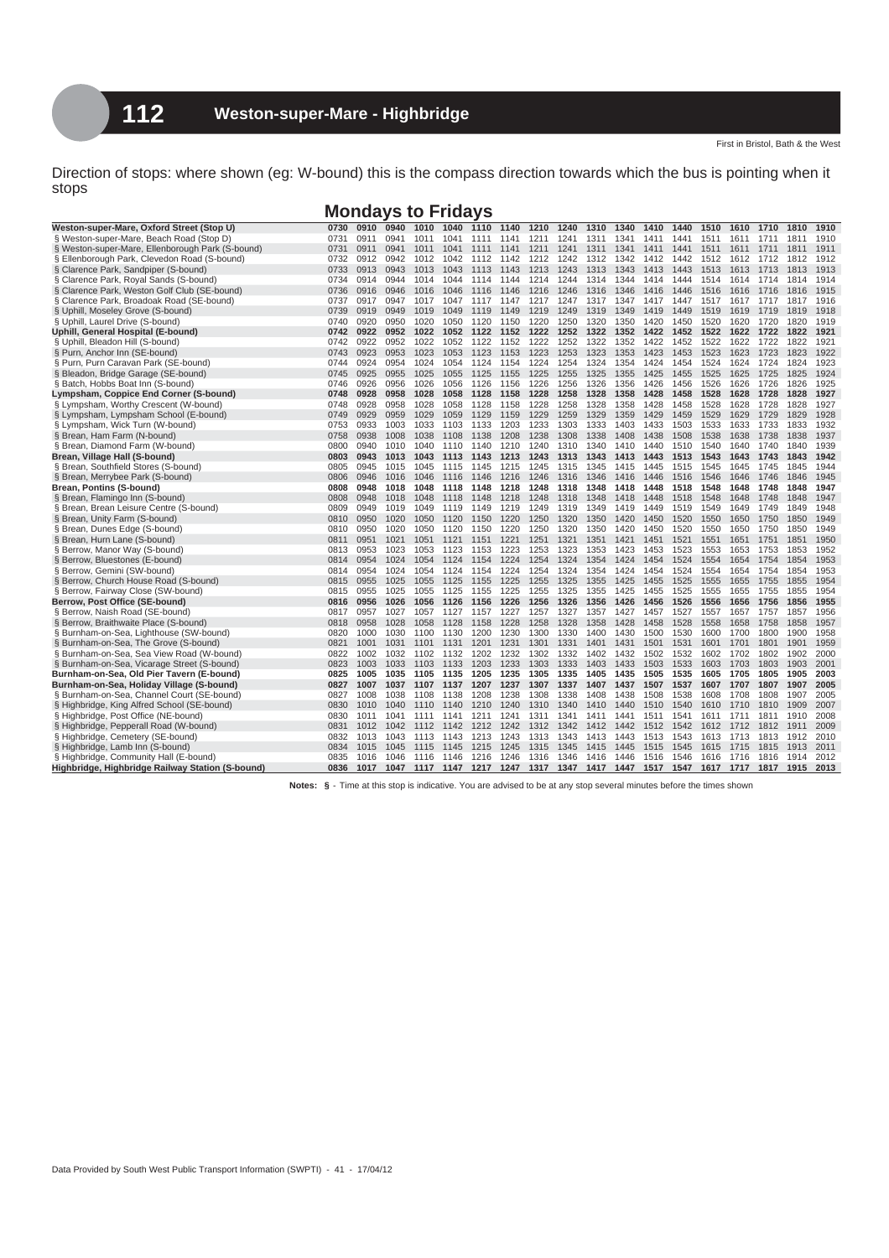## **Mondays to Fridays**

| 0911<br>0941<br>§ Weston-super-Mare, Beach Road (Stop D)<br>0731<br>1011<br>1041<br>1211<br>1241<br>1311<br>1341<br>1511<br>1611<br>1910<br>1111<br>1141<br>1411<br>1441<br>1711<br>1811<br>0941<br>1241<br>1911<br>§ Weston-super-Mare, Ellenborough Park (S-bound)<br>0731<br>0911<br>1011<br>1041<br>1111<br>1141<br>1211<br>1311<br>1341<br>1411<br>1441<br>1511<br>1611<br>1711<br>1811<br>1912<br>§ Ellenborough Park, Clevedon Road (S-bound)<br>0732<br>0912<br>0942<br>1012<br>1042<br>1112<br>1142<br>1212<br>1242<br>1312<br>1342<br>1412<br>1442<br>1512<br>1612<br>1712<br>1812<br>§ Clarence Park, Sandpiper (S-bound)<br>0733<br>0913<br>0943<br>1013<br>1043<br>1113<br>1143<br>1213<br>1243<br>1313<br>1343<br>1413<br>1443<br>1513<br>1613<br>1713<br>1813<br>1913<br>§ Clarence Park, Royal Sands (S-bound)<br>0944<br>1914<br>0734<br>0914<br>1014<br>1044<br>1114<br>1144<br>1214<br>1244<br>1314<br>1344<br>1414<br>1444<br>1514<br>1614<br>1714<br>1814<br>§ Clarence Park, Weston Golf Club (SE-bound)<br>0946<br>1915<br>0736<br>0916<br>1016<br>1046<br>1116<br>1146<br>1216<br>1246<br>1316<br>1346<br>1416<br>1446<br>1516<br>1616<br>1716<br>1816<br>§ Clarence Park, Broadoak Road (SE-bound)<br>0737<br>0917<br>0947<br>1017<br>1047<br>1147<br>1217<br>1247<br>1317<br>1347<br>1417<br>1447<br>1517<br>1617<br>1717<br>1817<br>1916<br>1117<br>§ Uphill, Moseley Grove (S-bound)<br>0739<br>0919<br>0949<br>1019<br>1049<br>1119<br>1149<br>1219<br>1249<br>1319<br>1349<br>1419<br>1449<br>1519<br>1619<br>1719<br>1819<br>1918<br>0950<br>1020<br>1250<br>1320<br>1350<br>1520<br>1919<br>§ Uphill, Laurel Drive (S-bound)<br>0740<br>0920<br>1050<br>1120<br>1150<br>1220<br>1420<br>1450<br>1620<br>1720<br>1820<br>1921<br>Uphill, General Hospital (E-bound)<br>0742<br>0922<br>0952<br>1022<br>1052<br>1122<br>1152<br>1222<br>1252<br>1322<br>1352<br>1422<br>1452<br>1522<br>1622<br>1722<br>1822 |
|--------------------------------------------------------------------------------------------------------------------------------------------------------------------------------------------------------------------------------------------------------------------------------------------------------------------------------------------------------------------------------------------------------------------------------------------------------------------------------------------------------------------------------------------------------------------------------------------------------------------------------------------------------------------------------------------------------------------------------------------------------------------------------------------------------------------------------------------------------------------------------------------------------------------------------------------------------------------------------------------------------------------------------------------------------------------------------------------------------------------------------------------------------------------------------------------------------------------------------------------------------------------------------------------------------------------------------------------------------------------------------------------------------------------------------------------------------------------------------------------------------------------------------------------------------------------------------------------------------------------------------------------------------------------------------------------------------------------------------------------------------------------------------------------------------------------------------------------------------------------------------------------------------------------------------------------|
|                                                                                                                                                                                                                                                                                                                                                                                                                                                                                                                                                                                                                                                                                                                                                                                                                                                                                                                                                                                                                                                                                                                                                                                                                                                                                                                                                                                                                                                                                                                                                                                                                                                                                                                                                                                                                                                                                                                                            |
|                                                                                                                                                                                                                                                                                                                                                                                                                                                                                                                                                                                                                                                                                                                                                                                                                                                                                                                                                                                                                                                                                                                                                                                                                                                                                                                                                                                                                                                                                                                                                                                                                                                                                                                                                                                                                                                                                                                                            |
|                                                                                                                                                                                                                                                                                                                                                                                                                                                                                                                                                                                                                                                                                                                                                                                                                                                                                                                                                                                                                                                                                                                                                                                                                                                                                                                                                                                                                                                                                                                                                                                                                                                                                                                                                                                                                                                                                                                                            |
|                                                                                                                                                                                                                                                                                                                                                                                                                                                                                                                                                                                                                                                                                                                                                                                                                                                                                                                                                                                                                                                                                                                                                                                                                                                                                                                                                                                                                                                                                                                                                                                                                                                                                                                                                                                                                                                                                                                                            |
|                                                                                                                                                                                                                                                                                                                                                                                                                                                                                                                                                                                                                                                                                                                                                                                                                                                                                                                                                                                                                                                                                                                                                                                                                                                                                                                                                                                                                                                                                                                                                                                                                                                                                                                                                                                                                                                                                                                                            |
|                                                                                                                                                                                                                                                                                                                                                                                                                                                                                                                                                                                                                                                                                                                                                                                                                                                                                                                                                                                                                                                                                                                                                                                                                                                                                                                                                                                                                                                                                                                                                                                                                                                                                                                                                                                                                                                                                                                                            |
|                                                                                                                                                                                                                                                                                                                                                                                                                                                                                                                                                                                                                                                                                                                                                                                                                                                                                                                                                                                                                                                                                                                                                                                                                                                                                                                                                                                                                                                                                                                                                                                                                                                                                                                                                                                                                                                                                                                                            |
|                                                                                                                                                                                                                                                                                                                                                                                                                                                                                                                                                                                                                                                                                                                                                                                                                                                                                                                                                                                                                                                                                                                                                                                                                                                                                                                                                                                                                                                                                                                                                                                                                                                                                                                                                                                                                                                                                                                                            |
|                                                                                                                                                                                                                                                                                                                                                                                                                                                                                                                                                                                                                                                                                                                                                                                                                                                                                                                                                                                                                                                                                                                                                                                                                                                                                                                                                                                                                                                                                                                                                                                                                                                                                                                                                                                                                                                                                                                                            |
|                                                                                                                                                                                                                                                                                                                                                                                                                                                                                                                                                                                                                                                                                                                                                                                                                                                                                                                                                                                                                                                                                                                                                                                                                                                                                                                                                                                                                                                                                                                                                                                                                                                                                                                                                                                                                                                                                                                                            |
| § Uphill, Bleadon Hill (S-bound)<br>0952<br>1022<br>1322<br>1522<br>1921<br>0742<br>0922<br>1052<br>1152<br>1222<br>1252<br>1352<br>1422<br>1452<br>1622<br>1722<br>1822<br>1122                                                                                                                                                                                                                                                                                                                                                                                                                                                                                                                                                                                                                                                                                                                                                                                                                                                                                                                                                                                                                                                                                                                                                                                                                                                                                                                                                                                                                                                                                                                                                                                                                                                                                                                                                           |
| § Purn, Anchor Inn (SE-bound)<br>0923<br>0953<br>1023<br>1153<br>1223<br>1253<br>1323<br>1423<br>1523<br>1623<br>1823<br>1922<br>0743<br>1053<br>1123<br>1353<br>1453<br>1723                                                                                                                                                                                                                                                                                                                                                                                                                                                                                                                                                                                                                                                                                                                                                                                                                                                                                                                                                                                                                                                                                                                                                                                                                                                                                                                                                                                                                                                                                                                                                                                                                                                                                                                                                              |
| § Purn, Purn Caravan Park (SE-bound)<br>0924<br>0954<br>1024<br>1254<br>1524<br>1923<br>0744<br>1054<br>1124<br>1154<br>1224<br>1324<br>1354<br>1424<br>1454<br>1624<br>1724<br>1824                                                                                                                                                                                                                                                                                                                                                                                                                                                                                                                                                                                                                                                                                                                                                                                                                                                                                                                                                                                                                                                                                                                                                                                                                                                                                                                                                                                                                                                                                                                                                                                                                                                                                                                                                       |
| 1255<br>1525<br>1924<br>§ Bleadon, Bridge Garage (SE-bound)<br>0745<br>0925<br>0955<br>1025<br>1055<br>1125<br>1155<br>1225<br>1325<br>1355<br>1425<br>1455<br>1625<br>1725<br>1825                                                                                                                                                                                                                                                                                                                                                                                                                                                                                                                                                                                                                                                                                                                                                                                                                                                                                                                                                                                                                                                                                                                                                                                                                                                                                                                                                                                                                                                                                                                                                                                                                                                                                                                                                        |
| § Batch, Hobbs Boat Inn (S-bound)<br>0926<br>0956<br>1026<br>1056<br>1126<br>1226<br>1256<br>1326<br>1356<br>1426<br>1456<br>1526<br>1626<br>1726<br>1826<br>1925<br>0746<br>1156                                                                                                                                                                                                                                                                                                                                                                                                                                                                                                                                                                                                                                                                                                                                                                                                                                                                                                                                                                                                                                                                                                                                                                                                                                                                                                                                                                                                                                                                                                                                                                                                                                                                                                                                                          |
| Lympsham, Coppice End Corner (S-bound)<br>0928<br>0958<br>1028<br>1258<br>1328<br>1358<br>1428<br>1528<br>1628<br>1828<br>1927<br>0748<br>1058<br>1128<br>1158<br>1228<br>1458<br>1728                                                                                                                                                                                                                                                                                                                                                                                                                                                                                                                                                                                                                                                                                                                                                                                                                                                                                                                                                                                                                                                                                                                                                                                                                                                                                                                                                                                                                                                                                                                                                                                                                                                                                                                                                     |
| 0958<br>1028<br>1258<br>1328<br>1428<br>1528<br>1628<br>1828<br>1927<br>§ Lympsham, Worthy Crescent (W-bound)<br>0748<br>0928<br>1058<br>1128<br>1158<br>1228<br>1358<br>1458<br>1728                                                                                                                                                                                                                                                                                                                                                                                                                                                                                                                                                                                                                                                                                                                                                                                                                                                                                                                                                                                                                                                                                                                                                                                                                                                                                                                                                                                                                                                                                                                                                                                                                                                                                                                                                      |
| § Lympsham, Lympsham School (E-bound)<br>0749<br>0929<br>0959<br>1029<br>1059<br>1129<br>1159<br>1229<br>1259<br>1329<br>1359<br>1429<br>1459<br>1529<br>1629<br>1729<br>1829<br>1928                                                                                                                                                                                                                                                                                                                                                                                                                                                                                                                                                                                                                                                                                                                                                                                                                                                                                                                                                                                                                                                                                                                                                                                                                                                                                                                                                                                                                                                                                                                                                                                                                                                                                                                                                      |
| 1003<br>1033<br>1303<br>1333<br>1403<br>1433<br>1533<br>1833<br>1932<br>§ Lympsham, Wick Turn (W-bound)<br>0753<br>0933<br>1103<br>1133<br>1203<br>1233<br>1503<br>1633<br>1733                                                                                                                                                                                                                                                                                                                                                                                                                                                                                                                                                                                                                                                                                                                                                                                                                                                                                                                                                                                                                                                                                                                                                                                                                                                                                                                                                                                                                                                                                                                                                                                                                                                                                                                                                            |
| § Brean, Ham Farm (N-bound)<br>0758<br>0938<br>1008<br>1038<br>1108<br>1138<br>1208<br>1238<br>1308<br>1338<br>1408<br>1438<br>1508<br>1538<br>1638<br>1738<br>1838<br>1937                                                                                                                                                                                                                                                                                                                                                                                                                                                                                                                                                                                                                                                                                                                                                                                                                                                                                                                                                                                                                                                                                                                                                                                                                                                                                                                                                                                                                                                                                                                                                                                                                                                                                                                                                                |
| 0800<br>1540<br>1840<br>1939<br>§ Brean, Diamond Farm (W-bound)<br>0940<br>1010<br>1040<br>1140<br>1210<br>1240<br>1310<br>1340<br>1410<br>1440<br>1510<br>1640<br>1740<br>1110                                                                                                                                                                                                                                                                                                                                                                                                                                                                                                                                                                                                                                                                                                                                                                                                                                                                                                                                                                                                                                                                                                                                                                                                                                                                                                                                                                                                                                                                                                                                                                                                                                                                                                                                                            |
| 0803<br>0943<br>1013<br>1043<br>1243<br>1313<br>1343<br>1443<br>1513<br>1543<br>1643<br>1843<br>1942<br>Brean, Village Hall (S-bound)<br>1113<br>1143<br>1213<br>1413<br>1743                                                                                                                                                                                                                                                                                                                                                                                                                                                                                                                                                                                                                                                                                                                                                                                                                                                                                                                                                                                                                                                                                                                                                                                                                                                                                                                                                                                                                                                                                                                                                                                                                                                                                                                                                              |
| § Brean, Southfield Stores (S-bound)<br>0805<br>0945<br>1245<br>1315<br>1545<br>1845<br>1944<br>1015<br>1045<br>1115<br>1145<br>1215<br>1345<br>1415<br>1445<br>1515<br>1645<br>1745                                                                                                                                                                                                                                                                                                                                                                                                                                                                                                                                                                                                                                                                                                                                                                                                                                                                                                                                                                                                                                                                                                                                                                                                                                                                                                                                                                                                                                                                                                                                                                                                                                                                                                                                                       |
| § Brean, Merrybee Park (S-bound)<br>0806<br>0946<br>1016<br>1046<br>1216<br>1246<br>1316<br>1346<br>1416<br>1446<br>1546<br>1646<br>1746<br>1846<br>1945<br>1116<br>1146<br>1516                                                                                                                                                                                                                                                                                                                                                                                                                                                                                                                                                                                                                                                                                                                                                                                                                                                                                                                                                                                                                                                                                                                                                                                                                                                                                                                                                                                                                                                                                                                                                                                                                                                                                                                                                           |
| Brean, Pontins (S-bound)<br>0808<br>0948<br>1018<br>1218<br>1248<br>1318<br>1348<br>1418<br>1448<br>1518<br>1548<br>1648<br>1748<br>1848<br>1947<br>1048<br>1118<br>1148                                                                                                                                                                                                                                                                                                                                                                                                                                                                                                                                                                                                                                                                                                                                                                                                                                                                                                                                                                                                                                                                                                                                                                                                                                                                                                                                                                                                                                                                                                                                                                                                                                                                                                                                                                   |
| § Brean, Flamingo Inn (S-bound)<br>0808<br>0948<br>1548<br>1648<br>1748<br>1848<br>1947<br>1018<br>1048<br>1148<br>1218<br>1248<br>1318<br>1348<br>1418<br>1448<br>1518<br>1118                                                                                                                                                                                                                                                                                                                                                                                                                                                                                                                                                                                                                                                                                                                                                                                                                                                                                                                                                                                                                                                                                                                                                                                                                                                                                                                                                                                                                                                                                                                                                                                                                                                                                                                                                            |
| 1319<br>1349<br>1549<br>1849<br>1948<br>§ Brean, Brean Leisure Centre (S-bound)<br>0809<br>0949<br>1019<br>1049<br>1149<br>1219<br>1249<br>1419<br>1449<br>1519<br>1649<br>1749<br>1119                                                                                                                                                                                                                                                                                                                                                                                                                                                                                                                                                                                                                                                                                                                                                                                                                                                                                                                                                                                                                                                                                                                                                                                                                                                                                                                                                                                                                                                                                                                                                                                                                                                                                                                                                    |
| § Brean, Unity Farm (S-bound)<br>0810<br>0950<br>1020<br>1050<br>1220<br>1250<br>1320<br>1350<br>1420<br>1450<br>1520<br>1550<br>1650<br>1750<br>1850<br>1949<br>1120<br>1150                                                                                                                                                                                                                                                                                                                                                                                                                                                                                                                                                                                                                                                                                                                                                                                                                                                                                                                                                                                                                                                                                                                                                                                                                                                                                                                                                                                                                                                                                                                                                                                                                                                                                                                                                              |
| 1020<br>1220<br>1250<br>1320<br>1350<br>1420<br>1520<br>1550<br>1850<br>1949<br>§ Brean, Dunes Edge (S-bound)<br>0810<br>0950<br>1050<br>1120<br>1150<br>1450<br>1650<br>1750                                                                                                                                                                                                                                                                                                                                                                                                                                                                                                                                                                                                                                                                                                                                                                                                                                                                                                                                                                                                                                                                                                                                                                                                                                                                                                                                                                                                                                                                                                                                                                                                                                                                                                                                                              |
| § Brean, Hurn Lane (S-bound)<br>0811<br>0951<br>1021<br>1051<br>1121<br>1221<br>1251<br>1321<br>1351<br>1421<br>1451<br>1521<br>1551<br>1651<br>1751<br>1851<br>1950<br>1151                                                                                                                                                                                                                                                                                                                                                                                                                                                                                                                                                                                                                                                                                                                                                                                                                                                                                                                                                                                                                                                                                                                                                                                                                                                                                                                                                                                                                                                                                                                                                                                                                                                                                                                                                               |
| 1952<br>§ Berrow, Manor Way (S-bound)<br>0813<br>0953<br>1023<br>1053<br>1223<br>1253<br>1323<br>1353<br>1423<br>1453<br>1523<br>1553<br>1653<br>1753<br>1853<br>1123<br>1153                                                                                                                                                                                                                                                                                                                                                                                                                                                                                                                                                                                                                                                                                                                                                                                                                                                                                                                                                                                                                                                                                                                                                                                                                                                                                                                                                                                                                                                                                                                                                                                                                                                                                                                                                              |
| 0814<br>0954<br>1024<br>1054<br>1254<br>1324<br>1354<br>1454<br>1524<br>1554<br>1654<br>1854<br>1953<br>§ Berrow, Bluestones (E-bound)<br>1124<br>1154<br>1224<br>1424<br>1754                                                                                                                                                                                                                                                                                                                                                                                                                                                                                                                                                                                                                                                                                                                                                                                                                                                                                                                                                                                                                                                                                                                                                                                                                                                                                                                                                                                                                                                                                                                                                                                                                                                                                                                                                             |
| § Berrow, Gemini (SW-bound)<br>0954<br>1024<br>1054<br>1254<br>1324<br>1354<br>1424<br>1454<br>1524<br>1554<br>1654<br>1754<br>1854<br>1953<br>0814<br>1124<br>1154<br>1224                                                                                                                                                                                                                                                                                                                                                                                                                                                                                                                                                                                                                                                                                                                                                                                                                                                                                                                                                                                                                                                                                                                                                                                                                                                                                                                                                                                                                                                                                                                                                                                                                                                                                                                                                                |
| 1555<br>§ Berrow, Church House Road (S-bound)<br>0955<br>1025<br>1055<br>1125<br>1225<br>1255<br>1325<br>1355<br>1425<br>1455<br>1525<br>1655<br>1755<br>1855<br>1954<br>0815<br>1155                                                                                                                                                                                                                                                                                                                                                                                                                                                                                                                                                                                                                                                                                                                                                                                                                                                                                                                                                                                                                                                                                                                                                                                                                                                                                                                                                                                                                                                                                                                                                                                                                                                                                                                                                      |
| § Berrow, Fairway Close (SW-bound)<br>1025<br>1055<br>1125<br>1225<br>1255<br>1325<br>1355<br>1425<br>1455<br>1525<br>1555<br>1655<br>1755<br>1855<br>1954<br>0815<br>0955<br>1155                                                                                                                                                                                                                                                                                                                                                                                                                                                                                                                                                                                                                                                                                                                                                                                                                                                                                                                                                                                                                                                                                                                                                                                                                                                                                                                                                                                                                                                                                                                                                                                                                                                                                                                                                         |
| 0956<br>1056<br>1256<br>1326<br>1356<br>1426<br>1556<br>1656<br>1856<br>1955<br>Berrow, Post Office (SE-bound)<br>0816<br>1026<br>1126<br>1156<br>1226<br>1456<br>1526<br>1756                                                                                                                                                                                                                                                                                                                                                                                                                                                                                                                                                                                                                                                                                                                                                                                                                                                                                                                                                                                                                                                                                                                                                                                                                                                                                                                                                                                                                                                                                                                                                                                                                                                                                                                                                             |
| 1956<br>§ Berrow, Naish Road (SE-bound)<br>0817<br>0957<br>1027<br>1057<br>1227<br>1257<br>1327<br>1357<br>1427<br>1457<br>1527<br>1557<br>1657<br>1757<br>1857<br>1127<br>1157                                                                                                                                                                                                                                                                                                                                                                                                                                                                                                                                                                                                                                                                                                                                                                                                                                                                                                                                                                                                                                                                                                                                                                                                                                                                                                                                                                                                                                                                                                                                                                                                                                                                                                                                                            |
| 1858<br>§ Berrow, Braithwaite Place (S-bound)<br>0818<br>0958<br>1028<br>1058<br>1128<br>1158<br>1228<br>1258<br>1328<br>1358<br>1428<br>1458<br>1528<br>1558<br>1658<br>1758<br>1957                                                                                                                                                                                                                                                                                                                                                                                                                                                                                                                                                                                                                                                                                                                                                                                                                                                                                                                                                                                                                                                                                                                                                                                                                                                                                                                                                                                                                                                                                                                                                                                                                                                                                                                                                      |
| 1600<br>1900<br>1958<br>§ Burnham-on-Sea, Lighthouse (SW-bound)<br>0820<br>1000<br>1030<br>1230<br>1300<br>1330<br>1400<br>1430<br>1500<br>1530<br>1700<br>1800<br>1100<br>1130<br>1200                                                                                                                                                                                                                                                                                                                                                                                                                                                                                                                                                                                                                                                                                                                                                                                                                                                                                                                                                                                                                                                                                                                                                                                                                                                                                                                                                                                                                                                                                                                                                                                                                                                                                                                                                    |
| 1901<br>1959<br>§ Burnham-on-Sea, The Grove (S-bound)<br>0821<br>1001<br>1031<br>1131<br>1201<br>1231<br>1301<br>1331<br>1401<br>1431<br>1501<br>1531<br>1601<br>1701<br>1801<br>1101                                                                                                                                                                                                                                                                                                                                                                                                                                                                                                                                                                                                                                                                                                                                                                                                                                                                                                                                                                                                                                                                                                                                                                                                                                                                                                                                                                                                                                                                                                                                                                                                                                                                                                                                                      |
| 1902<br>2000<br>§ Burnham-on-Sea, Sea View Road (W-bound)<br>0822<br>1002<br>1032<br>1202<br>1232<br>1302<br>1332<br>1402<br>1432<br>1502<br>1532<br>1602<br>1702<br>1802<br>1102<br>1132                                                                                                                                                                                                                                                                                                                                                                                                                                                                                                                                                                                                                                                                                                                                                                                                                                                                                                                                                                                                                                                                                                                                                                                                                                                                                                                                                                                                                                                                                                                                                                                                                                                                                                                                                  |
| 2001<br>§ Burnham-on-Sea, Vicarage Street (S-bound)<br>0823<br>1233<br>1303<br>1333<br>1403<br>1433<br>1503<br>1533<br>1603<br>1703<br>1803<br>1903<br>1003<br>1033<br>1103<br>1133<br>1203                                                                                                                                                                                                                                                                                                                                                                                                                                                                                                                                                                                                                                                                                                                                                                                                                                                                                                                                                                                                                                                                                                                                                                                                                                                                                                                                                                                                                                                                                                                                                                                                                                                                                                                                                |
| Burnham-on-Sea, Old Pier Tavern (E-bound)<br>1235<br>1305<br>1435<br>1505<br>1605<br>1705<br>1805<br>1905<br>2003<br>0825<br>1005<br>1035<br>1105<br>1135<br>1205<br>1335<br>1405<br>1535                                                                                                                                                                                                                                                                                                                                                                                                                                                                                                                                                                                                                                                                                                                                                                                                                                                                                                                                                                                                                                                                                                                                                                                                                                                                                                                                                                                                                                                                                                                                                                                                                                                                                                                                                  |
| Burnham-on-Sea, Holiday Village (S-bound)<br>1037<br>1207<br>1237<br>1307<br>1337<br>1407<br>1437<br>1507<br>1537<br>1607<br>1807<br>1907<br>2005<br>0827<br>1007<br>1107<br>1137<br>1707                                                                                                                                                                                                                                                                                                                                                                                                                                                                                                                                                                                                                                                                                                                                                                                                                                                                                                                                                                                                                                                                                                                                                                                                                                                                                                                                                                                                                                                                                                                                                                                                                                                                                                                                                  |
| § Burnham-on-Sea, Channel Court (SE-bound)<br>1238<br>1308<br>1338<br>1438<br>1508<br>1538<br>1808<br>1907<br>2005<br>0827<br>1008<br>1038<br>1108<br>1138<br>1208<br>1408<br>1608<br>1708                                                                                                                                                                                                                                                                                                                                                                                                                                                                                                                                                                                                                                                                                                                                                                                                                                                                                                                                                                                                                                                                                                                                                                                                                                                                                                                                                                                                                                                                                                                                                                                                                                                                                                                                                 |
| § Highbridge, King Alfred School (SE-bound)<br>1909<br>2007<br>0830<br>1010<br>1040<br>1110<br>1140<br>1210<br>1240<br>1310<br>1340<br>1410<br>1440<br>1510<br>1540<br>1610<br>1710<br>1810                                                                                                                                                                                                                                                                                                                                                                                                                                                                                                                                                                                                                                                                                                                                                                                                                                                                                                                                                                                                                                                                                                                                                                                                                                                                                                                                                                                                                                                                                                                                                                                                                                                                                                                                                |
| 2008<br>0830<br>1041<br>1241<br>1341<br>1611<br>1811<br>1910<br>§ Highbridge, Post Office (NE-bound)<br>1011<br>1111<br>1141<br>1211<br>1311<br>1411<br>1441<br>1511<br>1541<br>1711                                                                                                                                                                                                                                                                                                                                                                                                                                                                                                                                                                                                                                                                                                                                                                                                                                                                                                                                                                                                                                                                                                                                                                                                                                                                                                                                                                                                                                                                                                                                                                                                                                                                                                                                                       |
| § Highbridge, Pepperall Road (W-bound)<br>0831<br>1012<br>1042<br>1142<br>1212<br>1242<br>1312<br>1342<br>1442<br>1512<br>1542<br>1612<br>1812<br>1911<br>2009<br>1112<br>1412<br>1712                                                                                                                                                                                                                                                                                                                                                                                                                                                                                                                                                                                                                                                                                                                                                                                                                                                                                                                                                                                                                                                                                                                                                                                                                                                                                                                                                                                                                                                                                                                                                                                                                                                                                                                                                     |
| 2010<br>§ Highbridge, Cemetery (SE-bound)<br>1013<br>1043<br>1213<br>1243<br>1313<br>1343<br>1443<br>1513<br>1543<br>1613<br>1813<br>1912<br>0832<br>1113<br>1143<br>1413<br>1713                                                                                                                                                                                                                                                                                                                                                                                                                                                                                                                                                                                                                                                                                                                                                                                                                                                                                                                                                                                                                                                                                                                                                                                                                                                                                                                                                                                                                                                                                                                                                                                                                                                                                                                                                          |
| § Highbridge, Lamb Inn (S-bound)<br>0834<br>1015<br>1045<br>1215<br>1245<br>1345<br>1445<br>1615<br>1815<br>1913<br>2011<br>1115<br>1145<br>1315<br>1415<br>1515<br>1545<br>1715                                                                                                                                                                                                                                                                                                                                                                                                                                                                                                                                                                                                                                                                                                                                                                                                                                                                                                                                                                                                                                                                                                                                                                                                                                                                                                                                                                                                                                                                                                                                                                                                                                                                                                                                                           |
| § Highbridge, Community Hall (E-bound)<br>1046<br>1216<br>1246<br>1316<br>1446<br>1546<br>1616<br>1914<br>2012<br>0835<br>1016<br>1116<br>1146<br>1346<br>1416<br>1516<br>1716<br>1816                                                                                                                                                                                                                                                                                                                                                                                                                                                                                                                                                                                                                                                                                                                                                                                                                                                                                                                                                                                                                                                                                                                                                                                                                                                                                                                                                                                                                                                                                                                                                                                                                                                                                                                                                     |
| Highbridge, Highbridge Railway Station (S-bound)<br>0836<br>1017<br>1047 1117 1147 1217 1247 1317 1347 1417 1447 1517 1547 1617 1717 1817 1915<br>2013                                                                                                                                                                                                                                                                                                                                                                                                                                                                                                                                                                                                                                                                                                                                                                                                                                                                                                                                                                                                                                                                                                                                                                                                                                                                                                                                                                                                                                                                                                                                                                                                                                                                                                                                                                                     |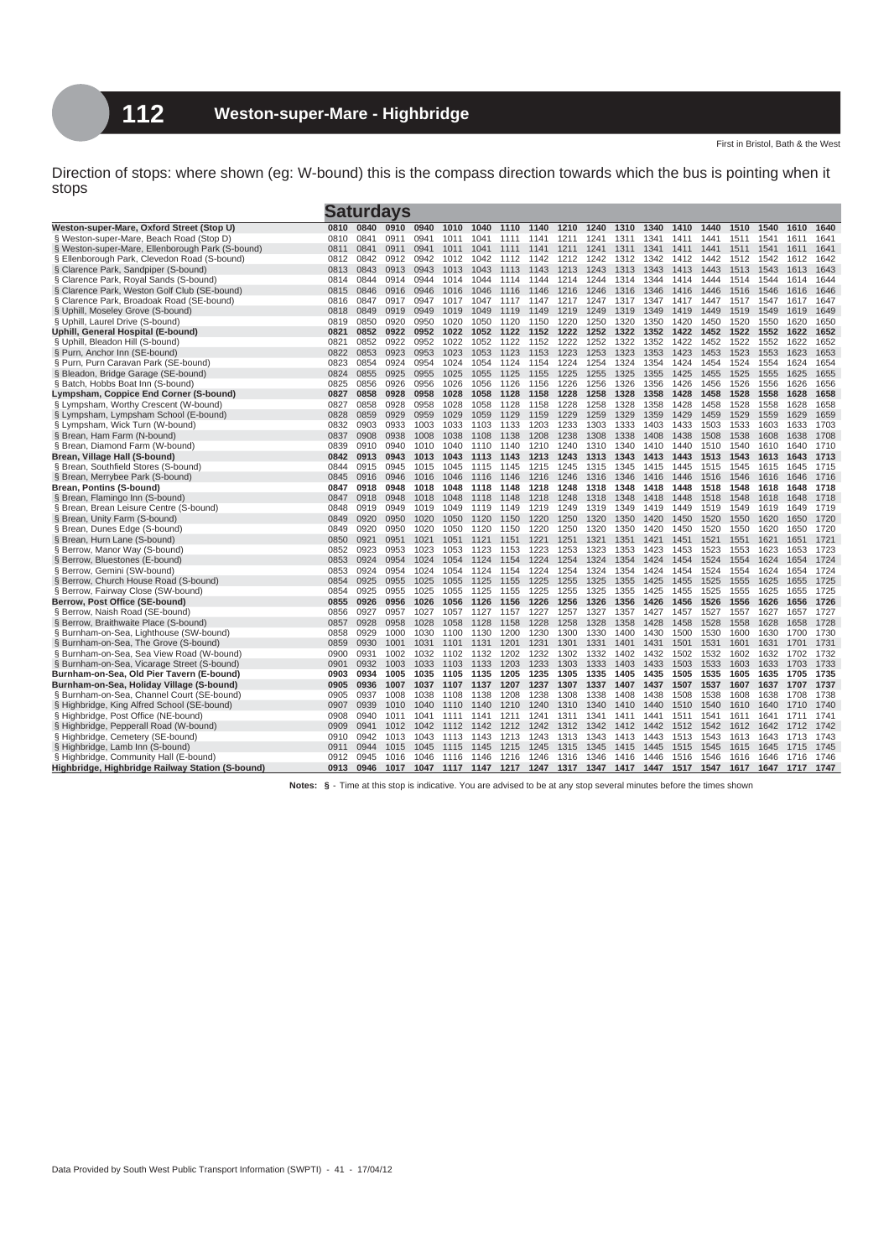|                                                                       |              |              | Saturdavs    |              |              |              |              |              |              |              |              |              |              |              |              |              |              |              |
|-----------------------------------------------------------------------|--------------|--------------|--------------|--------------|--------------|--------------|--------------|--------------|--------------|--------------|--------------|--------------|--------------|--------------|--------------|--------------|--------------|--------------|
| Weston-super-Mare, Oxford Street (Stop U)                             | 0810         | 0840         | 0910         | 0940         | 1010         | 1040         | 1110         | 1140         | 1210         | 1240         | 1310         | 1340         | 1410         | 1440         | 1510         | 1540         | 1610         | 1640         |
| § Weston-super-Mare, Beach Road (Stop D)                              | 0810         | 0841         | 0911         | 0941         | 1011         | 1041         | 1111         | 1141         | 1211         | 1241         | 1311         | 1341         | 1411         | 1441         | 1511         | 1541         | 1611         | 1641         |
| § Weston-super-Mare, Ellenborough Park (S-bound)                      | 0811         | 0841         | 0911         | 0941         | 1011         | 1041         | 1111         | 1141         | 1211         | 1241         | 1311         | 1341         | 1411         | 1441         | 1511         | 1541         | 1611         | 1641         |
| § Ellenborough Park, Clevedon Road (S-bound)                          | 0812         | 0842         | 0912         | 0942         | 1012         | 1042         | 1112         | 1142         | 1212         | 1242         | 1312         | 1342         | 1412         | 1442         | 1512         | 1542         | 1612         | 1642         |
| § Clarence Park, Sandpiper (S-bound)                                  | 0813         | 0843         | 0913         | 0943         | 1013         | 1043         | 1113         | 1143         | 1213         | 1243         | 1313         | 1343         | 1413         | 1443         | 1513         | 1543         | 1613         | 1643         |
| § Clarence Park, Royal Sands (S-bound)                                | 0814         | 0844         | 0914         | 0944         | 1014         | 1044         | 1114         | 1144         | 1214         | 1244         | 1314         | 1344         | 1414         | 1444         | 1514         | 1544         | 1614         | 1644         |
| § Clarence Park, Weston Golf Club (SE-bound)                          | 0815         | 0846         | 0916         | 0946         | 1016         | 1046         | 1116         | 1146         | 1216         | 1246         | 1316         | 1346         | 1416         | 1446         | 1516         | 1546         | 1616         | 1646         |
| § Clarence Park, Broadoak Road (SE-bound)                             | 0816         | 0847         | 0917         | 0947         | 1017         | 1047         | 1117         | 1147         | 1217         | 1247         | 1317         | 1347         | 1417         | 1447         | 1517         | 1547         | 1617         | 1647         |
| § Uphill, Moseley Grove (S-bound)                                     | 0818         | 0849         | 0919         | 0949         | 1019         | 1049         | 1119         | 1149         | 1219         | 1249         | 1319         | 1349         | 1419         | 1449         | 1519         | 1549         | 1619         | 1649         |
| § Uphill, Laurel Drive (S-bound)                                      | 0819         | 0850         | 0920         | 0950         | 1020         | 1050         | 1120         | 1150         | 1220         | 1250         | 1320         | 1350         | 1420         | 1450         | 1520         | 1550         | 1620         | 1650         |
| Uphill, General Hospital (E-bound)                                    | 0821         | 0852         | 0922         | 0952         | 1022         | 1052         | 1122         | 1152         | 1222         | 1252         | 1322         | 1352         | 1422         | 1452         | 1522         | 1552         | 1622         | 1652         |
| § Uphill, Bleadon Hill (S-bound)                                      | 0821         | 0852         | 0922         | 0952         | 1022         | 1052         | 1122         | 1152         | 1222         | 1252         | 1322         | 1352         | 1422         | 1452         | 1522         | 1552         | 1622         | 1652         |
| § Purn, Anchor Inn (SE-bound)                                         | 0822         | 0853         | 0923         | 0953         | 1023         | 1053         | 1123         | 1153         | 1223         | 1253         | 1323         | 1353         | 1423         | 1453         | 1523         | 1553         | 1623         | 1653         |
| § Purn, Purn Caravan Park (SE-bound)                                  | 0823         | 0854         | 0924         | 0954         | 1024         | 1054         | 1124         | 1154         | 1224         | 1254         | 1324         | 1354         | 1424         | 1454         | 1524         | 1554         | 1624         | 1654         |
| § Bleadon, Bridge Garage (SE-bound)                                   | 0824         | 0855         | 0925         | 0955         | 1025         | 1055         | 1125         | 1155         | 1225         | 1255         | 1325         | 1355         | 1425         | 1455         | 1525         | 1555         | 1625         | 1655         |
| § Batch, Hobbs Boat Inn (S-bound)                                     | 0825         | 0856         | 0926         | 0956         | 1026         | 1056         | 1126         | 1156         | 1226         | 1256         | 1326         | 1356         | 1426         | 1456         | 1526         | 1556         | 1626         | 1656<br>1658 |
| Lympsham, Coppice End Corner (S-bound)                                | 0827         | 0858         | 0928         | 0958         | 1028         | 1058         | 1128         | 1158         | 1228         | 1258         | 1328         | 1358         | 1428         | 1458         | 1528         | 1558         | 1628         |              |
| § Lympsham, Worthy Crescent (W-bound)                                 | 0827         | 0858         | 0928         | 0958         | 1028         | 1058         | 1128         | 1158         | 1228         | 1258         | 1328         | 1358         | 1428         | 1458         | 1528         | 1558         | 1628         | 1658         |
| § Lympsham, Lympsham School (E-bound)                                 | 0828         | 0859<br>0903 | 0929         | 0959         | 1029         | 1059<br>1103 | 1129<br>1133 | 1159         | 1229         | 1259         | 1329         | 1359         | 1429         | 1459         | 1529         | 1559         | 1629         | 1659<br>1703 |
| § Lympsham, Wick Turn (W-bound)                                       | 0832<br>0837 | 0908         | 0933<br>0938 | 1003<br>1008 | 1033<br>1038 | 1108         | 1138         | 1203<br>1208 | 1233<br>1238 | 1303<br>1308 | 1333<br>1338 | 1403<br>1408 | 1433<br>1438 | 1503<br>1508 | 1533<br>1538 | 1603<br>1608 | 1633<br>1638 | 1708         |
| § Brean, Ham Farm (N-bound)                                           | 0839         | 0910         | 0940         | 1010         | 1040         |              |              | 1210         | 1240         | 1310         | 1340         | 1410         | 1440         | 1510         | 1540         | 1610         | 1640         | 1710         |
| § Brean, Diamond Farm (W-bound)                                       | 0842         | 0913         | 0943         | 1013         | 1043         | 1110<br>1113 | 1140<br>1143 | 1213         | 1243         | 1313         | 1343         | 1413         | 1443         | 1513         | 1543         | 1613         | 1643         | 1713         |
| Brean, Village Hall (S-bound)<br>§ Brean, Southfield Stores (S-bound) | 0844         | 0915         | 0945         | 1015         | 1045         | 1115         | 1145         | 1215         | 1245         | 1315         | 1345         | 1415         | 1445         | 1515         | 1545         | 1615         | 1645         | 1715         |
| § Brean, Merrybee Park (S-bound)                                      | 0845         | 0916         | 0946         | 1016         | 1046         | 1116         | 1146         | 1216         | 1246         | 1316         | 1346         | 1416         | 1446         | 1516         | 1546         | 1616         | 1646         | 1716         |
| Brean, Pontins (S-bound)                                              | 0847         | 0918         | 0948         | 1018         | 1048         | 1118         | 1148         | 1218         | 1248         | 1318         | 1348         | 1418         | 1448         | 1518         | 1548         | 1618         | 1648         | 1718         |
| § Brean, Flamingo Inn (S-bound)                                       | 0847         | 0918         | 0948         | 1018         | 1048         | 1118         | 1148         | 1218         | 1248         | 1318         | 1348         | 1418         | 1448         | 1518         | 1548         | 1618         | 1648         | 1718         |
| § Brean, Brean Leisure Centre (S-bound)                               | 0848         | 0919         | 0949         | 1019         | 1049         | 1119         | 1149         | 1219         | 1249         | 1319         | 1349         | 1419         | 1449         | 1519         | 1549         | 1619         | 1649         | 1719         |
| § Brean, Unity Farm (S-bound)                                         | 0849         | 0920         | 0950         | 1020         | 1050         | 1120         | 1150         | 1220         | 1250         | 1320         | 1350         | 1420         | 1450         | 1520         | 1550         | 1620         | 1650         | 1720         |
| § Brean, Dunes Edge (S-bound)                                         | 0849         | 0920         | 0950         | 1020         | 1050         | 1120         | 1150         | 1220         | 1250         | 1320         | 1350         | 1420         | 1450         | 1520         | 1550         | 1620         | 1650         | 1720         |
| § Brean, Hurn Lane (S-bound)                                          | 0850         | 0921         | 0951         | 1021         | 1051         | 1121         | 1151         | 1221         | 1251         | 1321         | 1351         | 1421         | 1451         | 1521         | 1551         | 1621         | 1651         | 1721         |
| § Berrow, Manor Way (S-bound)                                         | 0852         | 0923         | 0953         | 1023         | 1053         | 1123         | 1153         | 1223         | 1253         | 1323         | 1353         | 1423         | 1453         | 1523         | 1553         | 1623         | 1653         | 1723         |
| § Berrow, Bluestones (E-bound)                                        | 0853         | 0924         | 0954         | 1024         | 1054         | 1124         | 1154         | 1224         | 1254         | 1324         | 1354         | 1424         | 1454         | 1524         | 1554         | 1624         | 1654         | 1724         |
| § Berrow, Gemini (SW-bound)                                           | 0853         | 0924         | 0954         | 1024         | 1054         | 1124         | 1154         | 1224         | 1254         | 1324         | 1354         | 1424         | 1454         | 1524         | 1554         | 1624         | 1654         | 1724         |
| § Berrow, Church House Road (S-bound)                                 | 0854         | 0925         | 0955         | 1025         | 1055         | 1125         | 1155         | 1225         | 1255         | 1325         | 1355         | 1425         | 1455         | 1525         | 1555         | 1625         | 1655         | 1725         |
| § Berrow, Fairway Close (SW-bound)                                    | 0854         | 0925         | 0955         | 1025         | 1055         | 1125         | 1155         | 1225         | 1255         | 1325         | 1355         | 1425         | 1455         | 1525         | 1555         | 1625         | 1655         | 1725         |
| Berrow, Post Office (SE-bound)                                        | 0855         | 0926         | 0956         | 1026         | 1056         | 1126         | 1156         | 1226         | 1256         | 1326         | 1356         | 1426         | 1456         | 1526         | 1556         | 1626         | 1656         | 1726         |
| § Berrow, Naish Road (SE-bound)                                       | 0856         | 0927         | 0957         | 1027         | 1057         | 1127         | 1157         | 1227         | 1257         | 1327         | 1357         | 1427         | 1457         | 1527         | 1557         | 1627         | 1657         | 1727         |
| § Berrow, Braithwaite Place (S-bound)                                 | 0857         | 0928         | 0958         | 1028         | 1058         | 1128         | 1158         | 1228         | 1258         | 1328         | 1358         | 1428         | 1458         | 1528         | 1558         | 1628         | 1658         | 1728         |
| § Burnham-on-Sea, Lighthouse (SW-bound)                               | 0858         | 0929         | 1000         | 1030         | 1100         | 1130         | 1200         | 1230         | 1300         | 1330         | 1400         | 1430         | 1500         | 1530         | 1600         | 1630         | 1700         | 1730         |
| § Burnham-on-Sea, The Grove (S-bound)                                 | 0859         | 0930         | 1001         | 1031         | 1101         | 1131         | 1201         | 1231         | 1301         | 1331         | 1401         | 1431         | 1501         | 1531         | 1601         | 1631         | 1701         | 1731         |
| § Burnham-on-Sea, Sea View Road (W-bound)                             | 0900         | 0931         | 1002         | 1032         | 1102         | 1132         | 1202         | 1232         | 1302         | 1332         | 1402         | 1432         | 1502         | 1532         | 1602         | 1632         | 1702         | 1732         |
| § Burnham-on-Sea, Vicarage Street (S-bound)                           | 0901         | 0932         | 1003         | 1033         | 1103         | 1133         | 1203         | 1233         | 1303         | 1333         | 1403         | 1433         | 1503         | 1533         | 1603         | 1633         | 1703         | 1733         |
| Burnham-on-Sea, Old Pier Tavern (E-bound)                             | 0903         | 0934         | 1005         | 1035         | 1105         | 1135         | 1205         | 1235         | 1305         | 1335         | 1405         | 1435         | 1505         | 1535         | 1605         | 1635         | 1705         | 1735         |
| Burnham-on-Sea, Holiday Village (S-bound)                             | 0905         | 0936         | 1007         | 1037         | 1107         | 1137         | 1207         | 1237         | 1307         | 1337         | 1407         | 1437         | 1507         | 1537         | 1607         | 1637         | 1707         | 1737         |
| § Burnham-on-Sea, Channel Court (SE-bound)                            | 0905         | 0937         | 1008         | 1038         | 1108         | 1138         | 1208         | 1238         | 1308         | 1338         | 1408         | 1438         | 1508         | 1538         | 1608         | 1638         | 1708         | 1738         |
| § Highbridge, King Alfred School (SE-bound)                           | 0907         | 0939         | 1010         | 1040         | 1110         | 1140         | 1210         | 1240         | 1310         | 1340         | 1410         | 1440         | 1510         | 1540         | 1610         | 1640         | 1710         | 1740         |
| § Highbridge, Post Office (NE-bound)                                  | 0908         | 0940         | 1011         | 1041         | 1111         | 1141         | 1211         | 1241         | 1311         | 1341         | 1411         | 1441         | 1511         | 1541         | 1611         | 1641         | 1711         | 1741         |
| § Highbridge, Pepperall Road (W-bound)                                | 0909         | 0941         | 1012         | 1042         | 1112         | 1142         | 1212         | 1242         | 1312         | 1342         | 1412         | 1442         | 1512         | 1542         | 1612         | 1642         | 1712         | 1742         |
| § Highbridge, Cemetery (SE-bound)                                     | 0910         | 0942         | 1013         | 1043         | 1113         | 1143         | 1213         | 1243         | 1313         | 1343         | 1413         | 1443         | 1513         | 1543         | 1613         | 1643         | 1713         | 1743         |
| § Highbridge, Lamb Inn (S-bound)                                      | 0911         | 0944         | 1015         | 1045         | 1115         | 1145         | 1215         | 1245         | 1315         | 1345         | 1415         | 1445         | 1515         | 1545         | 1615         | 1645         | 1715         | 1745         |
| § Highbridge, Community Hall (E-bound)                                | 0912         | 0945         | 1016         | 1046         | 1116         | 1146         | 1216         | 1246         | 1316         | 1346         | 1416         | 1446         | 1516         | 1546         | 1616         | 1646         | 1716         | 1746         |
| Highbridge, Highbridge Railway Station (S-bound)                      | 0913         | 0946         | 1017         | 1047         | 1117         | 1147         | 1217         | 1247         | 1317         | 1347         | 1417         | 1447         | 1517         | 1547         | 1617         | 1647         | 1717         | 1747         |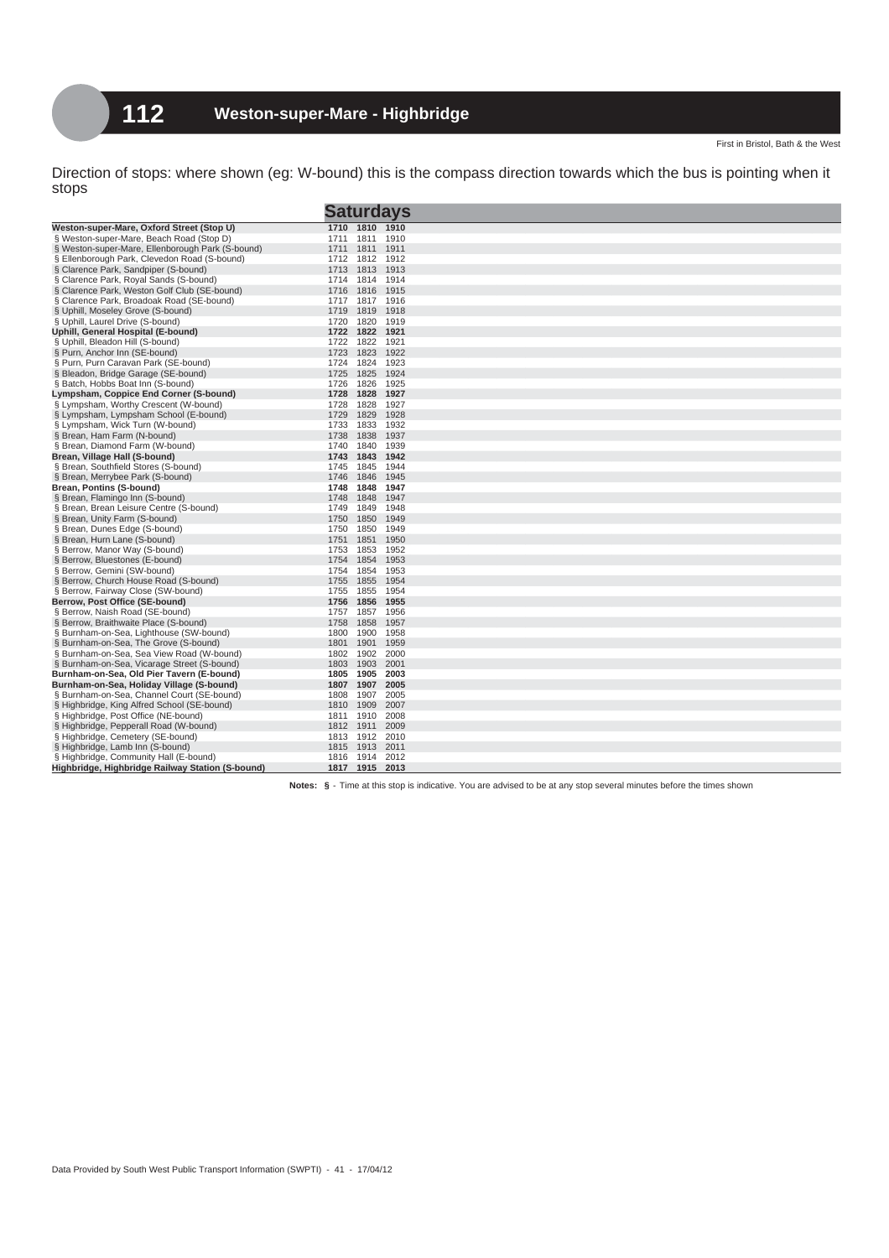|                                                  | <b>Saturdays</b>     |  |
|--------------------------------------------------|----------------------|--|
| Weston-super-Mare, Oxford Street (Stop U)        | 1710 1810 1910       |  |
| § Weston-super-Mare, Beach Road (Stop D)         | 1811<br>1910<br>1711 |  |
| § Weston-super-Mare, Ellenborough Park (S-bound) | 1711 1811<br>1911    |  |
| § Ellenborough Park, Clevedon Road (S-bound)     | 1712 1812<br>1912    |  |
| § Clarence Park, Sandpiper (S-bound)             | 1813<br>1913<br>1713 |  |
| § Clarence Park, Royal Sands (S-bound)           | 1714<br>1814<br>1914 |  |
| § Clarence Park, Weston Golf Club (SE-bound)     | 1915<br>1716<br>1816 |  |
| § Clarence Park, Broadoak Road (SE-bound)        | 1817<br>1916<br>1717 |  |
| § Uphill, Moseley Grove (S-bound)                | 1719 1819<br>1918    |  |
| § Uphill, Laurel Drive (S-bound)                 | 1820<br>1919<br>1720 |  |
| Uphill, General Hospital (E-bound)               | 1722 1822<br>1921    |  |
| § Uphill, Bleadon Hill (S-bound)                 | 1822<br>1921<br>1722 |  |
| § Purn, Anchor Inn (SE-bound)                    | 1723<br>1823<br>1922 |  |
| § Purn, Purn Caravan Park (SE-bound)             | 1724<br>1824<br>1923 |  |
| § Bleadon, Bridge Garage (SE-bound)              | 1825<br>1924<br>1725 |  |
| § Batch, Hobbs Boat Inn (S-bound)                | 1826<br>1925<br>1726 |  |
| Lympsham, Coppice End Corner (S-bound)           | 1728<br>1828<br>1927 |  |
| § Lympsham, Worthy Crescent (W-bound)            | 1728<br>1828<br>1927 |  |
| § Lympsham, Lympsham School (E-bound)            | 1928<br>1729<br>1829 |  |
| § Lympsham, Wick Turn (W-bound)                  | 1733<br>1833<br>1932 |  |
| § Brean, Ham Farm (N-bound)                      | 1937<br>1738<br>1838 |  |
| § Brean, Diamond Farm (W-bound)                  | 1740<br>1840<br>1939 |  |
| Brean, Village Hall (S-bound)                    | 1743<br>1843<br>1942 |  |
| § Brean, Southfield Stores (S-bound)             | 1845<br>1944<br>1745 |  |
| § Brean, Merrybee Park (S-bound)                 | 1746<br>1846<br>1945 |  |
| Brean, Pontins (S-bound)                         | 1748<br>1848<br>1947 |  |
| § Brean, Flamingo Inn (S-bound)                  | 1848<br>1947<br>1748 |  |
| § Brean, Brean Leisure Centre (S-bound)          | 1849<br>1948<br>1749 |  |
| § Brean, Unity Farm (S-bound)                    | 1750<br>1850<br>1949 |  |
| § Brean, Dunes Edge (S-bound)                    | 1750<br>1850<br>1949 |  |
| § Brean, Hurn Lane (S-bound)                     | 1851<br>1950<br>1751 |  |
| § Berrow, Manor Way (S-bound)                    | 1753<br>1853<br>1952 |  |
| § Berrow, Bluestones (E-bound)                   | 1754<br>1854<br>1953 |  |
| § Berrow, Gemini (SW-bound)                      | 1754<br>1854<br>1953 |  |
| § Berrow, Church House Road (S-bound)            | 1755<br>1954<br>1855 |  |
| § Berrow, Fairway Close (SW-bound)               | 1855<br>1954<br>1755 |  |
| Berrow, Post Office (SE-bound)                   | 1756<br>1856<br>1955 |  |
| § Berrow, Naish Road (SE-bound)                  | 1956<br>1757<br>1857 |  |
| § Berrow, Braithwaite Place (S-bound)            | 1858<br>1957<br>1758 |  |
| § Burnham-on-Sea, Lighthouse (SW-bound)          | 1900<br>1958<br>1800 |  |
| § Burnham-on-Sea, The Grove (S-bound)            | 1901<br>1959<br>1801 |  |
| § Burnham-on-Sea, Sea View Road (W-bound)        | 1802<br>1902<br>2000 |  |
| § Burnham-on-Sea, Vicarage Street (S-bound)      | 1803 1903<br>2001    |  |
| Burnham-on-Sea, Old Pier Tavern (E-bound)        | 1905<br>2003<br>1805 |  |
| Burnham-on-Sea, Holiday Village (S-bound)        | 1807 1907<br>2005    |  |
| § Burnham-on-Sea, Channel Court (SE-bound)       | 1907<br>2005<br>1808 |  |
| § Highbridge, King Alfred School (SE-bound)      | 1810<br>1909<br>2007 |  |
| § Highbridge, Post Office (NE-bound)             | 1910<br>2008<br>1811 |  |
| § Highbridge, Pepperall Road (W-bound)           | 1812 1911<br>2009    |  |
| § Highbridge, Cemetery (SE-bound)                | 2010<br>1813 1912    |  |
| § Highbridge, Lamb Inn (S-bound)                 | 2011<br>1815 1913    |  |
| § Highbridge, Community Hall (E-bound)           | 1816 1914<br>2012    |  |
| Highbridge, Highbridge Railway Station (S-bound) | 1817 1915 2013       |  |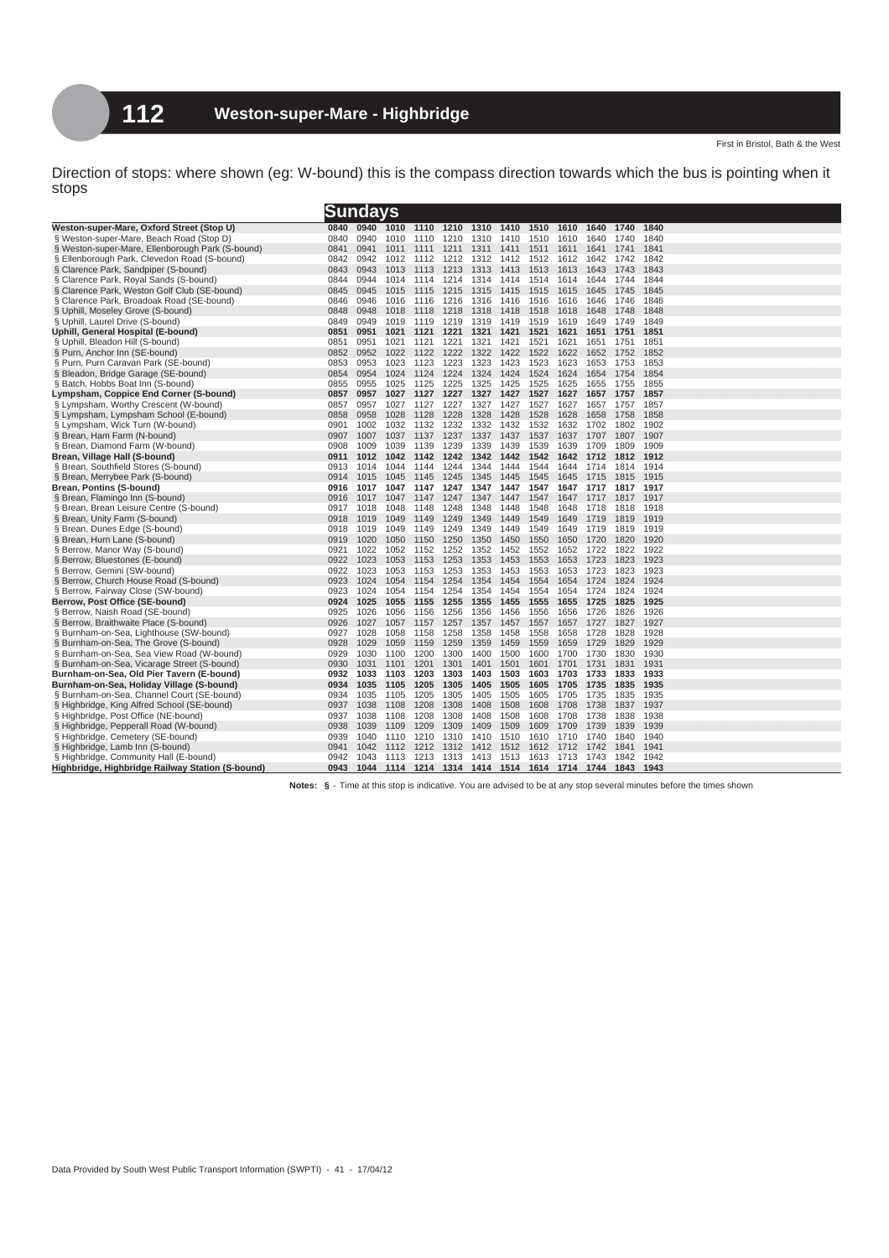|                                                                          |              | Sundays      |              |              |              |              |              |              |                                                   |              |              |              |
|--------------------------------------------------------------------------|--------------|--------------|--------------|--------------|--------------|--------------|--------------|--------------|---------------------------------------------------|--------------|--------------|--------------|
| Weston-super-Mare, Oxford Street (Stop U)                                | 0840         | 0940         | 1010         | 1110         | 1210         | 1310         | 1410         | 1510         | 1610                                              | 1640         | 1740         | 1840         |
| § Weston-super-Mare, Beach Road (Stop D)                                 | 0840         | 0940         | 1010         | 1110         | 1210         | 1310         | 1410         | 1510         | 1610                                              | 1640         | 1740         | 1840         |
| § Weston-super-Mare, Ellenborough Park (S-bound)                         | 0841         | 0941         | 1011         | 1111         | 1211         | 1311         | 1411         | 1511         | 1611                                              | 1641         | 1741         | 1841         |
| § Ellenborough Park, Clevedon Road (S-bound)                             | 0842         | 0942         | 1012         | 1112         | 1212         | 1312         | 1412         | 1512         | 1612                                              | 1642         | 1742         | 1842         |
| § Clarence Park, Sandpiper (S-bound)                                     | 0843         | 0943         | 1013         | 1113         | 1213         | 1313         | 1413         | 1513         | 1613                                              | 1643         | 1743         | 1843         |
| § Clarence Park, Royal Sands (S-bound)                                   | 0844         | 0944         | 1014         | 1114         | 1214         | 1314         | 1414         | 1514         | 1614                                              | 1644         | 1744         | 1844         |
| § Clarence Park, Weston Golf Club (SE-bound)                             | 0845         | 0945         | 1015         | 1115         | 1215         | 1315         | 1415         | 1515         | 1615                                              | 1645         | 1745         | 1845         |
| § Clarence Park, Broadoak Road (SE-bound)                                | 0846         | 0946         | 1016         | 1116         | 1216         | 1316         | 1416         | 1516         | 1616                                              | 1646         | 1746         | 1846         |
| § Uphill, Moseley Grove (S-bound)                                        | 0848         | 0948         | 1018         | 1118         | 1218         | 1318         | 1418         | 1518         | 1618                                              | 1648         | 1748         | 1848         |
| § Uphill, Laurel Drive (S-bound)                                         | 0849         | 0949         | 1019         | 1119         | 1219         | 1319         | 1419         | 1519         | 1619                                              | 1649         | 1749         | 1849         |
| Uphill, General Hospital (E-bound)                                       | 0851         | 0951         | 1021         | 1121         | 1221         | 1321         | 1421         | 1521         | 1621                                              | 1651         | 1751         | 1851         |
| § Uphill, Bleadon Hill (S-bound)                                         | 0851         | 0951         | 1021         | 1121         | 1221         | 1321         | 1421         | 1521         | 1621                                              | 1651         | 1751         | 1851         |
| § Purn, Anchor Inn (SE-bound)                                            | 0852         | 0952         | 1022         | 1122         | 1222         | 1322         | 1422         | 1522         | 1622                                              | 1652 1752    |              | 1852         |
| § Purn, Purn Caravan Park (SE-bound)                                     | 0853         | 0953         | 1023         | 1123         | 1223         | 1323         | 1423         | 1523         | 1623                                              | 1653         | 1753         | 1853         |
| § Bleadon, Bridge Garage (SE-bound)                                      | 0854         | 0954         | 1024         | 1124         | 1224         | 1324         | 1424         | 1524         | 1624                                              | 1654         | 1754         | 1854         |
| § Batch, Hobbs Boat Inn (S-bound)                                        | 0855         | 0955         | 1025         | 1125         | 1225         | 1325         | 1425         | 1525         | 1625                                              | 1655         | 1755         | 1855         |
| Lympsham, Coppice End Corner (S-bound)                                   | 0857         | 0957         | 1027         | 1127         | 1227         | 1327         | 1427         | 1527         | 1627                                              | 1657         | 1757         | 1857         |
| § Lympsham, Worthy Crescent (W-bound)                                    | 0857         | 0957         | 1027         | 1127         | 1227         | 1327         | 1427         | 1527         | 1627                                              | 1657         | 1757         | 1857         |
| § Lympsham, Lympsham School (E-bound)                                    | 0858         | 0958         | 1028         | 1128         | 1228         | 1328         | 1428         | 1528         | 1628                                              | 1658         | 1758         | 1858         |
| § Lympsham, Wick Turn (W-bound)                                          | 0901         | 1002         | 1032         | 1132         | 1232         | 1332         | 1432         | 1532         | 1632                                              | 1702         | 1802         | 1902         |
| § Brean, Ham Farm (N-bound)                                              | 0907         | 1007         | 1037         | 1137         | 1237         | 1337         | 1437         | 1537         | 1637                                              | 1707         | 1807         | 1907         |
| § Brean, Diamond Farm (W-bound)                                          | 0908<br>0911 | 1009<br>1012 | 1039<br>1042 | 1139<br>1142 | 1239<br>1242 | 1339<br>1342 | 1439<br>1442 | 1539<br>1542 | 1639<br>1642                                      | 1709<br>1712 | 1809<br>1812 | 1909<br>1912 |
| Brean, Village Hall (S-bound)                                            | 0913         | 1014         | 1044         | 1144         | 1244         | 1344         | 1444         | 1544         | 1644                                              | 1714         | 1814         | 1914         |
| § Brean, Southfield Stores (S-bound)<br>§ Brean, Merrybee Park (S-bound) | 0914         | 1015         | 1045         | 1145         | 1245         | 1345         | 1445         | 1545         | 1645                                              | 1715         | 1815         | 1915         |
| Brean, Pontins (S-bound)                                                 | 0916         | 1017         | 1047         | 1147         | 1247         | 1347         | 1447         | 1547         | 1647                                              | 1717         | 1817         | 1917         |
| § Brean, Flamingo Inn (S-bound)                                          | 0916         | 1017         | 1047         | 1147         | 1247         | 1347         | 1447         | 1547         | 1647                                              | 1717         | 1817         | 1917         |
| § Brean, Brean Leisure Centre (S-bound)                                  | 0917         | 1018         | 1048         | 1148         | 1248         | 1348         | 1448         | 1548         | 1648                                              | 1718         | 1818         | 1918         |
| § Brean, Unity Farm (S-bound)                                            | 0918         | 1019         | 1049         | 1149         | 1249         | 1349         | 1449         | 1549         | 1649                                              | 1719         | 1819         | 1919         |
| § Brean, Dunes Edge (S-bound)                                            | 0918         | 1019         | 1049         | 1149         | 1249         | 1349         | 1449         | 1549         | 1649                                              | 1719         | 1819         | 1919         |
| § Brean, Hurn Lane (S-bound)                                             | 0919         | 1020         | 1050         | 1150         | 1250         | 1350         | 1450         | 1550         | 1650                                              | 1720         | 1820         | 1920         |
| § Berrow, Manor Way (S-bound)                                            | 0921         | 1022         | 1052         | 1152         | 1252         | 1352         | 1452         | 1552         | 1652                                              | 1722         | 1822         | 1922         |
| § Berrow, Bluestones (E-bound)                                           | 0922         | 1023         | 1053         | 1153         | 1253         | 1353         | 1453         | 1553         | 1653                                              | 1723         | 1823         | 1923         |
| § Berrow, Gemini (SW-bound)                                              | 0922         | 1023         | 1053         | 1153         | 1253         | 1353         | 1453         | 1553         | 1653                                              | 1723         | 1823         | 1923         |
| § Berrow, Church House Road (S-bound)                                    | 0923         | 1024         | 1054         | 1154         | 1254         | 1354         | 1454         | 1554         | 1654                                              | 1724         | 1824         | 1924         |
| § Berrow, Fairway Close (SW-bound)                                       | 0923         | 1024         | 1054         | 1154         | 1254         | 1354         | 1454         | 1554         | 1654                                              | 1724         | 1824         | 1924         |
| Berrow, Post Office (SE-bound)                                           | 0924         | 1025         | 1055         | 1155         | 1255         | 1355         | 1455         | 1555         | 1655                                              | 1725         | 1825         | 1925         |
| § Berrow, Naish Road (SE-bound)                                          | 0925         | 1026         | 1056         | 1156         | 1256         | 1356         | 1456         | 1556         | 1656                                              | 1726         | 1826         | 1926         |
| § Berrow, Braithwaite Place (S-bound)                                    | 0926         | 1027         | 1057         | 1157         | 1257         | 1357         | 1457         | 1557         | 1657                                              | 1727         | 1827         | 1927         |
| § Burnham-on-Sea, Lighthouse (SW-bound)                                  | 0927         | 1028         | 1058         | 1158         | 1258         | 1358         | 1458         | 1558         | 1658                                              | 1728         | 1828         | 1928         |
| § Burnham-on-Sea, The Grove (S-bound)                                    | 0928         | 1029         | 1059         | 1159         | 1259         | 1359         | 1459         | 1559         | 1659                                              | 1729         | 1829         | 1929         |
| § Burnham-on-Sea, Sea View Road (W-bound)                                | 0929         | 1030         | 1100         | 1200         | 1300         | 1400         | 1500         | 1600         | 1700                                              | 1730         | 1830         | 1930         |
| § Burnham-on-Sea, Vicarage Street (S-bound)                              | 0930         | 1031         | 1101         | 1201         | 1301         | 1401         | 1501         | 1601         | 1701                                              | 1731         | 1831         | 1931         |
| Burnham-on-Sea, Old Pier Tavern (E-bound)                                | 0932         | 1033         | 1103         | 1203         | 1303         | 1403         | 1503         | 1603         | 1703                                              | 1733         | 1833         | 1933         |
| Burnham-on-Sea, Holiday Village (S-bound)                                | 0934         | 1035         | 1105         | 1205         | 1305         | 1405         | 1505         | 1605         | 1705                                              | 1735         | 1835         | 1935         |
| § Burnham-on-Sea, Channel Court (SE-bound)                               | 0934         | 1035         | 1105         | 1205         | 1305         | 1405         | 1505         | 1605         | 1705                                              | 1735         | 1835         | 1935         |
| § Highbridge, King Alfred School (SE-bound)                              | 0937         | 1038         | 1108         | 1208         | 1308         | 1408         | 1508         | 1608         | 1708                                              | 1738         | 1837         | 1937         |
| § Highbridge, Post Office (NE-bound)                                     | 0937         | 1038         | 1108         | 1208         | 1308         | 1408         | 1508         | 1608         | 1708                                              | 1738         | 1838         | 1938         |
| § Highbridge, Pepperall Road (W-bound)                                   | 0938         | 1039         | 1109         | 1209         | 1309         | 1409         | 1509         | 1609         | 1709                                              | 1739         | 1839         | 1939         |
| § Highbridge, Cemetery (SE-bound)                                        | 0939         | 1040         | 1110         | 1210         | 1310         | 1410         | 1510         | 1610         | 1710                                              | 1740         | 1840         | 1940         |
| § Highbridge, Lamb Inn (S-bound)                                         | 0941         | 1042         | 1112         | 1212         | 1312         | 1412         | 1512         | 1612         | 1712                                              | 1742         | 1841         | 1941         |
| § Highbridge, Community Hall (E-bound)                                   | 0942         | 1043         | 1113         | 1213         | 1313         | 1413         | 1513         | 1613         | 1713                                              | 1743         | 1842         | 1942         |
| Highbridge, Highbridge Railway Station (S-bound)                         | 0943         | 1044         |              |              |              |              |              |              | 1114 1214 1314 1414 1514 1614 1714 1744 1843 1943 |              |              |              |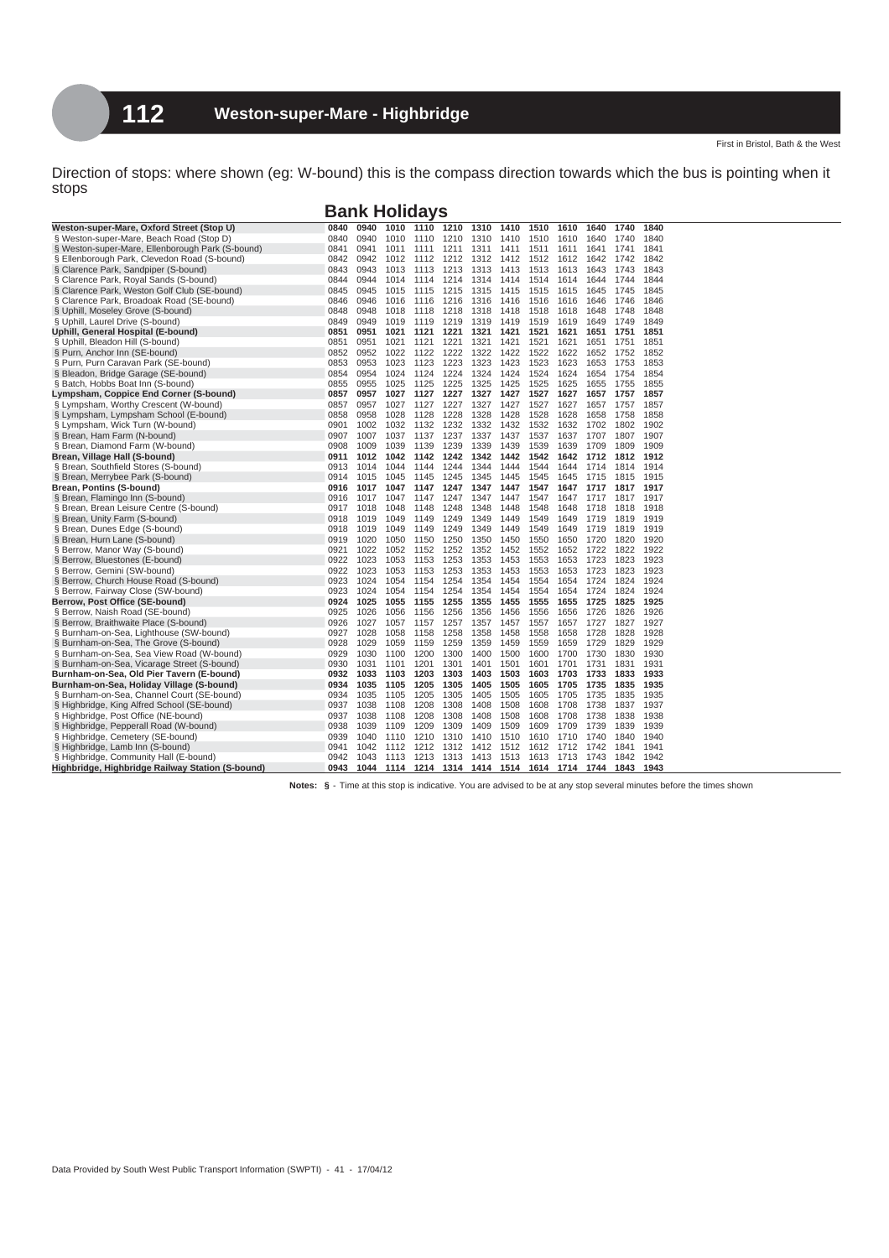**Bank Holidays**

| Weston-super-Mare, Oxford Street (Stop U)        | 0840 | 0940 | 1010 | 1110 | 1210                | 1310 | 1410 | 1510           | 1610 | 1640 | 1740 | 1840 |
|--------------------------------------------------|------|------|------|------|---------------------|------|------|----------------|------|------|------|------|
| § Weston-super-Mare, Beach Road (Stop D)         | 0840 | 0940 | 1010 | 1110 | 1210                | 1310 | 1410 | 1510           | 1610 | 1640 | 1740 | 1840 |
| § Weston-super-Mare, Ellenborough Park (S-bound) | 0841 | 0941 | 1011 | 1111 | 1211                | 1311 | 1411 | 1511           | 1611 | 1641 | 1741 | 1841 |
| § Ellenborough Park, Clevedon Road (S-bound)     | 0842 | 0942 | 1012 | 1112 | 1212                | 1312 | 1412 | 1512           | 1612 | 1642 | 1742 | 1842 |
| § Clarence Park, Sandpiper (S-bound)             | 0843 | 0943 | 1013 | 1113 | 1213                | 1313 | 1413 | 1513           | 1613 | 1643 | 1743 | 1843 |
| § Clarence Park, Royal Sands (S-bound)           | 0844 | 0944 | 1014 | 1114 | 1214                | 1314 | 1414 | 1514           | 1614 | 1644 | 1744 | 1844 |
| § Clarence Park, Weston Golf Club (SE-bound)     | 0845 | 0945 | 1015 | 1115 | 1215                | 1315 | 1415 | 1515           | 1615 | 1645 | 1745 | 1845 |
| § Clarence Park, Broadoak Road (SE-bound)        | 0846 | 0946 | 1016 | 1116 | 1216                | 1316 | 1416 | 1516           | 1616 | 1646 | 1746 | 1846 |
| § Uphill, Moseley Grove (S-bound)                | 0848 | 0948 | 1018 | 1118 | 1218                | 1318 | 1418 | 1518           | 1618 | 1648 | 1748 | 1848 |
| § Uphill, Laurel Drive (S-bound)                 | 0849 | 0949 | 1019 | 1119 | 1219                | 1319 | 1419 | 1519           | 1619 | 1649 | 1749 | 1849 |
| Uphill, General Hospital (E-bound)               | 0851 | 0951 | 1021 | 1121 | 1221                | 1321 | 1421 | 1521           | 1621 | 1651 | 1751 | 1851 |
| § Uphill, Bleadon Hill (S-bound)                 | 0851 | 0951 | 1021 | 1121 | 1221                | 1321 | 1421 | 1521           | 1621 | 1651 | 1751 | 1851 |
| § Purn, Anchor Inn (SE-bound)                    | 0852 | 0952 | 1022 | 1122 | 1222                | 1322 | 1422 | 1522           | 1622 | 1652 | 1752 | 1852 |
| § Purn, Purn Caravan Park (SE-bound)             | 0853 | 0953 | 1023 | 1123 | 1223                | 1323 | 1423 | 1523           | 1623 | 1653 | 1753 | 1853 |
| § Bleadon, Bridge Garage (SE-bound)              | 0854 | 0954 | 1024 | 1124 | 1224                | 1324 | 1424 | 1524           | 1624 | 1654 | 1754 | 1854 |
| § Batch, Hobbs Boat Inn (S-bound)                | 0855 | 0955 | 1025 | 1125 | 1225                | 1325 | 1425 | 1525           | 1625 | 1655 | 1755 | 1855 |
| Lympsham, Coppice End Corner (S-bound)           | 0857 | 0957 | 1027 | 1127 | 1227                | 1327 | 1427 | 1527           | 1627 | 1657 | 1757 | 1857 |
| § Lympsham, Worthy Crescent (W-bound)            | 0857 | 0957 | 1027 | 1127 | 1227                | 1327 | 1427 | 1527           | 1627 | 1657 | 1757 | 1857 |
| § Lympsham, Lympsham School (E-bound)            | 0858 | 0958 | 1028 | 1128 | 1228                | 1328 | 1428 | 1528           | 1628 | 1658 | 1758 | 1858 |
| § Lympsham, Wick Turn (W-bound)                  | 0901 | 1002 | 1032 | 1132 | 1232                | 1332 | 1432 | 1532           | 1632 | 1702 | 1802 | 1902 |
| § Brean, Ham Farm (N-bound)                      | 0907 | 1007 | 1037 | 1137 | 1237                | 1337 | 1437 | 1537           | 1637 | 1707 | 1807 | 1907 |
| § Brean, Diamond Farm (W-bound)                  | 0908 | 1009 | 1039 | 1139 | 1239                | 1339 | 1439 | 1539           | 1639 | 1709 | 1809 | 1909 |
| Brean, Village Hall (S-bound)                    | 0911 | 1012 | 1042 | 1142 | 1242                | 1342 | 1442 | 1542           | 1642 | 1712 | 1812 | 1912 |
| § Brean, Southfield Stores (S-bound)             | 0913 | 1014 | 1044 | 1144 | 1244                | 1344 | 1444 | 1544           | 1644 | 1714 | 1814 | 1914 |
| § Brean, Merrybee Park (S-bound)                 | 0914 | 1015 | 1045 | 1145 | 1245                | 1345 | 1445 | 1545           | 1645 | 1715 | 1815 | 1915 |
| Brean, Pontins (S-bound)                         | 0916 | 1017 | 1047 | 1147 | 1247                | 1347 | 1447 | 1547           | 1647 | 1717 | 1817 | 1917 |
| § Brean, Flamingo Inn (S-bound)                  | 0916 | 1017 | 1047 | 1147 | 1247                | 1347 | 1447 | 1547           | 1647 | 1717 | 1817 | 1917 |
| § Brean, Brean Leisure Centre (S-bound)          | 0917 | 1018 | 1048 | 1148 | 1248                | 1348 | 1448 | 1548           | 1648 | 1718 | 1818 | 1918 |
| § Brean, Unity Farm (S-bound)                    | 0918 | 1019 | 1049 | 1149 | 1249                | 1349 | 1449 | 1549           | 1649 | 1719 | 1819 | 1919 |
| § Brean, Dunes Edge (S-bound)                    | 0918 | 1019 | 1049 | 1149 | 1249                | 1349 | 1449 | 1549           | 1649 | 1719 | 1819 | 1919 |
| § Brean, Hurn Lane (S-bound)                     | 0919 | 1020 | 1050 | 1150 | 1250                | 1350 | 1450 | 1550           | 1650 | 1720 | 1820 | 1920 |
| § Berrow, Manor Way (S-bound)                    | 0921 | 1022 | 1052 | 1152 | 1252                | 1352 | 1452 | 1552           | 1652 | 1722 | 1822 | 1922 |
| § Berrow, Bluestones (E-bound)                   | 0922 | 1023 | 1053 | 1153 | 1253                | 1353 | 1453 | 1553           | 1653 | 1723 | 1823 | 1923 |
| § Berrow, Gemini (SW-bound)                      | 0922 | 1023 | 1053 | 1153 | 1253                | 1353 | 1453 | 1553           | 1653 | 1723 | 1823 | 1923 |
| § Berrow, Church House Road (S-bound)            | 0923 | 1024 | 1054 | 1154 | 1254                | 1354 | 1454 | 1554           | 1654 | 1724 | 1824 | 1924 |
| § Berrow, Fairway Close (SW-bound)               | 0923 | 1024 | 1054 | 1154 | 1254                | 1354 | 1454 | 1554           | 1654 | 1724 | 1824 | 1924 |
| Berrow, Post Office (SE-bound)                   | 0924 | 1025 | 1055 | 1155 | 1255                | 1355 | 1455 | 1555           | 1655 | 1725 | 1825 | 1925 |
| § Berrow, Naish Road (SE-bound)                  | 0925 | 1026 | 1056 | 1156 | 1256                | 1356 | 1456 | 1556           | 1656 | 1726 | 1826 | 1926 |
| § Berrow, Braithwaite Place (S-bound)            | 0926 | 1027 | 1057 | 1157 | 1257                | 1357 | 1457 | 1557           | 1657 | 1727 | 1827 | 1927 |
| § Burnham-on-Sea, Lighthouse (SW-bound)          | 0927 | 1028 | 1058 | 1158 | 1258                | 1358 | 1458 | 1558           | 1658 | 1728 | 1828 | 1928 |
| § Burnham-on-Sea, The Grove (S-bound)            | 0928 | 1029 | 1059 | 1159 | 1259                | 1359 | 1459 | 1559           | 1659 | 1729 | 1829 | 1929 |
| § Burnham-on-Sea, Sea View Road (W-bound)        | 0929 | 1030 | 1100 | 1200 | 1300                | 1400 | 1500 | 1600           | 1700 | 1730 | 1830 | 1930 |
| § Burnham-on-Sea, Vicarage Street (S-bound)      | 0930 | 1031 | 1101 | 1201 | 1301                | 1401 | 1501 | 1601           | 1701 | 1731 | 1831 | 1931 |
| Burnham-on-Sea, Old Pier Tavern (E-bound)        | 0932 | 1033 | 1103 | 1203 | 1303                | 1403 | 1503 | 1603           | 1703 | 1733 | 1833 | 1933 |
| Burnham-on-Sea, Holiday Village (S-bound)        | 0934 | 1035 | 1105 | 1205 | 1305                | 1405 | 1505 | 1605           | 1705 | 1735 | 1835 | 1935 |
| § Burnham-on-Sea, Channel Court (SE-bound)       | 0934 | 1035 | 1105 | 1205 | 1305                | 1405 | 1505 | 1605           | 1705 | 1735 | 1835 | 1935 |
| § Highbridge, King Alfred School (SE-bound)      | 0937 | 1038 | 1108 | 1208 | 1308                | 1408 | 1508 | 1608           | 1708 | 1738 | 1837 | 1937 |
| § Highbridge, Post Office (NE-bound)             | 0937 | 1038 | 1108 | 1208 | 1308                | 1408 | 1508 | 1608           | 1708 | 1738 | 1838 | 1938 |
| § Highbridge, Pepperall Road (W-bound)           | 0938 | 1039 | 1109 | 1209 | 1309                | 1409 | 1509 | 1609           | 1709 | 1739 | 1839 | 1939 |
| § Highbridge, Cemetery (SE-bound)                | 0939 | 1040 | 1110 | 1210 | 1310                | 1410 | 1510 | 1610           | 1710 | 1740 | 1840 | 1940 |
| § Highbridge, Lamb Inn (S-bound)                 | 0941 | 1042 | 1112 | 1212 | 1312                | 1412 | 1512 | 1612           | 1712 | 1742 | 1841 | 1941 |
| § Highbridge, Community Hall (E-bound)           | 0942 | 1043 | 1113 | 1213 | 1313                | 1413 | 1513 | 1613           | 1713 | 1743 | 1842 | 1942 |
| Highbridge, Highbridge Railway Station (S-bound) | 0943 | 1044 | 1114 |      | 1214 1314 1414 1514 |      |      | 1614 1714 1744 |      |      | 1843 | 1943 |
|                                                  |      |      |      |      |                     |      |      |                |      |      |      |      |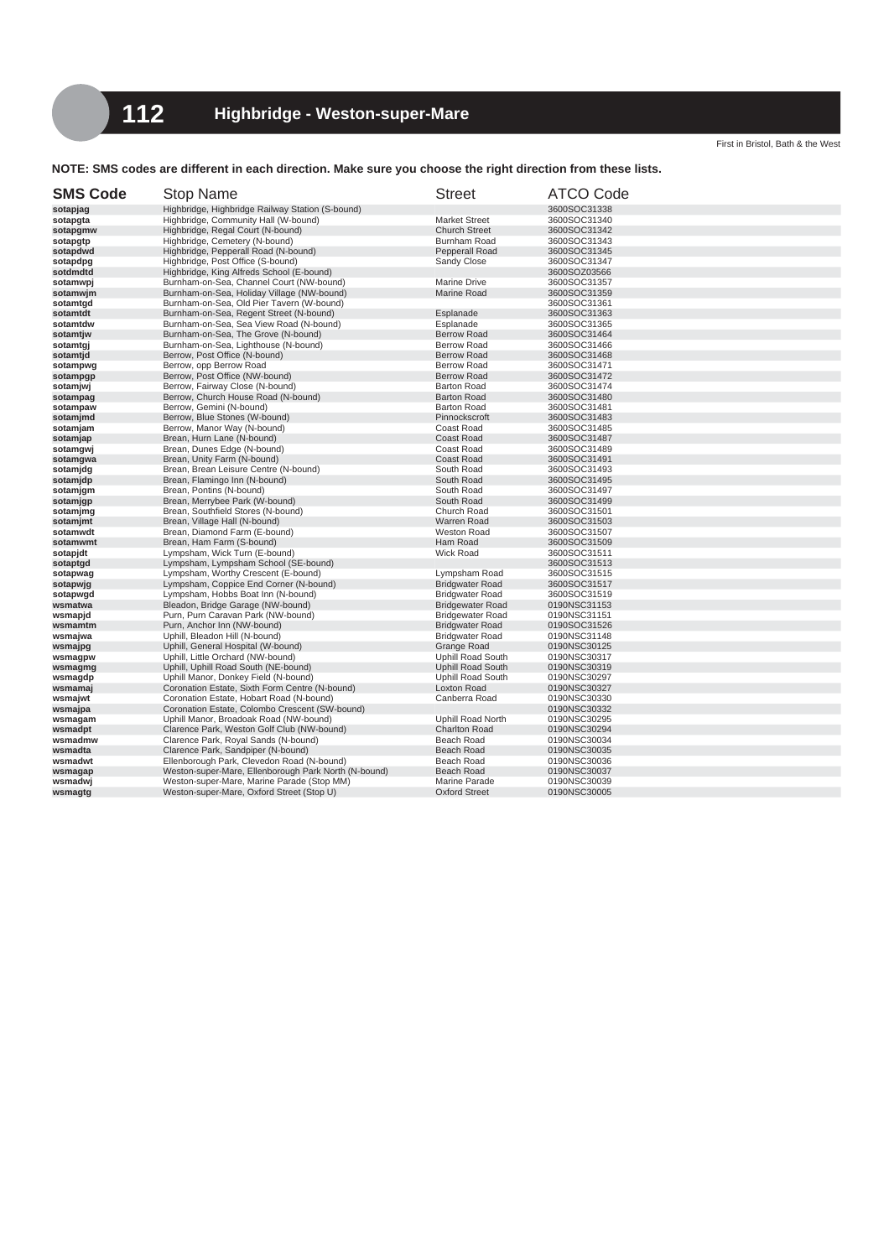## **NOTE: SMS codes are different in each direction. Make sure you choose the right direction from these lists.**

| <b>SMS Code</b>      | <b>Stop Name</b>                                          | <b>Street</b>                            | <b>ATCO Code</b>             |
|----------------------|-----------------------------------------------------------|------------------------------------------|------------------------------|
| sotapjag             | Highbridge, Highbridge Railway Station (S-bound)          |                                          | 3600SOC31338                 |
| sotapgta             | Highbridge, Community Hall (W-bound)                      | <b>Market Street</b>                     | 3600SOC31340                 |
| sotapgmw             | Highbridge, Regal Court (N-bound)                         | <b>Church Street</b>                     | 3600SOC31342                 |
| sotapgtp             | Highbridge, Cemetery (N-bound)                            | Burnham Road                             | 3600SOC31343                 |
| sotapdwd             | Highbridge, Pepperall Road (N-bound)                      | Pepperall Road                           | 3600SOC31345                 |
| sotapdpg             | Highbridge, Post Office (S-bound)                         | Sandy Close                              | 3600SOC31347                 |
| sotdmdtd             | Highbridge, King Alfreds School (E-bound)                 |                                          | 3600SOZ03566                 |
| sotamwpj             | Burnham-on-Sea, Channel Court (NW-bound)                  | <b>Marine Drive</b>                      | 3600SOC31357                 |
| sotamwjm             | Burnham-on-Sea, Holiday Village (NW-bound)                | Marine Road                              | 3600SOC31359                 |
| sotamtgd             | Burnham-on-Sea, Old Pier Tavern (W-bound)                 |                                          | 3600SOC31361                 |
| sotamtdt             | Burnham-on-Sea, Regent Street (N-bound)                   | Esplanade                                | 3600SOC31363                 |
| sotamtdw             | Burnham-on-Sea, Sea View Road (N-bound)                   | Esplanade                                | 3600SOC31365                 |
| sotamtjw             | Burnham-on-Sea, The Grove (N-bound)                       | <b>Berrow Road</b>                       | 3600SOC31464                 |
| sotamtgj             | Burnham-on-Sea, Lighthouse (N-bound)                      | <b>Berrow Road</b>                       | 3600SOC31466                 |
| sotamtid             | Berrow, Post Office (N-bound)                             | <b>Berrow Road</b>                       | 3600SOC31468                 |
| sotampwg             | Berrow, opp Berrow Road<br>Berrow, Post Office (NW-bound) | <b>Berrow Road</b><br><b>Berrow Road</b> | 3600SOC31471<br>3600SOC31472 |
| sotampgp             | Berrow, Fairway Close (N-bound)                           | <b>Barton Road</b>                       | 3600SOC31474                 |
| sotamjwj<br>sotampag | Berrow, Church House Road (N-bound)                       | <b>Barton Road</b>                       | 3600SOC31480                 |
| sotampaw             | Berrow, Gemini (N-bound)                                  | <b>Barton Road</b>                       | 3600SOC31481                 |
| sotamjmd             | Berrow, Blue Stones (W-bound)                             | Pinnockscroft                            | 3600SOC31483                 |
| sotamjam             | Berrow, Manor Way (N-bound)                               | Coast Road                               | 3600SOC31485                 |
| sotamjap             | Brean, Hurn Lane (N-bound)                                | <b>Coast Road</b>                        | 3600SOC31487                 |
| sotamgwj             | Brean, Dunes Edge (N-bound)                               | Coast Road                               | 3600SOC31489                 |
| sotamgwa             | Brean, Unity Farm (N-bound)                               | <b>Coast Road</b>                        | 3600SOC31491                 |
| sotamjdg             | Brean, Brean Leisure Centre (N-bound)                     | South Road                               | 3600SOC31493                 |
| sotamjdp             | Brean, Flamingo Inn (N-bound)                             | South Road                               | 3600SOC31495                 |
| sotamjgm             | Brean, Pontins (N-bound)                                  | South Road                               | 3600SOC31497                 |
| sotamjgp             | Brean, Merrybee Park (W-bound)                            | South Road                               | 3600SOC31499                 |
| sotamjmg             | Brean, Southfield Stores (N-bound)                        | Church Road                              | 3600SOC31501                 |
| sotamjmt             | Brean, Village Hall (N-bound)                             | Warren Road                              | 3600SOC31503                 |
| sotamwdt             | Brean, Diamond Farm (E-bound)                             | <b>Weston Road</b>                       | 3600SOC31507                 |
| sotamwmt             | Brean, Ham Farm (S-bound)                                 | Ham Road                                 | 3600SOC31509                 |
| sotapjdt             | Lympsham, Wick Turn (E-bound)                             | Wick Road                                | 3600SOC31511                 |
| sotaptgd             | Lympsham, Lympsham School (SE-bound)                      |                                          | 3600SOC31513                 |
| sotapwag             | Lympsham, Worthy Crescent (E-bound)                       | Lympsham Road                            | 3600SOC31515                 |
| sotapwig             | Lympsham, Coppice End Corner (N-bound)                    | <b>Bridgwater Road</b>                   | 3600SOC31517                 |
| sotapwgd             | Lympsham, Hobbs Boat Inn (N-bound)                        | <b>Bridgwater Road</b>                   | 3600SOC31519                 |
| wsmatwa              | Bleadon, Bridge Garage (NW-bound)                         | <b>Bridgewater Road</b>                  | 0190NSC31153                 |
| wsmapjd              | Purn, Purn Caravan Park (NW-bound)                        | <b>Bridgewater Road</b>                  | 0190NSC31151                 |
| wsmamtm              | Purn, Anchor Inn (NW-bound)                               | <b>Bridgwater Road</b>                   | 0190SOC31526                 |
| wsmajwa              | Uphill, Bleadon Hill (N-bound)                            | <b>Bridgwater Road</b>                   | 0190NSC31148                 |
| wsmajpg              | Uphill, General Hospital (W-bound)                        | <b>Grange Road</b>                       | 0190NSC30125                 |
| wsmagpw              | Uphill, Little Orchard (NW-bound)                         | <b>Uphill Road South</b>                 | 0190NSC30317                 |
| wsmagmg              | Uphill, Uphill Road South (NE-bound)                      | <b>Uphill Road South</b>                 | 0190NSC30319                 |
| wsmagdp              | Uphill Manor, Donkey Field (N-bound)                      | <b>Uphill Road South</b>                 | 0190NSC30297                 |
| wsmamaj              | Coronation Estate, Sixth Form Centre (N-bound)            | <b>Loxton Road</b>                       | 0190NSC30327                 |
| wsmajwt              | Coronation Estate, Hobart Road (N-bound)                  | Canberra Road                            | 0190NSC30330                 |
| wsmajpa              | Coronation Estate, Colombo Crescent (SW-bound)            |                                          | 0190NSC30332                 |
| wsmagam              | Uphill Manor, Broadoak Road (NW-bound)                    | Uphill Road North                        | 0190NSC30295                 |
| wsmadpt              | Clarence Park, Weston Golf Club (NW-bound)                | <b>Charlton Road</b>                     | 0190NSC30294                 |
| wsmadmw              | Clarence Park, Royal Sands (N-bound)                      | Beach Road                               | 0190NSC30034                 |
| wsmadta              | Clarence Park, Sandpiper (N-bound)                        | Beach Road                               | 0190NSC30035                 |
| wsmadwt              | Ellenborough Park, Clevedon Road (N-bound)                | Beach Road                               | 0190NSC30036                 |
| wsmagap              | Weston-super-Mare, Ellenborough Park North (N-bound)      | Beach Road                               | 0190NSC30037                 |
| wsmadwj              | Weston-super-Mare, Marine Parade (Stop MM)                | Marine Parade<br><b>Oxford Street</b>    | 0190NSC30039                 |
| wsmagtg              | Weston-super-Mare, Oxford Street (Stop U)                 |                                          | 0190NSC30005                 |